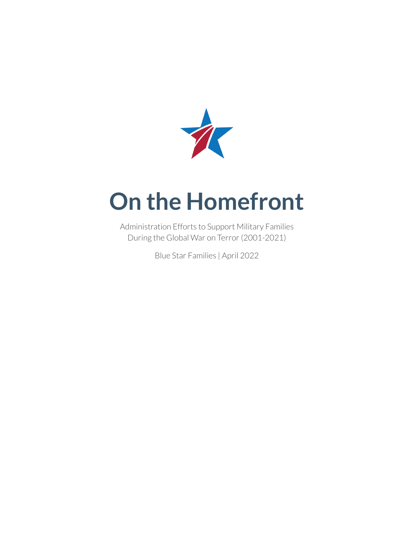

# **On the Homefront**

Administration Efforts to Support Military Families During the Global War on Terror(2001-2021)

Blue Star Families | April 2022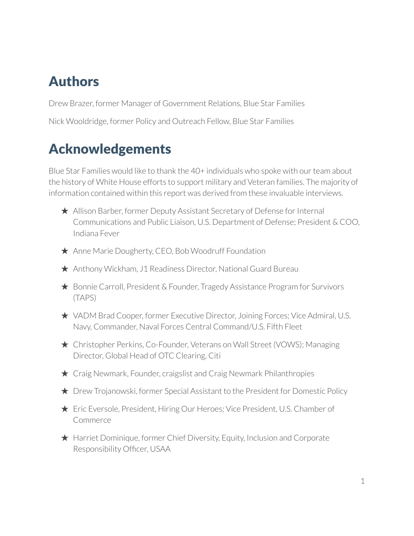## Authors

Drew Brazer, former Manager of Government Relations, Blue Star Families Nick Wooldridge, former Policy and Outreach Fellow, Blue Star Families

## Acknowledgements

Blue Star Families would like to thank the 40+ individuals who spoke with our team about the history of White House efforts to support military and Veteran families. The majority of information contained within this report was derived from these invaluable interviews.

- $\star$  Allison Barber, former Deputy Assistant Secretary of Defense for Internal Communications and Public Liaison, U.S. Department of Defense; President & COO, Indiana Fever
- ★ Anne Marie Dougherty, CEO, Bob Woodruff Foundation
- ★ Anthony Wickham, J1 Readiness Director, National Guard Bureau
- ★ Bonnie Carroll, President & Founder, Tragedy Assistance Program for Survivors (TAPS)
- ★ VADM Brad Cooper, former Executive Director, Joining Forces; Vice Admiral, U.S. Navy, Commander, Naval Forces Central Command/U.S. Fifth Fleet
- ★ Christopher Perkins, Co-Founder, Veterans on Wall Street (VOWS); Managing Director, Global Head of OTC Clearing, Citi
- ★ Craig Newmark, Founder, craigslist and Craig Newmark Philanthropies
- ★ Drew Trojanowski, former Special Assistant to the President for Domestic Policy
- ★ Eric Eversole, President, Hiring Our Heroes; Vice President, U.S. Chamber of **Commerce**
- ★ Harriet Dominique, former Chief Diversity, Equity, Inclusion and Corporate Responsibility Officer, USAA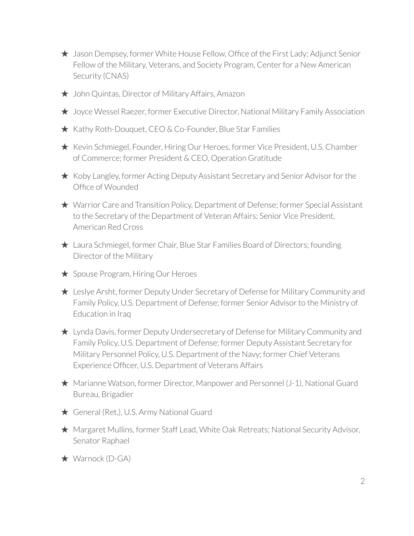- ★ Jason Dempsey, former White House Fellow, Office of the First Lady; Adjunct Senior Fellow of the Military, Veterans, and Society Program, Center for a New American Security (CNAS)
- ★ John Quintas, Director of Military Affairs, Amazon
- ★ Joyce Wessel Raezer, former Executive Director, National Military Family Association
- ★ Kathy Roth-Douquet, CEO & Co-Founder, Blue Star Families
- ★ Kevin Schmiegel, Founder, Hiring Our Heroes, former Vice President, U.S. Chamber of Commerce; former President & CEO, Operation Gratitude
- ★ Koby Langley, former Acting Deputy Assistant Secretary and Senior Advisor for the Office of Wounded
- ★ Warrior Care and Transition Policy, Department of Defense; former Special Assistant to the Secretary of the Department of Veteran Affairs; Senior Vice President, American Red Cross
- ★ Laura Schmiegel, former Chair, Blue Star Families Board of Directors; founding Director of the Military
- ★ Spouse Program, Hiring Our Heroes
- ★ Leslye Arsht, former Deputy Under Secretary of Defense for Military Community and Family Policy, U.S. Department of Defense; former Senior Advisor to the Ministry of Education in Iraq
- ★ Lynda Davis, former Deputy Undersecretary of Defense for Military Community and Family Policy, U.S. Department of Defense; former Deputy Assistant Secretary for Military Personnel Policy, U.S. Department of the Navy; former Chief Veterans Experience Officer, U.S. Department of Veterans Affairs
- ★ Marianne Watson, former Director, Manpower and Personnel (J-1), National Guard Bureau, Brigadier
- ★ General (Ret.), U.S. Army National Guard
- ★ Margaret Mullins, former Staff Lead, White Oak Retreats; National Security Advisor, Senator Raphael
- ★ Warnock (D-GA)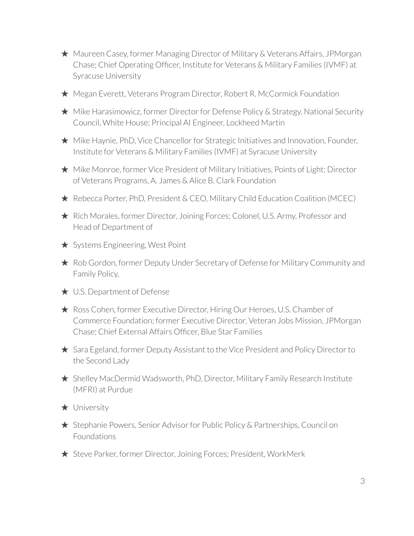- ★ Maureen Casey, former Managing Director of Military & Veterans Affairs, JPMorgan Chase; Chief Operating Officer, Institute for Veterans & Military Families (IVMF) at Syracuse University
- ★ Megan Everett, Veterans Program Director, Robert R. McCormick Foundation
- ★ Mike Harasimowicz, former Director for Defense Policy & Strategy, National Security Council, White House; Principal AI Engineer, Lockheed Martin
- $\star$  Mike Haynie, PhD, Vice Chancellor for Strategic Initiatives and Innovation, Founder, Institute for Veterans & Military Families (IVMF) at Syracuse University
- ★ Mike Monroe, former Vice President of Military Initiatives, Points of Light; Director of Veterans Programs, A. James & Alice B. Clark Foundation
- ★ Rebecca Porter, PhD, President & CEO, Military Child Education Coalition (MCEC)
- ★ Rich Morales, former Director, Joining Forces; Colonel, U.S. Army, Professor and Head of Department of
- ★ Systems Engineering, West Point
- ★ Rob Gordon, former Deputy Under Secretary of Defense for Military Community and Family Policy,
- ★ U.S. Department of Defense
- ★ Ross Cohen, former Executive Director, Hiring Our Heroes, U.S. Chamber of Commerce Foundation; former Executive Director, Veteran Jobs Mission, JPMorgan Chase; Chief External Affairs Officer, Blue Star Families
- ★ Sara Egeland, former Deputy Assistant to the Vice President and Policy Director to the Second Lady
- ★ Shelley MacDermid Wadsworth, PhD, Director, Military Family Research Institute (MFRI) at Purdue
- ★ University
- ★ Stephanie Powers, Senior Advisor for Public Policy & Partnerships, Council on Foundations
- ★ Steve Parker, former Director, Joining Forces; President, WorkMerk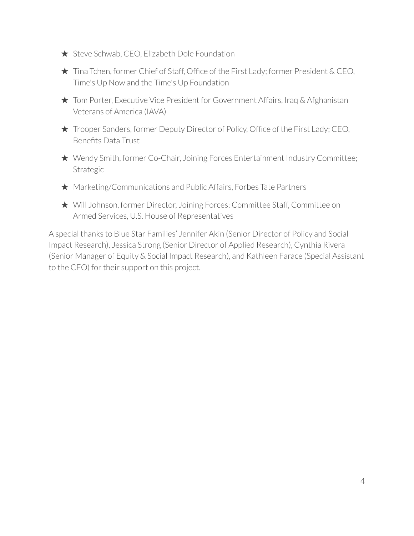- ★ Steve Schwab, CEO, Elizabeth Dole Foundation
- ★ Tina Tchen, former Chief of Staff, Office of the First Lady; former President & CEO, Time's Up Now and the Time's Up Foundation
- ★ Tom Porter, Executive Vice President for Government Affairs, Iraq & Afghanistan Veterans of America (IAVA)
- ★ Trooper Sanders, former Deputy Director of Policy, Office of the First Lady; CEO, Benefits Data Trust
- ★ Wendy Smith, former Co-Chair, Joining Forces Entertainment Industry Committee; Strategic
- ★ Marketing/Communications and Public Affairs, Forbes Tate Partners
- ★ Will Johnson, former Director, Joining Forces; Committee Staff, Committee on Armed Services, U.S. House of Representatives

A special thanks to Blue Star Families' Jennifer Akin (Senior Director of Policy and Social Impact Research), Jessica Strong (Senior Director of Applied Research), Cynthia Rivera (Senior Manager of Equity & Social Impact Research), and Kathleen Farace (Special Assistant to the CEO) for their support on this project.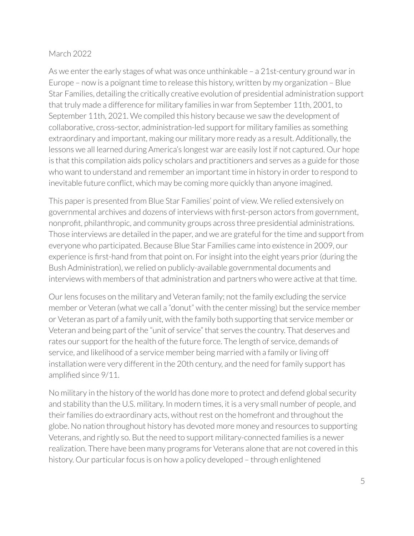#### March 2022

As we enter the early stages of what was once unthinkable  $-$  a 21st-century ground war in Europe – now is a poignant time to release this history, written by my organization – Blue Star Families, detailing the critically creative evolution of presidential administration support that truly made a difference for military families in war from September 11th, 2001, to September 11th, 2021. We compiled this history because we saw the development of collaborative, cross-sector, administration-led support for military families as something extraordinary and important, making our military more ready as a result. Additionally, the lessons we all learned during America's longest war are easily lost if not captured. Our hope is that this compilation aids policy scholars and practitioners and serves as a guide for those who want to understand and remember an important time in history in order to respond to inevitable future conflict, which may be coming more quickly than anyone imagined.

This paper is presented from Blue Star Families' point of view. We relied extensively on governmental archives and dozens of interviews with first-person actors from government, nonprofit, philanthropic, and community groups across three presidential administrations. Those interviews are detailed in the paper, and we are grateful for the time and support from everyone who participated. Because Blue Star Families came into existence in 2009, our experience is first-hand from that point on. For insight into the eight years prior (during the Bush Administration), we relied on publicly-available governmental documents and interviews with members of that administration and partners who were active at that time.

Our lens focuses on the military and Veteran family; not the family excluding the service member or Veteran (what we call a "donut" with the center missing) but the service member or Veteran as part of a family unit, with the family both supporting that service member or Veteran and being part of the "unit of service" that serves the country. That deserves and rates our support for the health of the future force. The length of service, demands of service, and likelihood of a service member being married with a family or living off installation were very different in the 20th century, and the need for family support has amplified since 9/11.

No military in the history of the world has done more to protect and defend global security and stability than the U.S. military. In modern times, it is a very small number of people, and their families do extraordinary acts, without rest on the homefront and throughout the globe. No nation throughout history has devoted more money and resources to supporting Veterans, and rightly so. But the need to support military-connected families is a newer realization. There have been many programs for Veterans alone that are not covered in this history. Our particular focus is on how a policy developed – through enlightened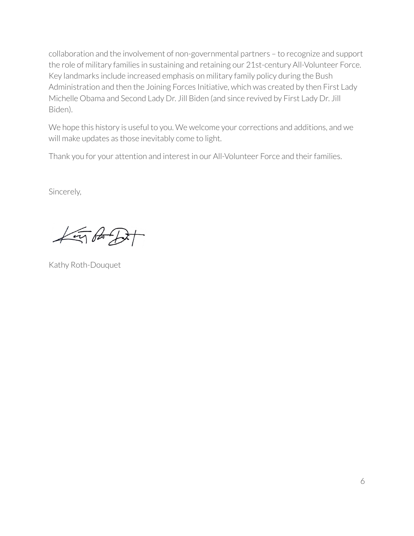collaboration and the involvement of non-governmental partners – to recognize and support the role of military families in sustaining and retaining our 21st-century All-Volunteer Force. Key landmarks include increased emphasis on military family policy during the Bush Administration and then the Joining Forces Initiative, which was created by then First Lady Michelle Obama and Second Lady Dr. Jill Biden (and since revived by First Lady Dr. Jill Biden).

We hope this history is useful to you. We welcome your corrections and additions, and we will make updates as those inevitably come to light.

Thank you for your attention and interest in our All-Volunteer Force and their families.

Sincerely,

 $4\pi$  of D+

Kathy Roth-Douquet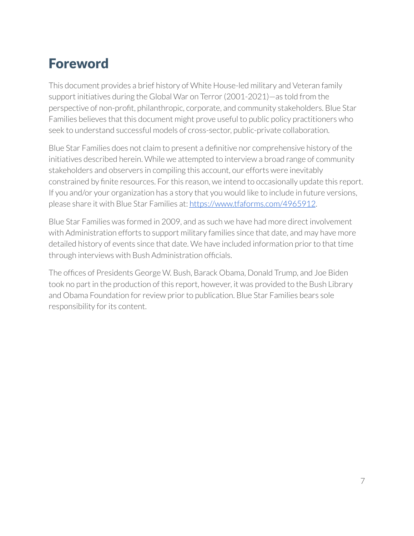## Foreword

This document provides a brief history of White House-led military and Veteran family support initiatives during the Global War on Terror(2001-2021)—as told from the perspective of non-profit, philanthropic, corporate, and community stakeholders. Blue Star Families believes that this document might prove useful to public policy practitioners who seek to understand successful models of cross-sector, public-private collaboration.

Blue Star Families does not claim to present a definitive nor comprehensive history of the initiatives described herein. While we attempted to interview a broad range of community stakeholders and observers in compiling this account, our efforts were inevitably constrained by finite resources. For this reason, we intend to occasionally update this report. If you and/or your organization has a story that you would like to include in future versions, please share it with Blue Star Families at: <https://www.tfaforms.com/4965912>.

Blue Star Families was formed in 2009, and as such we have had more direct involvement with Administration efforts to support military families since that date, and may have more detailed history of events since that date. We have included information prior to that time through interviews with Bush Administration officials.

The offices of Presidents George W. Bush, Barack Obama, Donald Trump, and Joe Biden took no part in the production of this report, however, it was provided to the Bush Library and Obama Foundation for review prior to publication. Blue Star Families bears sole responsibility for its content.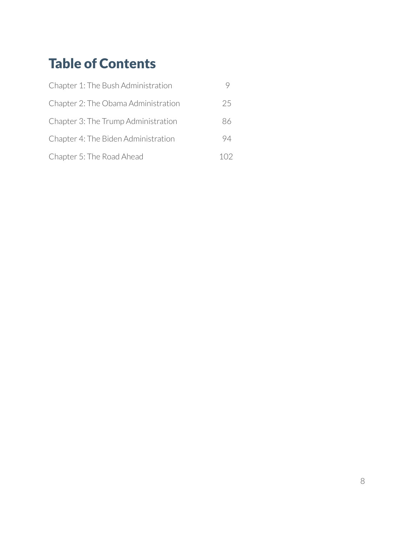## Table of Contents

| Chapter 1: The Bush Administration  |    |
|-------------------------------------|----|
| Chapter 2: The Obama Administration | 25 |
| Chapter 3: The Trump Administration | 86 |
| Chapter 4: The Biden Administration | 94 |
| Chapter 5: The Road Ahead           |    |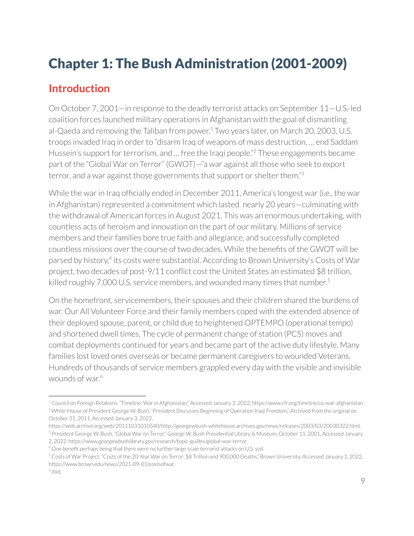## Chapter 1: The Bush Administration (2001-2009)

## **Introduction**

On October 7, 2001—in response to the deadly terrorist attacks on September 11—U.S.-led coalition forces launched military operations in Afghanistan with the goal of dismantling al-Qaeda and removing the Taliban from power. $^1$  Two years later, on March 20, 2003, U.S. troops invaded Iraq in order to "disarm Iraq of weapons of mass destruction, ... end Saddam Hussein's support for terrorism, and ... free the Iraqi people."<sup>2</sup> These engagements became part of the "Global War on Terror" (GWOT)—"a war against all those who seek to export  $t$ error, and a war against those governments that support or shelter them." $3$ 

While the war in Iraq officially ended in December 2011, America's longest war (i.e., the war in Afghanistan) represented a commitment which lasted nearly 20 years—culminating with the withdrawal of American forces in August 2021. This was an enormous undertaking, with countless acts of heroism and innovation on the part of our military. Millions of service members and their families bore true faith and allegiance, and successfully completed countless missions over the course of two decades. While the benefits of the GWOT will be parsed by history,<sup>4</sup> its costs were substantial. According to Brown University's Costs of War project, two decades of post-9/11 conflict cost the United States an estimated \$8 trillion, killed roughly 7,000 U.S. service members, and wounded many times that number. $^5$ 

On the homefront, servicemembers, their spouses and their children shared the burdens of war. Our All Volunteer Force and their family members coped with the extended absence of their deployed spouse, parent, or child due to heightened OPTEMPO (operational tempo) and shortened dwell times. The cycle of permanent change of station (PCS) moves and combat deployments continued for years and became part of the active duty lifestyle. Many families lost loved ones overseas or became permanent caregivers to wounded Veterans. Hundreds of thousands of service members grappled every day with the visible and invisible wounds of war. 6

<sup>&</sup>lt;sup>2</sup> White House of President George W. Bush, "President Discusses Beginning of Operation Iraqi Freedom," Archived from the original on October 31, 2011, Accessed January 3, 2022, <sup>1</sup> Council on Foreign Relations, "Timeline: Warin Afghanistan," Accessed January 3, 2022, https://www.cfr.org/timeline/us-war-afghanistan.

<sup>&</sup>lt;sup>3</sup> President George W. Bush, "Global War on Terror," George W. Bush Presidential Library & Museum, October 11, 2001, Accessed January 2, 2022, https://www.georgewbushlibrary.gov/research/topic-guides/global-war-terror. https://web.archive.org/web/20111031010540/http://georgewbush-whitehouse.archives.gov/news/releases/2003/03/20030322.html.

<sup>&</sup>lt;sup>4</sup> One benefit perhaps being that there were no further large-scale terrorist attacks on U.S. soil.

<sup>5</sup> Costs of War Project, "Costs of the 20-Year War on Terror: \$8 Trillion and 900,000 Deaths," Brown University, Accessed January 1, 2022, https://www.brown.edu/news/2021-09-01/costsofwar.

<sup>6</sup> Ibid.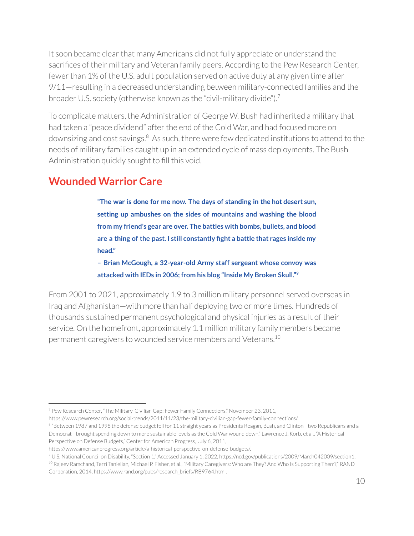It soon became clear that many Americans did not fully appreciate or understand the sacrifices of their military and Veteran family peers. According to the Pew Research Center, fewer than 1% of the U.S. adult population served on active duty at any given time after 9/11—resulting in a decreased understanding between military-connected families and the broader U.S. society (otherwise known as the "civil-military divide").<sup>7</sup>

To complicate matters, the Administration of George W. Bush had inherited a military that had taken a "peace dividend" after the end of the Cold War, and had focused more on downsizing and cost savings. $8\,$  As such, there were few dedicated institutions to attend to the needs of military families caught up in an extended cycle of mass deployments. The Bush Administration quickly sought to fill this void.

## **Wounded Warrior Care**

**"The war is done for me now. The days of standing in the hot desert sun, setting up ambushes on the sides of mountains and washing the blood from my friend's gear are over. The battles with bombs, bullets, and blood are a thing of the past. I still constantly fight a battle that rages inside my head."**

**– Brian McGough, a 32-year-old Army staff sergeant whose convoy was attacked with IEDs in 2006; from his blog "Inside My Broken Skull." 9**

From 2001 to 2021, approximately 1.9 to 3 million military personnel served overseas in Iraq and Afghanistan—with more than half deploying two or more times. Hundreds of thousands sustained permanent psychological and physical injuries as a result of their service. On the homefront, approximately 1.1 million military family members became permanent caregivers to wounded service members and Veterans. 10

<sup>9</sup> U.S. National Council on Disability, "Section 1," Accessed January 1, 2022, https://ncd.gov/publications/2009/March042009/section1.

<sup>7</sup> Pew Research Center, "The Military-Civilian Gap: Fewer Family Connections," November 23, 2011,

https://www.pewresearch.org/social-trends/2011/11/23/the-military-civilian-gap-fewer-family-connections/.

 $^{\rm 8}$  "Between 1987 and 1998 the defense budget fell for 11 straight years as Presidents Reagan, Bush, and Clinton—two Republicans and a Democrat—brought spending down to more sustainable levels as the Cold War wound down." Lawrence J. Korb, et al., "A Historical Perspective on Defense Budgets," Center for American Progress, July 6, 2011,

https://www.americanprogress.org/article/a-historical-perspective-on-defense-budgets/.

<sup>10</sup> Rajeev Ramchand, Terri Tanielian, Michael P. Fisher, et al., "Military Caregivers: Who are They? And Who Is Supporting Them?," RAND Corporation, 2014, https://www.rand.org/pubs/research\_briefs/RB9764.html.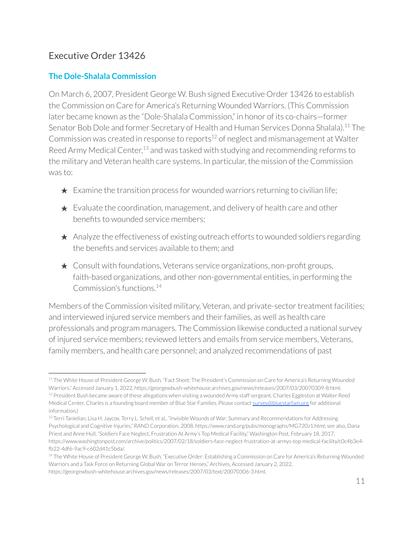### Executive Order 13426

#### **The Dole-Shalala Commission**

On March 6, 2007, President George W. Bush signed Executive Order 13426 to establish the Commission on Care for America's Returning Wounded Warriors. (This Commission later became known as the "Dole-Shalala Commission," in honor of its co-chairs—former Senator Bob Dole and former Secretary of Health and Human Services Donna Shalala).<sup>11</sup> The Commission was created in response to reports<sup>12</sup> of neglect and mismanagement at Walter Reed Army Medical Center, $^{13}$  and was tasked with studying and recommending reforms to the military and Veteran health care systems. In particular, the mission of the Commission was to:

- $\star$  Examine the transition process for wounded warriors returning to civilian life;
- $\star$  Evaluate the coordination, management, and delivery of health care and other benefits to wounded service members;
- ★ Analyze the effectiveness of existing outreach efforts to wounded soldiers regarding the benefits and services available to them; and
- $\star$  Consult with foundations, Veterans service organizations, non-profit groups, faith-based organizations, and other non-governmental entities, in performing the Commission's functions. 14

Members of the Commission visited military, Veteran, and private-sector treatment facilities; and interviewed injured service members and their families, as well as health care professionals and program managers. The Commission likewise conducted a national survey of injured service members;reviewed letters and emails from service members, Veterans, family members, and health care personnel; and analyzed recommendations of past

<sup>&</sup>lt;sup>12</sup> President Bush became aware of these allegations when visiting a wounded Army staff sergeant, Charles Eggleston at Walter Reed Medical Center. Charles is a founding board member of Blue Star Families. Please contact [survey@bluestarfam.org](mailto:survey@bluestarfam.org) for additional information.) <sup>11</sup> The White House of President George W. Bush, "Fact Sheet: The President's Commission on Care for America's Returning Wounded Warriors," Accessed January 1, 2022, https://georgewbush-whitehouse.archives.gov/news/releases/2007/03/20070309-8.html.

<sup>&</sup>lt;sup>13</sup> Terri Tanielian, Lisa H. Jaycox, Terry L. Schell, et al., "Invisible Wounds of War: Summary and Recommendations for Addressing Psychological and Cognitive Injuries," RAND Corporation, 2008, https://www.rand.org/pubs/monographs/MG720z1.html; see also, Dana Priest and Anne Hull, "Soldiers Face Neglect, Frustration At Army's Top Medical Facility," Washington Post, February 18, 2017, https://www.washingtonpost.com/archive/politics/2007/02/18/soldiers-face-neglect-frustration-at-armys-top-medical-facility/c0c4b3e4 fb22-4df6-9ac9-c602d41c5bda/.

<sup>&</sup>lt;sup>14</sup> The White House of President George W. Bush, "Executive Order: Establishing a Commission on Care for America's Returning Wounded Warriors and a Task Force on Returning Global War on Terror Heroes," Archives, Accessed January 2, 2022, https://georgewbush-whitehouse.archives.gov/news/releases/2007/03/text/20070306-3.html.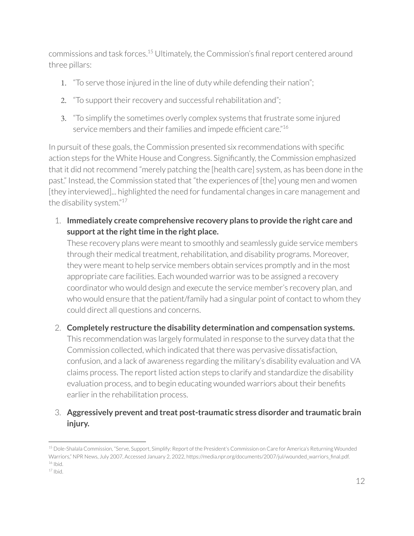commissions and task forces.<sup>15</sup> Ultimately, the Commission's final report centered around three pillars:

- 1. "To serve those injured in the line of duty while defending their nation";
- 2. "To support their recovery and successful rehabilitation and";
- 3. "To simplify the sometimes overly complex systems that frustrate some injured service members and their families and impede efficient care."<sup>16</sup>

In pursuit of these goals, the Commission presented six recommendations with specific action steps for the White House and Congress. Significantly, the Commission emphasized that it did not recommend "merely patching the [health care] system, as has been done in the past." Instead, the Commission stated that "the experiences of [the] young men and women [they interviewed]... highlighted the need for fundamental changes in care management and the disability system." 17

1. **Immediately create comprehensive recovery plans to provide the right care and support** at the right time in the right place.

These recovery plans were meant to smoothly and seamlessly guide service members through their medical treatment, rehabilitation, and disability programs. Moreover, they were meant to help service members obtain services promptly and in the most appropriate care facilities. Each wounded warrior was to be assigned a recovery coordinator who would design and execute the service member's recovery plan, and who would ensure that the patient/family had a singular point of contact to whom they could direct all questions and concerns.

#### 2. **Completely restructure the disability determination and compensation systems.**

This recommendation was largely formulated in response to the survey data that the Commission collected, which indicated that there was pervasive dissatisfaction, confusion, and a lack of awareness regarding the military's disability evaluation and VA claims process. The report listed action steps to clarify and standardize the disability evaluation process, and to begin educating wounded warriors about their benefits earlier in the rehabilitation process.

#### 3. **Aggressively prevent and treat post-traumatic stress disorder and traumatic brain injury.**

<sup>16</sup> Ibid. <sup>15</sup> Dole-Shalala Commission, "Serve, Support, Simplify: Report of the President's Commission on Care for America's Returning Wounded Warriors," NPR News, July 2007, Accessed January 2, 2022, https://media.npr.org/documents/2007/jul/wounded\_warriors\_final.pdf.

 $17$  Ibid.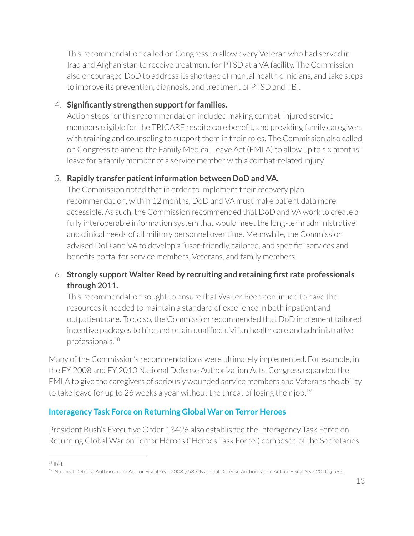This recommendation called on Congress to allow every Veteran who had served in Iraq and Afghanistan to receive treatment for PTSD at a VA facility. The Commission also encouraged DoD to address its shortage of mental health clinicians, and take steps to improve its prevention, diagnosis, and treatment of PTSD and TBI.

#### 4. **Significantly strengthen supportfor families.**

Action steps for this recommendation included making combat-injured service members eligible for the TRICARE respite care benefit, and providing family caregivers with training and counseling to support them in their roles. The Commission also called on Congress to amend the Family Medical Leave Act (FMLA) to allow up to six months' leave for a family member of a service member with a combat-related injury.

#### 5. **Rapidly transfer patientinformation between DoD and VA.**

The Commission noted that in order to implement their recovery plan recommendation, within 12 months, DoD and VA must make patient data more accessible. As such, the Commission recommended that DoD and VA work to create a fully interoperable information system that would meet the long-term administrative and clinical needs of all military personnel over time. Meanwhile, the Commission advised DoD and VA to develop a "user-friendly, tailored, and specific" services and benefits portal for service members, Veterans, and family members.

#### 6. **Strongly support Walter Reed by recruiting and retaining first rate professionals through 2011.**

This recommendation sought to ensure that Walter Reed continued to have the resources it needed to maintain a standard of excellence in both inpatient and outpatient care. To do so, the Commission recommended that DoD implement tailored incentive packages to hire and retain qualified civilian health care and administrative professionals. 18

Many of the Commission's recommendations were ultimately implemented. For example, in the FY 2008 and FY 2010 National Defense Authorization Acts, Congress expanded the FMLA to give the caregivers of seriously wounded service members and Veterans the ability to take leave for up to 26 weeks a year without the threat of losing their job.<sup>19</sup>

#### **Interagency Task Force on Returning Global War on Terror Heroes**

President Bush's Executive Order 13426 also established the Interagency Task Force on Returning Global War on Terror Heroes ("Heroes Task Force") composed of the Secretaries

18 Ibid.

<sup>&</sup>lt;sup>19</sup> National Defense Authorization Act for Fiscal Year 2008 § 585; National Defense Authorization Act for Fiscal Year 2010 § 565.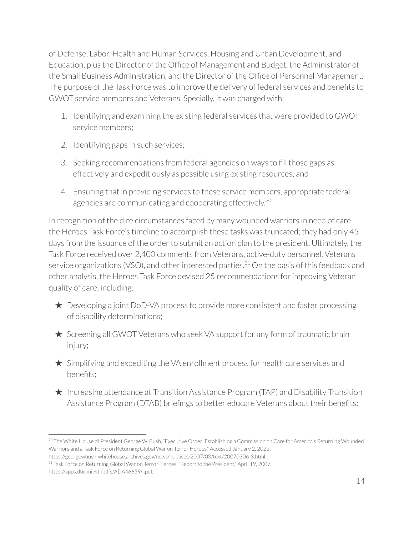of Defense, Labor, Health and Human Services, Housing and Urban Development, and Education, plus the Director of the Office of Management and Budget, the Administrator of the Small Business Administration, and the Director of the Office of Personnel Management. The purpose of the Task Force was to improve the delivery of federal services and benefits to GWOT service members and Veterans. Specially, it was charged with:

- 1. Identifying and examining the existing federal services that were provided to GWOT service members;
- 2. Identifying gaps in such services;
- 3. Seeking recommendations from federal agencies on ways to fill those gaps as effectively and expeditiously as possible using existing resources; and
- 4. Ensuring that in providing services to these service members, appropriate federal agencies are communicating and cooperating effectively.<sup>20</sup>

In recognition of the dire circumstances faced by many wounded warriors in need of care, the Heroes Task Force's timeline to accomplish these tasks was truncated; they had only 45 days from the issuance of the order to submit an action plan to the president. Ultimately, the Task Force received over 2,400 comments from Veterans, active-duty personnel, Veterans service organizations (VSO), and other interested parties. $^{21}$  On the basis of this feedback and other analysis, the Heroes Task Force devised 25 recommendations forimproving Veteran quality of care, including:

- $\star$  Developing a joint DoD-VA process to provide more consistent and faster processing of disability determinations;
- ★ Screening all GWOT Veterans who seek VA support for any form of traumatic brain injury;
- ★ Simplifying and expediting the VA enrollment process for health care services and benefits;
- $\star$  Increasing attendance at Transition Assistance Program (TAP) and Disability Transition Assistance Program (DTAB) briefings to better educate Veterans about their benefits;

<sup>&</sup>lt;sup>20</sup> The White House of President George W. Bush, "Executive Order: Establishing a Commission on Care for America's Returning Wounded Warriors and a Task Force on Returning Global War on Terror Heroes," Accessed January 2, 2022,

https://georgewbush-whitehouse.archives.gov/news/releases/2007/03/text/20070306-3.html.

<sup>&</sup>lt;sup>21</sup> Task Force on Returning Global War on Terror Heroes, "Report to the President," April 19, 2007, https://apps.dtic.mil/sti/pdfs/ADA466594.pdf.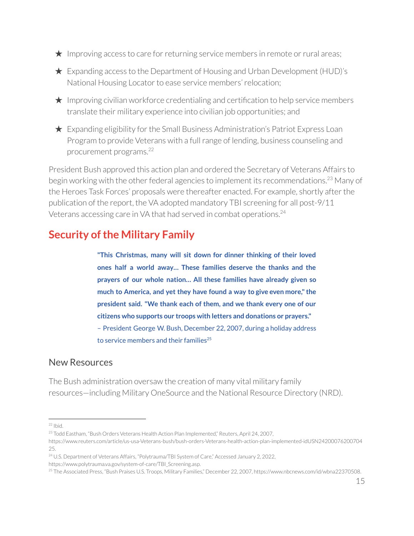- $\star$  Improving access to care for returning service members in remote or rural areas;
- $\star$  Expanding access to the Department of Housing and Urban Development (HUD)'s National Housing Locator to ease service members' relocation;
- $\star$  Improving civilian workforce credentialing and certification to help service members translate their military experience into civilian job opportunities; and
- $\star$  Expanding eligibility for the Small Business Administration's Patriot Express Loan Program to provide Veterans with a full range of lending, business counseling and procurement programs. 22

President Bush approved this action plan and ordered the Secretary of Veterans Affairs to begin working with the other federal agencies to implement its recommendations.<sup>23</sup> Many of the Heroes Task Forces' proposals were thereafter enacted. For example, shortly after the publication of the report, the VA adopted mandatory TBI screening for all post-9/11 Veterans accessing care in VA that had served in combat operations. 24

## **Security of the Military Family**

**"This Christmas, many will sit down for dinner thinking of their loved ones half a world away… These families deserve the thanks and the prayers of our whole nation… All these families have already given so much to America, and yet they have found a way to give even more," the president said. "We thank each of them, and we thank every one of our citizens who supports our troops with letters and donations or prayers."** – President George W. Bush, December 22, 2007, during a holiday address to service members and their families $^{25}$ 

#### New Resources

The Bush administration oversaw the creation of many vital military family resources—including Military OneSource and the National Resource Directory (NRD).

<sup>24</sup> U.S. Department of Veterans Affairs, "Polytrauma/TBI System of Care," Accessed January 2, 2022, https://www.polytrauma.va.gov/system-of-care/TBI\_Screening.asp.

 $22$  Ibid.

<sup>&</sup>lt;sup>23</sup> Todd Eastham, "Bush Orders Veterans Health Action Plan Implemented," Reuters, April 24, 2007,

https://www.reuters.com/article/us-usa-Veterans-bush/bush-orders-Veterans-health-action-plan-implemented-idUSN24200076200704 25.

<sup>25</sup> The Associated Press, "Bush Praises U.S. Troops, Military Families," December 22, 2007, https://www.nbcnews.com/id/wbna22370508.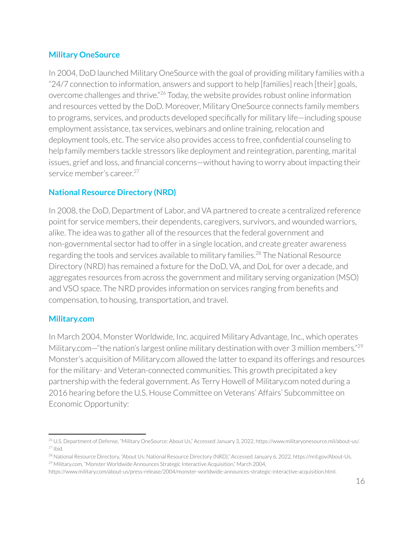#### **Military OneSource**

In 2004, DoD launched Military OneSource with the goal of providing military families with a "24/7 connection to information, answers and support to help [families]reach [their] goals, overcome challenges and thrive."<sup>26</sup> Today, the website provides robust online information and resources vetted by the DoD. Moreover, Military OneSource connects family members to programs, services, and products developed specifically for military life—including spouse employment assistance, tax services, webinars and online training, relocation and deployment tools, etc. The service also provides access to free, confidential counseling to help family members tackle stressors like deployment and reintegration, parenting, marital issues, grief and loss, and financial concerns—without having to worry about impacting their service member's career. 27

#### **National Resource Directory (NRD)**

In 2008, the DoD, Department of Labor, and VA partnered to create a centralized reference point for service members, their dependents, caregivers, survivors, and wounded warriors, alike. The idea was to gather all of the resources that the federal government and non-governmental sector had to offerin a single location, and create greater awareness regarding the tools and services available to military families.<sup>28</sup> The National Resource Directory (NRD) has remained a fixture for the DoD, VA, and DoL for over a decade, and aggregates resources from across the government and military serving organization (MSO) and VSO space. The NRD provides information on services ranging from benefits and compensation, to housing, transportation, and travel.

#### **Military.com**

In March 2004, Monster Worldwide, Inc. acquired Military Advantage, Inc., which operates Military.com—"the nation's largest online military destination with over 3 million members."<sup>29</sup> Monster's acquisition of Military.com allowed the latter to expand its offerings and resources for the military- and Veteran-connected communities. This growth precipitated a key partnership with the federal government. As Terry Howell of Military.com noted during a 2016 hearing before the U.S. House Committee on Veterans' Affairs' Subcommittee on Economic Opportunity:

 $27$  Ibid. <sup>26</sup> U.S. Department of Defense, "Military OneSource: About Us," Accessed January 3, 2022, https://www.militaryonesource.mil/about-us/.

<sup>&</sup>lt;sup>29</sup> Military.com, "Monster Worldwide Announces Strategic Interactive Acquisition," March 2004, <sup>28</sup> National Resource Directory, "About Us: National Resource Directory (NRD)," Accessed January 6, 2022, https://nrd.gov/About-Us.

https://www.military.com/about-us/press-release/2004/monster-worldwide-announces-strategic-interactive-acquisition.html.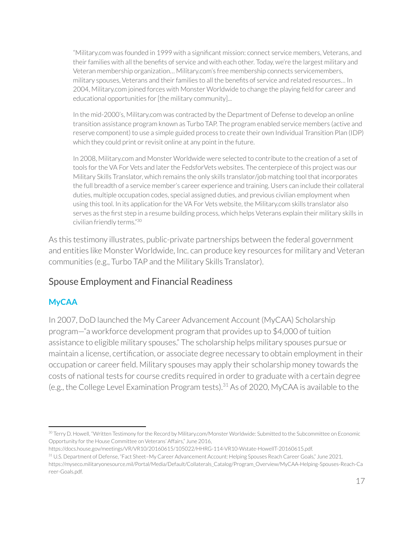"Military.com was founded in 1999 with a significant mission: connect service members, Veterans, and their families with all the benefits of service and with each other. Today, we're the largest military and Veteran membership organization… Military.com's free membership connects servicemembers, military spouses, Veterans and their families to all the benefits of service and related resources... In 2004, Military.com joined forces with Monster Worldwide to change the playing field for career and educational opportunities for [the military community]...

In the mid-2000's, Military.com was contracted by the Department of Defense to develop an online transition assistance program known as Turbo TAP. The program enabled service members (active and reserve component) to use a simple guided process to create their own Individual Transition Plan (IDP) which they could print or revisit online at any point in the future.

In 2008, Military.com and Monster Worldwide were selected to contribute to the creation of a set of tools for the VA For Vets and later the FedsforVets websites. The centerpiece of this project was our Military Skills Translator, which remains the only skills translator/job matching tool that incorporates the full breadth of a service member's career experience and training. Users can include their collateral duties, multiple occupation codes, special assigned duties, and previous civilian employment when using this tool. In its application for the VA For Vets website, the Military.com skills translator also serves as the first step in a resume building process, which helps Veterans explain their military skills in civilian friendly terms." 30

As this testimony illustrates, public-private partnerships between the federal government and entities like Monster Worldwide, Inc. can produce key resources for military and Veteran communities (e.g., Turbo TAP and the Military Skills Translator).

### Spouse Employment and Financial Readiness

#### **MyCAA**

In 2007, DoD launched the My Career Advancement Account (MyCAA) Scholarship program—"a workforce development program that provides up to \$4,000 of tuition assistance to eligible military spouses." The scholarship helps military spouses pursue or maintain a license, certification, or associate degree necessary to obtain employment in their occupation or career field. Military spouses may apply their scholarship money towards the costs of national tests for course credits required in order to graduate with a certain degree (e.g., the College Level Examination Program tests). $31$  As of 2020, MyCAA is available to the

<sup>&</sup>lt;sup>30</sup> Terry D. Howell, "Written Testimony for the Record by Military.com/Monster Worldwide: Submitted to the Subcommittee on Economic Opportunity for the House Committee on Veterans' Affairs," June 2016,

https://docs.house.gov/meetings/VR/VR10/20160615/105022/HHRG-114-VR10-Wstate-HowellT-20160615.pdf.

<sup>31</sup> U.S. Department of Defense, "Fact Sheet–My Career Advancement Account: Helping Spouses Reach Career Goals," June 2021, https://myseco.militaryonesource.mil/Portal/Media/Default/Collaterals\_Catalog/Program\_Overview/MyCAA-Helping-Spouses-Reach-Ca reer-Goals.pdf.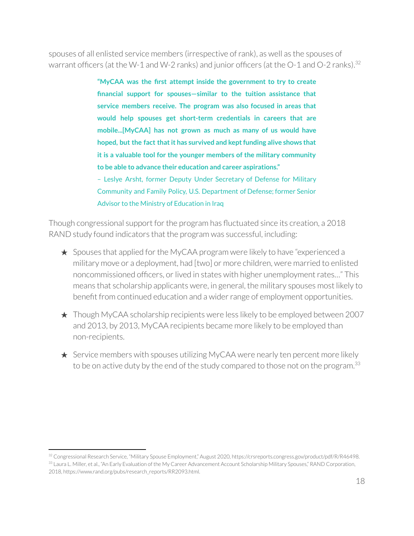spouses of all enlisted service members (irrespective ofrank), as well as the spouses of warrant officers (at the W-1 and W-2 ranks) and junior officers (at the O-1 and O-2 ranks). $^{32}$ 

> **"MyCAA was the first attempt inside the government to try to create financial support for spouses—similar to the tuition assistance that service members receive. The program was also focused in areas that would help spouses get short-term credentials in careers that are mobile...[MyCAA] has not grown as much as many of us would have hoped, but the fact thatit has survived and keptfunding alive shows that it is a valuable tool for the younger members of the military community to be able to advance their education and career aspirations."**

> – Leslye Arsht, former Deputy Under Secretary of Defense for Military Community and Family Policy, U.S. Department of Defense; former Senior Advisor to the Ministry of Education in Iraq

Though congressional support for the program has fluctuated since its creation, a 2018 RAND study found indicators that the program was successful, including:

- $\star$  Spouses that applied for the MyCAA program were likely to have "experienced a military move or a deployment, had [two] or more children, were married to enlisted noncommissioned officers, or lived in states with higher unemployment rates..." This means that scholarship applicants were, in general, the military spouses most likely to benefit from continued education and a wider range of employment opportunities.
- ★ Though MyCAA scholarship recipients were less likely to be employed between 2007 and 2013, by 2013, MyCAA recipients became more likely to be employed than non-recipients.
- ★ Service members with spouses utilizing MyCAA were nearly ten percent more likely to be on active duty by the end of the study compared to those not on the program. $^{33}$

<sup>32</sup> Congressional Research Service, "Military Spouse Employment," August 2020, https://crsreports.congress.gov/product/pdf/R/R46498.

<sup>33</sup> Laura L. Miller, et al., "An Early Evaluation of the My Career Advancement Account Scholarship Military Spouses," RAND Corporation, 2018, https://www.rand.org/pubs/research\_reports/RR2093.html.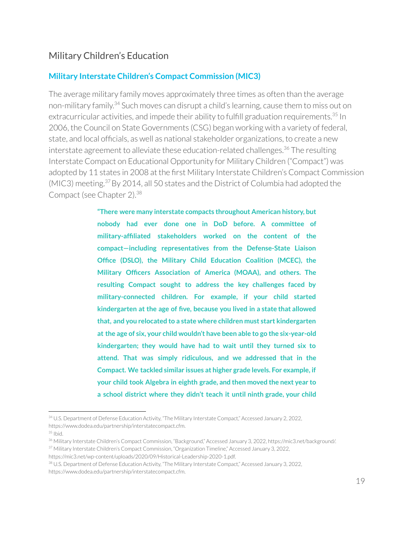#### Military Children's Education

#### **Military Interstate Children's Compact Commission (MIC3)**

The average military family moves approximately three times as often than the average non-military family.<sup>34</sup> Such moves can disrupt a child's learning, cause them to miss out on extracurricular activities, and impede their ability to fulfill graduation requirements.<sup>35</sup> In 2006, the Council on State Governments (CSG) began working with a variety of federal, state, and local officials, as well as national stakeholder organizations, to create a new interstate agreement to alleviate these education-related challenges.<sup>36</sup> The resulting Interstate Compact on Educational Opportunity for Military Children ("Compact") was adopted by 11 states in 2008 at the first Military Interstate Children's Compact Commission  $(MIC3)$  meeting.<sup>37</sup> By 2014, all 50 states and the District of Columbia had adopted the Compact (see Chapter 2). 38

> **"There were many interstate compacts throughout American history, but nobody had ever done one in DoD before. A committee of military-affiliated stakeholders worked on the content of the compact—including representatives from the Defense-State Liaison Office (DSLO), the Military Child Education Coalition (MCEC), the Military Officers Association of America (MOAA), and others. The resulting Compact sought to address the key challenges faced by military-connected children. For example, if your child started kindergarten at the age of five, because you lived in a state that allowed that, and you relocated to a state where children must start kindergarten at the age of six, your child wouldn't have been able to go the six-year-old kindergarten; they would have had to wait until they turned six to attend. That was simply ridiculous, and we addressed that in the Compact. We tackled similar issues at higher grade levels. For example, if your child took Algebra in eighth grade, and then moved the next year to a school district where they didn't teach it until ninth grade, your child**

<sup>34</sup> U.S. Department of Defense Education Activity, "The Military Interstate Compact," Accessed January 2, 2022, https://www.dodea.edu/partnership/interstatecompact.cfm.

<sup>35</sup> Ibid.

<sup>&</sup>lt;sup>37</sup> Military Interstate Children's Compact Commission, "Organization Timeline," Accessed January 3, 2022, <sup>36</sup> Military Interstate Children's Compact Commission, "Background," Accessed January 3, 2022, https://mic3.net/background/.

https://mic3.net/wp-content/uploads/2020/09/Historical-Leadership-2020-1.pdf.

<sup>38</sup> U.S. Department of Defense Education Activity, "The Military Interstate Compact," Accessed January 3, 2022, https://www.dodea.edu/partnership/interstatecompact.cfm.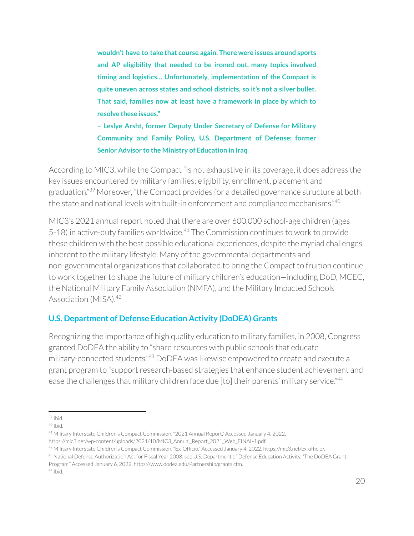**wouldn't have to take that course again. There were issues around sports and AP eligibility that needed to be ironed out, many topics involved timing and logistics… Unfortunately, implementation of the Compact is quite uneven across states and school districts, so it's not a silver bullet. That said, families now at least have a framework in place by which to resolve these issues."**

**– Leslye Arsht, former Deputy Under Secretary of Defense for Military Community and Family Policy, U.S. Department of Defense; former Senior Advisor to the Ministry of Education in Iraq**

According to MIC3, while the Compact "is not exhaustive in its coverage, it does address the key issues encountered by military families: eligibility, enrollment, placement and graduation."<sup>39</sup> Moreover, "the Compact provides for a detailed governance structure at both the state and national levels with built-in enforcement and compliance mechanisms." 40

MIC3's 2021 annual report noted that there are over 600,000 school-age children (ages 5-18) in active-duty families worldwide.<sup>41</sup> The Commission continues to work to provide these children with the best possible educational experiences, despite the myriad challenges inherent to the military lifestyle. Many of the governmental departments and non-governmental organizations that collaborated to bring the Compact to fruition continue to work together to shape the future of military children's education—including DoD, MCEC, the National Military Family Association (NMFA), and the Military Impacted Schools Association (MISA).<sup>42</sup>

#### **U.S. Department of Defense Education Activity (DoDEA) Grants**

Recognizing the importance of high quality education to military families, in 2008, Congress granted DoDEA the ability to "share resources with public schools that educate military-connected students."<sup>43</sup> DoDEA was likewise empowered to create and execute a grant program to "support research-based strategies that enhance student achievement and ease the challenges that military children face due [to] their parents' military service."<sup>44</sup>

<sup>43</sup> National Defense Authorization Act for Fiscal Year 2008; see U.S. Department of Defense Education Activity, "The DoDEA Grant

44 Ibid. Program," Accessed January 6, 2022, https://www.dodea.edu/Partnership/grants.cfm.

<sup>39</sup> Ibid.

<sup>40</sup> Ibid.

<sup>41</sup> Military Interstate Children's Compact Commission, "2021 Annual Report," Accessed January 4, 2022, https://mic3.net/wp-content/uploads/2021/10/MIC3\_Annual\_Report\_2021\_Web\_FINAL-1.pdf.

<sup>42</sup> Military Interstate Children's Compact Commission, "Ex-Officio," Accessed January 4, 2022, https://mic3.net/ex-officio/.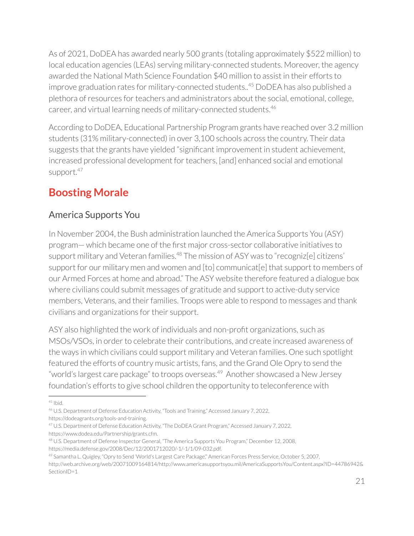As of 2021, DoDEA has awarded nearly 500 grants (totaling approximately \$522 million) to local education agencies (LEAs) serving military-connected students. Moreover, the agency awarded the National Math Science Foundation \$40 million to assist in their efforts to improve graduation rates for military-connected students..<sup>45</sup> DoDEA has also published a plethora of resources for teachers and administrators about the social, emotional, college, career, and virtual learning needs of military-connected students. 46

According to DoDEA, Educational Partnership Program grants have reached over 3.2 million students (31% military-connected) in over 3,100 schools across the country. Their data suggests that the grants have yielded "significant improvement in student achievement, increased professional development for teachers, [and] enhanced social and emotional support. 47

## **Boosting Morale**

### America Supports You

In November 2004, the Bush administration launched the America Supports You (ASY) program— which became one of the first major cross-sector collaborative initiatives to support military and Veteran families.<sup>48</sup> The mission of ASY was to "recogniz[e] citizens' support for our military men and women and [to] communicat[e] that support to members of our Armed Forces at home and abroad." The ASY website therefore featured a dialogue box where civilians could submit messages of gratitude and support to active-duty service members, Veterans, and their families. Troops were able to respond to messages and thank civilians and organizations for their support.

ASY also highlighted the work of individuals and non-profit organizations, such as MSOs/VSOs, in order to celebrate their contributions, and create increased awareness of the ways in which civilians could support military and Veteran families. One such spotlight featured the efforts of country music artists, fans, and the Grand Ole Opry to send the "world's largest care package" to troops overseas.<sup>49</sup> Another showcased a New Jersey foundation's efforts to give school children the opportunity to teleconference with

<sup>45</sup> Ibid.

<sup>46</sup> U.S. Department of Defense Education Activity, "Tools and Training," Accessed January 7, 2022, https://dodeagrants.org/tools-and-training.

<sup>47</sup> U.S. Department of Defense Education Activity, "The DoDEA Grant Program," Accessed January 7, 2022, https://www.dodea.edu/Partnership/grants.cfm.

<sup>48</sup> U.S. Department of Defense Inspector General, "The America Supports You Program," December 12, 2008, https://media.defense.gov/2008/Dec/12/2001712020/-1/-1/1/09-032.pdf.

<sup>&</sup>lt;sup>49</sup> Samantha L. Quigley, "Opry to Send 'World's Largest Care Package", American Forces Press Service, October 5, 2007,

http://web.archive.org/web/20071009164814/http://www.americasupportsyou.mil/AmericaSupportsYou/Content.aspx?ID=44786942& SectionID=1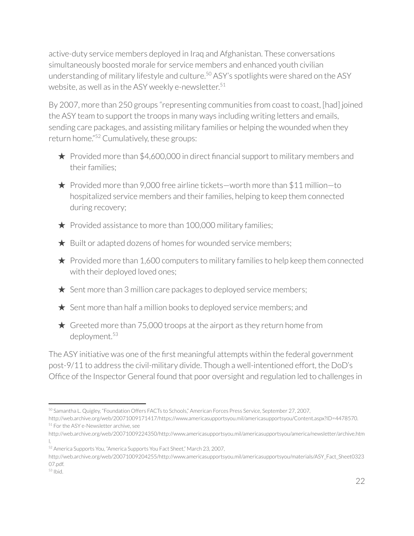active-duty service members deployed in Iraq and Afghanistan. These conversations simultaneously boosted morale for service members and enhanced youth civilian understanding of military lifestyle and culture.<sup>50</sup> ASY's spotlights were shared on the ASY website, as well as in the ASY weekly e-newsletter. 51

By 2007, more than 250 groups "representing communities from coast to coast, [had] joined the ASY team to support the troops in many ways including writing letters and emails, sending care packages, and assisting military families or helping the wounded when they return home."<sup>52</sup> Cumulatively, these groups:

 $\star$  Provided more than \$4,600,000 in direct financial support to military members and their families:

★ Provided more than 9,000 free airline tickets—worth more than \$11 million—to hospitalized service members and their families, helping to keep them connected during recovery;

- $\bigstar$  Provided assistance to more than 100,000 military families;
- $\bigstar$  Built or adapted dozens of homes for wounded service members;

 $\star$  Provided more than 1,600 computers to military families to help keep them connected with their deployed loved ones;

- $\star$  Sent more than 3 million care packages to deployed service members;
- $\star$  Sent more than half a million books to deployed service members; and
- $\star$  Greeted more than 75,000 troops at the airport as they return home from deployment. 53

The ASY initiative was one of the first meaningful attempts within the federal government post-9/11 to address the civil-military divide. Though a well-intentioned effort, the DoD's Office of the Inspector General found that poor oversight and regulation led to challenges in

<sup>&</sup>lt;sup>51</sup> For the ASY e-Newsletter archive, see <sup>50</sup> Samantha L. Quigley, "Foundation Offers FACTs to Schools," American Forces Press Service, September 27, 2007, http://web.archive.org/web/20071009171417/https://www.americasupportsyou.mil/americasupportsyou/Content.aspx?ID=4478570.

http://web.archive.org/web/20071009224350/http://www.americasupportsyou.mil/americasupportsyou/america/newsletter/archive.htm l.

<sup>52</sup> America Supports You, "America Supports You Fact Sheet," March 23, 2007,

http://web.archive.org/web/20071009204255/http://www.americasupportsyou.mil/americasupportsyou/materials/ASY\_Fact\_Sheet0323 07.pdf.

<sup>53</sup> Ibid.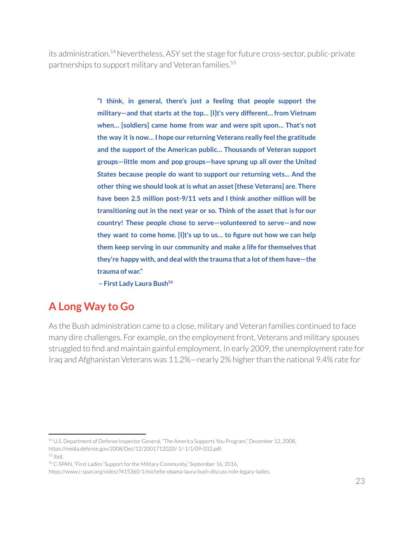its administration.<sup>54</sup> Nevertheless, ASY set the stage for future cross-sector, public-private partnerships to support military and Veteran families. 55

> **"I think, in general, there's just a feeling that people support the military—and that starts at the top… [I]t's very different… from Vietnam when… [soldiers] came home from war and were spit upon… That's not the way it is now… I hope our returning Veterans really feelthe gratitude and the support of the American public… Thousands of Veteran support groups—little mom and pop groups—have sprung up all over the United States because people do want to support our returning vets… And the other thing we should look atis what an asset[these Veterans] are. There have been 2.5 million post-9/11 vets and I think another million will be transitioning out in the next year or so. Think of the asset that is for our country! These people chose to serve—volunteered to serve—and now they want to come home. [I]t's up to us… to figure out how we can help them keep serving in our community and make a life for themselves that they're happy with, and deal with the trauma that a lot ofthem have—the trauma of war."**

**– First Lady Laura Bush 56**

## **A Long Way to Go**

As the Bush administration came to a close, military and Veteran families continued to face many dire challenges. For example, on the employment front, Veterans and military spouses struggled to find and maintain gainful employment. In early 2009, the unemployment rate for Iraq and Afghanistan Veterans was 11.2%—nearly 2% higher than the national 9.4% rate for

<sup>54</sup> U.S. Department of Defense Inspector General, "The America Supports You Program," December 12, 2008, https://media.defense.gov/2008/Dec/12/2001712020/-1/-1/1/09-032.pdf.

<sup>55</sup> Ibid.

<sup>&</sup>lt;sup>56</sup> C-SPAN, "First Ladies' Support for the Military Community," September 16, 2016,

https://www.c-span.org/video/?415360-1/michelle-obama-laura-bush-discuss-role-legacy-ladies.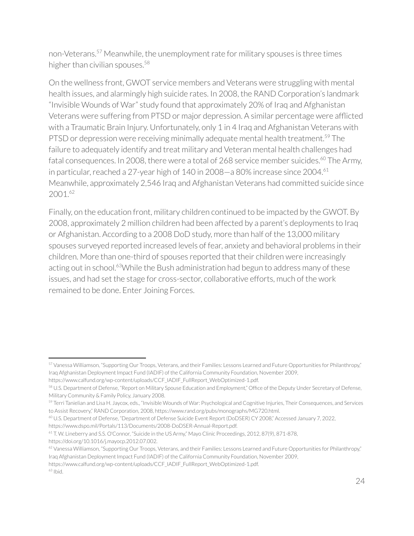non-Veterans.<sup>57</sup> Meanwhile, the unemployment rate for military spouses is three times higher than civilian spouses.<sup>58</sup>

On the wellness front, GWOT service members and Veterans were struggling with mental health issues, and alarmingly high suicide rates. In 2008, the RAND Corporation's landmark "Invisible Wounds of War" study found that approximately 20% of Iraq and Afghanistan Veterans were suffering from PTSD or major depression. A similar percentage were afflicted with a Traumatic Brain Injury. Unfortunately, only 1 in 4 Iraq and Afghanistan Veterans with PTSD or depression were receiving minimally adequate mental health treatment.<sup>59</sup> The failure to adequately identify and treat military and Veteran mental health challenges had fatal consequences. In 2008, there were a total of 268 service member suicides. $^{\rm 60}$  The Army, in particular, reached a 27-year high of 140 in 2008 $-$ a 80% increase since 2004. $^{61}$ Meanwhile, approximately 2,546 Iraq and Afghanistan Veterans had committed suicide since 2001. 62

Finally, on the education front, military children continued to be impacted by the GWOT. By 2008, approximately 2 million children had been affected by a parent's deployments to Iraq or Afghanistan. According to a 2008 DoD study, more than half of the 13,000 military spouses surveyed reported increased levels of fear, anxiety and behavioral problems in their children. More than one-third of spouses reported that their children were increasingly acting out in school.<sup>63</sup>While the Bush administration had begun to address many of these issues, and had set the stage for cross-sector, collaborative efforts, much of the work remained to be done. Enter Joining Forces.

https://www.dspo.mil/Portals/113/Documents/2008-DoDSER-Annual-Report.pdf.

https://www.calfund.org/wp-content/uploads/CCF\_IADIF\_FullReport\_WebOptimized-1.pdf.

<sup>57</sup> Vanessa Williamson, "Supporting Our Troops, Veterans, and their Families: Lessons Learned and Future Opportunities for Philanthropy," Iraq Afghanistan Deployment Impact Fund (IADIF) of the California Community Foundation, November 2009,

https://www.calfund.org/wp-content/uploads/CCF\_IADIF\_FullReport\_WebOptimized-1.pdf.

<sup>58</sup> U.S. Department of Defense, "Report on Military Spouse Education and Employment," Office of the Deputy Under Secretary of Defense, Military Community & Family Policy, January 2008.

<sup>&</sup>lt;sup>59</sup> Terri Tanielian and Lisa H. Jaycox, eds., "Invisible Wounds of War: Psychological and Cognitive Injuries, Their Consequences, and Services to Assist Recovery," RAND Corporation, 2008, https://www.rand.org/pubs/monographs/MG720.html.

<sup>60</sup> U.S. Department of Defense, "Department of Defense Suicide Event Report (DoDSER) CY 2008," Accessed January 7, 2022,

<sup>61</sup> T. W. Lineberry and S.S. O'Connor, "Suicide in the US Army," Mayo Clinic Proceedings, 2012, 87(9), 871-878, https://doi.org/10.1016/j.mayocp.2012.07.002.

<sup>&</sup>lt;sup>62</sup> Vanessa Williamson, "Supporting Our Troops, Veterans, and their Families: Lessons Learned and Future Opportunities for Philanthropy," Iraq Afghanistan Deployment Impact Fund (IADIF) of the California Community Foundation, November 2009,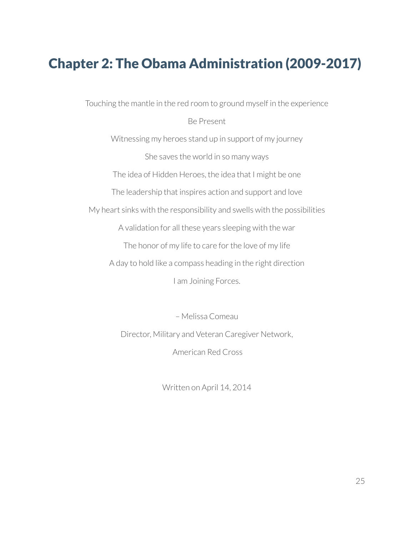## Chapter 2: The Obama Administration (2009-2017)

Touching the mantle in the red room to ground myself in the experience

#### Be Present

Witnessing my heroes stand up in support of my journey She saves the world in so many ways The idea of Hidden Heroes, the idea that I might be one The leadership that inspires action and support and love My heart sinks with the responsibility and swells with the possibilities A validation for all these years sleeping with the war The honor of my life to care for the love of my life A day to hold like a compass heading in the right direction I am Joining Forces.

> – Melissa Comeau Director, Military and Veteran Caregiver Network, American Red Cross

> > Written on April 14, 2014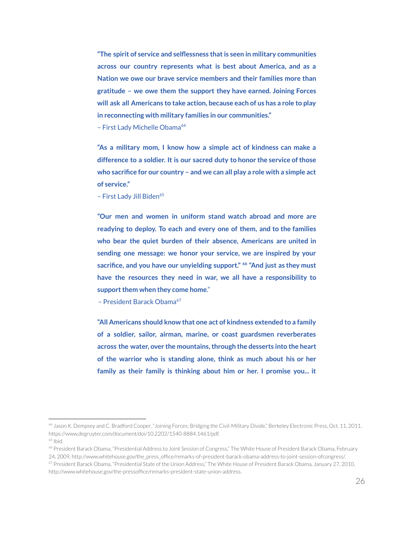**"The spirit of service and selflessness thatis seen in military communities across our country represents what is best about America, and as a Nation we owe our brave service members and their families more than gratitude – we owe them the support they have earned. Joining Forces will ask all Americans to take action, because each of us has a role to play in reconnecting with military families in our communities."**

- First Lady Michelle Obama<sup>64</sup>

**"As a military mom, I know how a simple act of kindness can make a difference to a soldier. It is our sacred duty to honor the service ofthose who sacrifice for our country – and we can all play a role with a simple act of service."**

- First Lady Jill Biden<sup>65</sup>

**"Our men and women in uniform stand watch abroad and more are readying to deploy. To each and every one of them, and to the families who bear the quiet burden of their absence, Americans are united in sending one message: we honor your service, we are inspired by your sacrifice, and you have our unyielding support." "And just as they must 66 have the resources they need in war, we all have a responsibility to support them when they come home."** 

- President Barack Obama<sup>67</sup>

**"All Americans should know that one act of kindness extended to a family of a soldier, sailor, airman, marine, or coast guardsmen reverberates across the water, over the mountains,through the desserts into the heart of the warrior who is standing alone, think as much about his or her family as their family is thinking about him or her. I promise you... it**

<sup>&</sup>lt;sup>64</sup> Jason K. Dempsey and C. Bradford Cooper, "Joining Forces: Bridging the Civil-Military Divide," Berkeley Electronic Press, Oct. 11, 2011, https://www.degruyter.com/document/doi/10.2202/1540-8884.1461/pdf.

<sup>65</sup> Ibid.

<sup>66</sup> President Barack Obama, "Presidential Address to Joint Session of Congress," The White House of President Barack Obama, February 24, 2009, http://www.whitehouse.gov/the\_press\_office/remarks-of-president-barack-obama-address-to-joint-session-ofcongress/.

<sup>67</sup> President Barack Obama, "Presidential State of the Union Address," The White House of President Barack Obama, January 27, 2010, http://www.whitehouse.gov/the-pressoffice/remarks-president-state-union-address.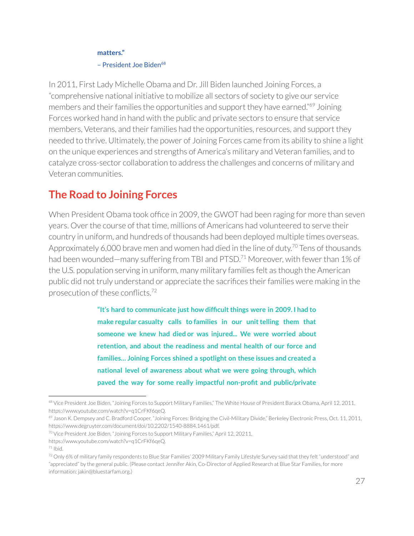#### **matters."**

#### - President Joe Biden<sup>68</sup>

In 2011, First Lady Michelle Obama and Dr. Jill Biden launched Joining Forces, a "comprehensive national initiative to mobilize all sectors of society to give our service members and their families the opportunities and support they have earned."<sup>69</sup> Joining Forces worked hand in hand with the public and private sectors to ensure that service members, Veterans, and their families had the opportunities, resources, and support they needed to thrive. Ultimately, the power of Joining Forces came from its ability to shine a light on the unique experiences and strengths of America's military and Veteran families, and to catalyze cross-sector collaboration to address the challenges and concerns of military and Veteran communities.

## **The Road to Joining Forces**

When President Obama took office in 2009, the GWOT had been raging for more than seven years. Over the course of that time, millions of Americans had volunteered to serve their country in uniform, and hundreds of thousands had been deployed multiple times overseas. Approximately 6,000 brave men and women had died in the line of duty. $^{70}$  Tens of thousands had been wounded—many suffering from TBI and PTSD.<sup>71</sup> Moreover, with fewer than 1% of the U.S. population serving in uniform, many military families felt as though the American public did not truly understand or appreciate the sacrifices their families were making in the prosecution of these conflicts.<sup>72</sup>

> **"It's hard to communicate just how difficultthings were in 2009. I had to make regular casualty calls to families in our unittelling them that someone we knew had died or was injured... We were worried about retention, and about the readiness and mental health of our force and families… Joining Forces shined a spotlight on these issues and created a national level of awareness about what we were going through, which paved the way for some really impactful non-profit and public/private**

<sup>&</sup>lt;sup>68</sup> Vice President Joe Biden, "Joining Forces to Support Military Families," The White House of President Barack Obama, April 12, 2011, https://www.youtube.com/watch?v=q1CrFKf6qeQ.

<sup>&</sup>lt;sup>69</sup> Jason K. Dempsey and C. Bradford Cooper, "Joining Forces: Bridging the Civil-Military Divide," Berkeley Electronic Press, Oct. 11, 2011, https://www.degruyter.com/document/doi/10.2202/1540-8884.1461/pdf.

 $70$  Vice President Joe Biden, "Joining Forces to Support Military Families," April 12, 20211,

https://www.youtube.com/watch?v=q1CrFKf6qeQ.

<sup>71</sup> Ibid.

<sup>72</sup> Only 6% of military family respondents to Blue Star Families' 2009 Military Family Lifestyle Survey said that they felt "understood" and "appreciated" by the general public. (Please contact Jennifer Akin, Co-Director of Applied Research at Blue Star Families, for more information: jakin@bluestarfam.org.)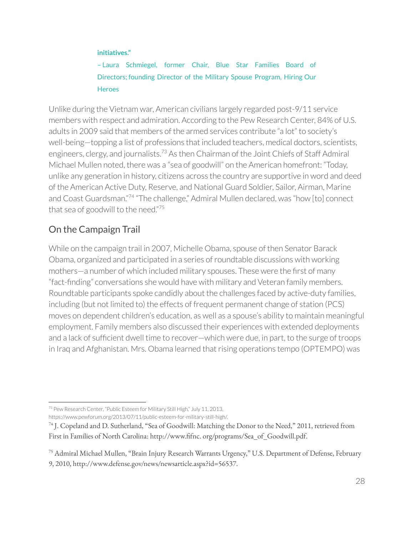#### **initiatives."**

– Laura Schmiegel, former Chair, Blue Star Families Board of Directors; founding Director of the Military Spouse Program, Hiring Our **Heroes** 

Unlike during the Vietnam war, American civilians largely regarded post-9/11 service members with respect and admiration. According to the Pew Research Center, 84% of U.S. adults in 2009 said that members of the armed services contribute "a lot" to society's well-being—topping a list of professions that included teachers, medical doctors, scientists, engineers, clergy, and journalists.<sup>73</sup> As then Chairman of the Joint Chiefs of Staff Admiral Michael Mullen noted, there was a "sea of goodwill" on the American homefront: "Today, unlike any generation in history, citizens across the country are supportive in word and deed of the American Active Duty, Reserve, and National Guard Soldier, Sailor, Airman, Marine and Coast Guardsman."<sup>74</sup> "The challenge," Admiral Mullen declared, was "how [to] connect that sea of goodwill to the need."<sup>75</sup>

### On the Campaign Trail

While on the campaign trail in 2007, Michelle Obama, spouse of then Senator Barack Obama, organized and participated in a series ofroundtable discussions with working mothers—a number of which included military spouses. These were the first of many "fact-finding" conversations she would have with military and Veteran family members. Roundtable participants spoke candidly about the challenges faced by active-duty families, including (but not limited to) the effects of frequent permanent change of station (PCS) moves on dependent children's education, as well as a spouse's ability to maintain meaningful employment. Family members also discussed their experiences with extended deployments and a lack of sufficient dwell time to recover—which were due, in part, to the surge of troops in Iraq and Afghanistan. Mrs. Obama learned that rising operations tempo (OPTEMPO) was

<sup>73</sup> Pew Research Center, "Public Esteem for Military Still High," July 11, 2013, https://www.pewforum.org/2013/07/11/public-esteem-for-military-still-high/.

<sup>74</sup> J. Copeland and D. Sutherland, "Sea of Goodwill: Matching the Donor to the Need," 2011, retrieved from First in Families of North Carolina: http://www.fifnc. org/programs/Sea\_of\_Goodwill.pdf.

<sup>75</sup> Admiral Michael Mullen, "Brain Injury Research Warrants Urgency," U.S. Department of Defense, February 9, 2010, http://www.defense.gov/news/newsarticle.aspx?id=56537.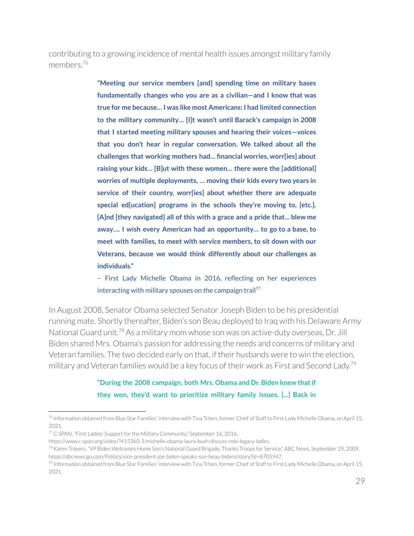contributing to a growing incidence of mental health issues amongst military family members. 76

> **"Meeting our service members [and] spending time on military bases fundamentally changes who you are as a civilian—and I know that was true for me because… I was like most Americans: I had limited connection to the military community… [I]t wasn't until Barack's campaign in 2008 that I started meeting military spouses and hearing their voices—voices that you don't hear in regular conversation. We talked about all the challenges that working mothers had… financial worries, worr[ies] about raising your kids… [B]ut with these women… there were the [additional] worries of multiple deployments, … moving their kids every two years in service of their country, worr[ies] about whether there are adequate special ed[ucation] programs in the schools they're moving to, [etc.]. [A]nd [they navigated] all of this with a grace and a pride that… blew me away…. I wish every American had an opportunity… to go to a base, to meet with families, to meet with service members, to sit down with our Veterans, because we would think differently about our challenges as individuals."**

> – First Lady Michelle Obama in 2016, reflecting on her experiences interacting with military spouses on the campaign trail<sup>77</sup>

In August 2008, Senator Obama selected Senator Joseph Biden to be his presidential running mate. Shortly thereafter, Biden's son Beau deployed to Iraq with his Delaware Army National Guard unit.<sup>78</sup> As a military mom whose son was on active-duty overseas, Dr. Jill Biden shared Mrs. Obama's passion for addressing the needs and concerns of military and Veteran families. The two decided early on that, if their husbands were to win the election, military and Veteran families would be a key focus of their work as First and Second Lady.<sup>79</sup>

#### **"During the 2008 campaign, both Mrs. Obama and Dr. Biden knew thatif they won, they'd want to prioritize military family issues. [...] Back in**

<sup>&</sup>lt;sup>76</sup> Information obtained from Blue Star Families' interview with Tina Tchen, former Chief of Staff to First Lady Michelle Obama, on April 15, 2021.

<sup>77</sup> C-SPAN, "First Ladies' Support forthe Military Community," September 16, 2016,

https://www.c-span.org/video/?415360-1/michelle-obama-laura-bush-discuss-role-legacy-ladies.

<sup>78</sup> Karen Travers, "VP Biden Welcomes Home Son's National Guard Brigade, Thanks Troops for Service," ABC News, September 29, 2009, https://abcnews.go.com/Politics/vice-president-joe-biden-speaks-son-beau-bidens/story?id=8705947.

<sup>&</sup>lt;sup>79</sup> Information obtained from Blue Star Families' interview with Tina Tchen, former Chief of Staff to First Lady Michelle Obama, on April 15, 2021.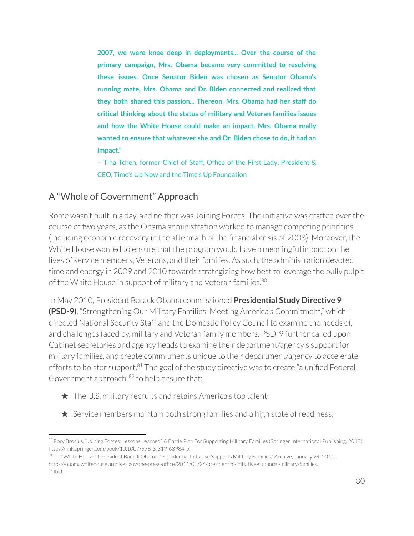**2007, we were knee deep in deployments... Over the course of the primary campaign, Mrs. Obama became very committed to resolving these issues. Once Senator Biden was chosen as Senator Obama's running mate, Mrs. Obama and Dr. Biden connected and realized that they both shared this passion... Thereon, Mrs. Obama had her staff do critical thinking about the status of military and Veteran families issues and how the White House could make an impact. Mrs. Obama really wanted to ensure that whatever she and Dr. Biden chose to do, it had an impact."**

– Tina Tchen, former Chief of Staff, Office of the First Lady; President & CEO, Time's Up Now and the Time's Up Foundation

### A "Whole of Government" Approach

Rome wasn't built in a day, and neither was Joining Forces. The initiative was crafted overthe course of two years, as the Obama administration worked to manage competing priorities (including economic recovery in the aftermath of the financial crisis of 2008). Moreover, the White House wanted to ensure that the program would have a meaningful impact on the lives of service members, Veterans, and their families. As such, the administration devoted time and energy in 2009 and 2010 towards strategizing how best to leverage the bully pulpit of the White House in support of military and Veteran families.<sup>80</sup>

In May 2010, President Barack Obama commissioned **Presidential Study Directive 9 (PSD-9)**, "Strengthening Our Military Families: Meeting America's Commitment," which directed National Security Staff and the Domestic Policy Council to examine the needs of, and challenges faced by, military and Veteran family members. PSD-9 further called upon Cabinet secretaries and agency heads to examine their department/agency's support for military families, and create commitments unique to their department/agency to accelerate efforts to bolster support.<sup>81</sup> The goal of the study directive was to create "a unified Federal Government approach"<sup>82</sup> to help ensure that:

- $\bigstar$  The U.S. military recruits and retains America's top talent;
- $\star$  Service members maintain both strong families and a high state of readiness;

<sup>80</sup> Rory Brosius, "Joining Forces: Lessons Learned," A Battle Plan For Supporting Military Families (Springer International Publishing, 2018), https://link.springer.com/book/10.1007/978-3-319-68984-5.

<sup>82</sup> Ibid. <sup>81</sup> The White House of President Barack Obama, "Presidential Initiative Supports Military Families," Archive, January 24, 2011, https://obamawhitehouse.archives.gov/the-press-office/2011/01/24/presidential-initiative-supports-military-families.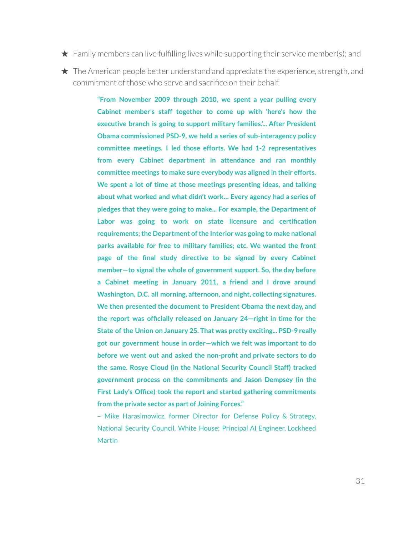- $\star$  Family members can live fulfilling lives while supporting their service member(s); and
- 

 $\star$  The American people better understand and appreciate the experience, strength, and commitment of those who serve and sacrifice on their behalf.

> **"From November 2009 through 2010, we spent a year pulling every Cabinet member's staff together to come up with 'here's how the executive branch is going to support military families.'... After President Obama commissioned PSD-9, we held a series of sub-interagency policy committee meetings. I led those efforts. We had 1-2 representatives from every Cabinet department in attendance and ran monthly committee meetings to make sure everybody was aligned in their efforts. We spent a lot of time at those meetings presenting ideas, and talking about what worked and what didn't work… Every agency had a series of pledges that they were going to make... For example, the Department of Labor was going to work on state licensure and certification requirements;the Department ofthe Interior was going to make national parks available for free to military families; etc. We wanted the front page of the final study directive to be signed by every Cabinet member—to signal the whole of government support. So, the day before a Cabinet meeting in January 2011, a friend and I drove around Washington, D.C. all morning, afternoon, and night, collecting signatures. We then presented the document to President Obama the next day, and the report was officially released on January 24—right in time for the State of the Union on January 25. That was pretty exciting... PSD-9 really got our government house in order—which we felt was important to do before we went out and asked the non-profit and private sectors to do the same. Rosye Cloud (in the National Security Council Staff) tracked government process on the commitments and Jason Dempsey (in the First Lady's Office) took the report and started gathering commitments from the private sector as part of Joining Forces."**

> – Mike Harasimowicz, former Director for Defense Policy & Strategy, National Security Council, White House; Principal AI Engineer, Lockheed **Martin**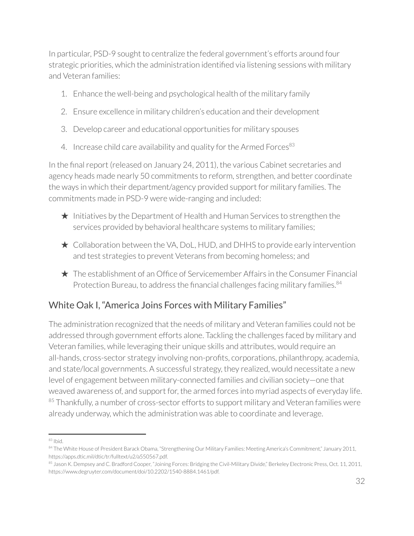In particular, PSD-9 sought to centralize the federal government's efforts around four strategic priorities, which the administration identified via listening sessions with military and Veteran families:

- 1. Enhance the well-being and psychological health of the military family
- 2. Ensure excellence in military children's education and their development
- 3. Develop career and educational opportunities for military spouses
- 4. Increase child care availability and quality for the Armed Forces $^{83}$

In the final report (released on January 24, 2011), the various Cabinet secretaries and agency heads made nearly 50 commitments to reform, strengthen, and better coordinate the ways in which their department/agency provided support for military families. The commitments made in PSD-9 were wide-ranging and included:

- $\star$  Initiatives by the Department of Health and Human Services to strengthen the services provided by behavioral healthcare systems to military families;
- ★ Collaboration between the VA, DoL, HUD, and DHHS to provide early intervention and test strategies to prevent Veterans from becoming homeless; and
- ★ The establishment of an Office of Servicemember Affairs in the Consumer Financial Protection Bureau, to address the financial challenges facing military families.<sup>84</sup>

### White Oak I, "America Joins Forces with Military Families"

The administration recognized that the needs of military and Veteran families could not be addressed through government efforts alone. Tackling the challenges faced by military and Veteran families, while leveraging their unique skills and attributes, would require an all-hands, cross-sector strategy involving non-profits, corporations, philanthropy, academia, and state/local governments. A successful strategy, they realized, would necessitate a new level of engagement between military-connected families and civilian society—one that weaved awareness of, and support for, the armed forces into myriad aspects of everyday life.  $85$  Thankfully, a number of cross-sector efforts to support military and Veteran families were already underway, which the administration was able to coordinate and leverage.

<sup>83</sup> Ibid.

<sup>84</sup> The White House of President Barack Obama, "Strengthening Our Military Families: Meeting America's Commitment," January 2011, https://apps.dtic.mil/dtic/tr/fulltext/u2/a550567.pdf.

<sup>85</sup> Jason K. Dempsey and C. Bradford Cooper, "Joining Forces: Bridging the Civil-Military Divide," Berkeley Electronic Press, Oct. 11, 2011, https://www.degruyter.com/document/doi/10.2202/1540-8884.1461/pdf.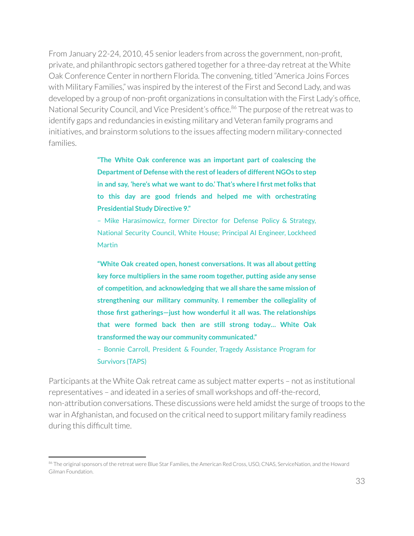From January 22-24, 2010, 45 senior leaders from across the government, non-profit, private, and philanthropic sectors gathered together for a three-day retreat at the White Oak Conference Centerin northern Florida. The convening, titled "America Joins Forces with Military Families," was inspired by the interest of the First and Second Lady, and was developed by a group of non-profit organizations in consultation with the First Lady's office, National Security Council, and Vice President's office.<sup>86</sup> The purpose of the retreat was to identify gaps and redundancies in existing military and Veteran family programs and initiatives, and brainstorm solutions to the issues affecting modern military-connected families.

> **"The White Oak conference was an important part of coalescing the Department of Defense with the rest of leaders of different NGOs to step in and say, 'here's what we want to do.' That's where I first metfolks that to this day are good friends and helped me with orchestrating Presidential Study Directive 9."**

> – Mike Harasimowicz, former Director for Defense Policy & Strategy, National Security Council, White House; Principal AI Engineer, Lockheed **Martin**

> **"White Oak created open, honest conversations. It was all about getting key force multipliers in the same room together, putting aside any sense of competition, and acknowledging that we all share the same mission of strengthening our military community. I remember the collegiality of those first gatherings—just how wonderful it all was. The relationships that were formed back then are still strong today… White Oak transformed the way our community communicated."**

> – Bonnie Carroll, President & Founder, Tragedy Assistance Program for Survivors (TAPS)

Participants at the White Oak retreat came as subject matter experts – not as institutional representatives – and ideated in a series of small workshops and off-the-record, non-attribution conversations. These discussions were held amidst the surge of troops to the war in Afghanistan, and focused on the critical need to support military family readiness during this difficult time.

<sup>86</sup> The original sponsors of the retreat were Blue Star Families, the American Red Cross, USO, CNAS, ServiceNation, and the Howard Gilman Foundation.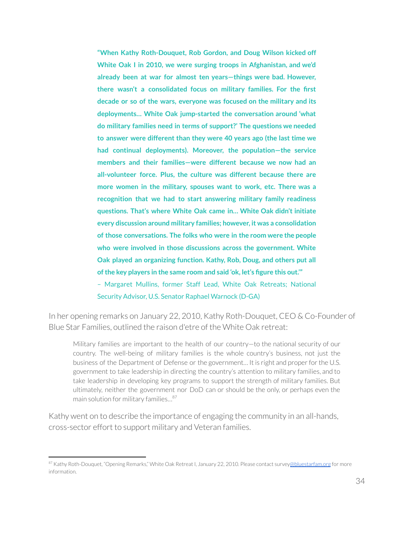**"When Kathy Roth-Douquet, Rob Gordon, and Doug Wilson kicked off White Oak I in 2010, we were surging troops in Afghanistan, and we'd already been at war for almost ten years—things were bad. However, there wasn't a consolidated focus on military families. For the first decade or so of the wars, everyone was focused on the military and its deployments… White Oak jump-started the conversation around 'what do military families need in terms of support?' The questions we needed to answer were different than they were 40 years ago (the last time we had continual deployments). Moreover, the population—the service members and their families—were different because we now had an all-volunteer force. Plus, the culture was different because there are more women in the military, spouses want to work, etc. There was a recognition that we had to start answering military family readiness questions. That's where White Oak came in… White Oak didn't initiate every discussion around military families; however, it was a consolidation of those conversations. The folks who were in the room were the people who were involved in those discussions across the government. White Oak played an organizing function. Kathy, Rob, Doug, and others put all ofthe key players in the same room and said 'ok, let's figure this out.'"** – Margaret Mullins, former Staff Lead, White Oak Retreats; National Security Advisor, U.S. Senator Raphael Warnock (D-GA)

In her opening remarks on January 22, 2010, Kathy Roth-Douquet, CEO & Co-Founder of Blue Star Families, outlined the raison d'etre of the White Oak retreat:

Military families are important to the health of our country—to the national security of our country. The well-being of military families is the whole country's business, not just the business of the Department of Defense or the government... It is right and proper for the U.S. government to take leadership in directing the country's attention to military families, and to take leadership in developing key programs to support the strength of military families. But ultimately, neither the government nor DoD can or should be the only, or perhaps even the main solution for military families… 87

Kathy went on to describe the importance of engaging the community in an all-hands, cross-sector effort to support military and Veteran families.

<sup>87</sup> Kathy Roth-Douquet, "Opening Remarks," White Oak Retreat I, January 22, 2010. Please contact survey[@bluestarfam.org](mailto:abrazer@bluestarfam.org) for more information.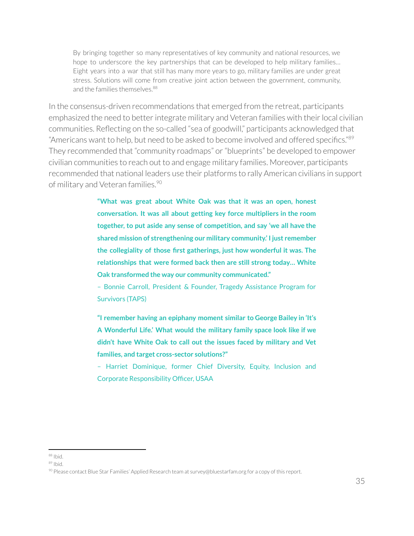By bringing together so many representatives of key community and national resources, we hope to underscore the key partnerships that can be developed to help military families… Eight years into a war that still has many more years to go, military families are under great stress. Solutions will come from creative joint action between the government, community, and the families themselves. 88

In the consensus-driven recommendations that emerged from the retreat, participants emphasized the need to better integrate military and Veteran families with their local civilian communities. Reflecting on the so-called "sea of goodwill," participants acknowledged that "Americans want to help, but need to be asked to become involved and offered specifics."<sup>89</sup> They recommended that "community roadmaps" or "blueprints" be developed to empower civilian communities to reach out to and engage military families. Moreover, participants recommended that national leaders use their platforms to rally American civilians in support of military and Veteran families. 90

> **"What was great about White Oak was that it was an open, honest conversation. It was all about getting key force multipliers in the room together, to put aside any sense of competition, and say 'we all have the shared mission of strengthening our military community.' I just remember the collegiality of those first gatherings, just how wonderful it was. The relationships that were formed back then are still strong today… White Oak transformed the way our community communicated."**

> – Bonnie Carroll, President & Founder, Tragedy Assistance Program for Survivors (TAPS)

> **"I remember having an epiphany moment similar to George Bailey in 'It's A Wonderful Life.' What would the military family space look like if we didn't have White Oak to call out the issues faced by military and Vet families, and target cross-sector solutions?"**

> – Harriet Dominique, former Chief Diversity, Equity, Inclusion and Corporate Responsibility Officer, USAA

<sup>88</sup> Ibid.

<sup>&</sup>lt;sup>89</sup> Ibid.

<sup>90</sup> Please contact Blue Star Families' Applied Research team at survey@bluestarfam.org for a copy of this report.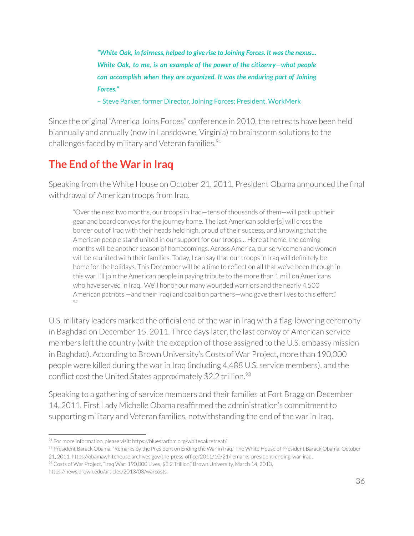*"White Oak, in fairness, helped to give rise to Joining Forces. It wasthe nexus... White Oak, to me, is an example of the power of the citizenry—what people can accomplish when they are organized. It was the enduring part of Joining Forces."*

– Steve Parker, former Director, Joining Forces; President, WorkMerk

Since the original "America Joins Forces" conference in 2010, the retreats have been held biannually and annually (now in Lansdowne, Virginia) to brainstorm solutions to the challenges faced by military and Veteran families. 91

# **The End ofthe War in Iraq**

Speaking from the White House on October 21, 2011, President Obama announced the final withdrawal of American troops from Iraq.

"Over the next two months, our troops in Iraq—tens of thousands of them—will pack up their gear and board convoys forthe journey home. The last American soldier[s] will cross the border out of Iraq with their heads held high, proud of their success, and knowing that the American people stand united in our support for our troops... Here at home, the coming months will be another season of homecomings. Across America, our servicemen and women will be reunited with their families. Today, I can say that our troops in Iraq will definitely be home for the holidays. This December will be a time to reflect on all that we've been through in this war. I'll join the American people in paying tribute to the more than 1 million Americans who have served in Iraq. We'll honor our many wounded warriors and the nearly 4,500 American patriots —and their Iraqi and coalition partners—who gave their lives to this effort." 92

U.S. military leaders marked the official end of the war in Iraq with a flag-lowering ceremony in Baghdad on December 15, 2011. Three days later, the last convoy of American service members left the country (with the exception of those assigned to the U.S. embassy mission in Baghdad). According to Brown University's Costs of War Project, more than 190,000 people were killed during the warin Iraq (including 4,488 U.S. service members), and the conflict cost the United States approximately \$2.2 trillion.<sup>93</sup>

Speaking to a gathering of service members and their families at Fort Bragg on December 14, 2011, First Lady Michelle Obama reaffirmed the administration's commitment to supporting military and Veteran families, notwithstanding the end of the war in Iraq.

https://news.brown.edu/articles/2013/03/warcosts.

 $91$  For more information, please visit: https://bluestarfam.org/whiteoakretreat/.

 $92$  President Barack Obama, "Remarks by the President on Ending the War in Iraq," The White House of President Barack Obama, October 21, 2011, https://obamawhitehouse.archives.gov/the-press-office/2011/10/21/remarks-president-ending-war-iraq.

<sup>93</sup> Costs of War Project, "Iraq War: 190,000 Lives, \$2.2 Trillion," Brown University, March 14, 2013,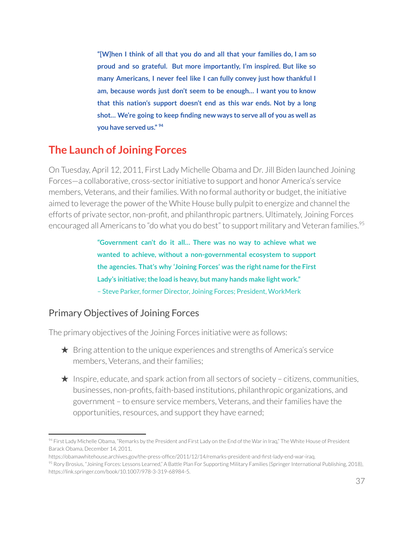**"[W]hen I think of all that you do and all that your families do, I am so proud and so grateful. But more importantly, I'm inspired. But like so many Americans, I never feel like I can fully convey just how thankful I am, because words just don't seem to be enough… I want you to know that this nation's support doesn't end as this war ends. Not by a long shot… We're going to keep finding new ways to serve all of you as well as you have served us." 94**

# **The Launch of Joining Forces**

On Tuesday, April 12, 2011, First Lady Michelle Obama and Dr. Jill Biden launched Joining Forces—a collaborative, cross-sector initiative to support and honor America's service members, Veterans, and their families. With no formal authority or budget, the initiative aimed to leverage the power of the White House bully pulpit to energize and channel the efforts of private sector, non-profit, and philanthropic partners. Ultimately, Joining Forces encouraged all Americans to "do what you do best" to support military and Veteran families.<sup>95</sup>

> **"Government can't do it all… There was no way to achieve what we wanted to achieve, without a non-governmental ecosystem to support the agencies. That's why 'Joining Forces' was the right name for the First Lady's initiative;the load is heavy, but many hands make light work."** – Steve Parker, former Director, Joining Forces; President, WorkMerk

## Primary Objectives of Joining Forces

The primary objectives of the Joining Forces initiative were as follows:

- $\star$  Bring attention to the unique experiences and strengths of America's service members, Veterans, and their families;
- $\star$  Inspire, educate, and spark action from all sectors of society citizens, communities, businesses, non-profits, faith-based institutions, philanthropic organizations, and government – to ensure service members, Veterans, and theirfamilies have the opportunities, resources, and support they have earned;

<sup>94</sup> First Lady Michelle Obama, "Remarks by the President and First Lady on the End of the War in Iraq," The White House of President Barack Obama, December 14, 2011,

https://obamawhitehouse.archives.gov/the-press-office/2011/12/14/remarks-president-and-first-lady-end-war-iraq.

<sup>&</sup>lt;sup>95</sup> Rory Brosius, "Joining Forces: Lessons Learned," A Battle Plan For Supporting Military Families (Springer International Publishing, 2018), https://link.springer.com/book/10.1007/978-3-319-68984-5.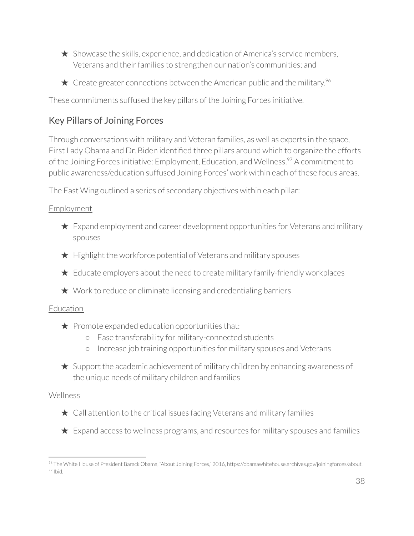- $\star$  Showcase the skills, experience, and dedication of America's service members, Veterans and their families to strengthen our nation's communities; and
- $\star$  Create greater connections between the American public and the military.<sup>96</sup>

These commitments suffused the key pillars of the Joining Forces initiative.

# Key Pillars of Joining Forces

Through conversations with military and Veteran families, as well as experts in the space, First Lady Obama and Dr. Biden identified three pillars around which to organize the efforts of the Joining Forces initiative: Employment, Education, and Wellness.<sup>97</sup> A commitment to public awareness/education suffused Joining Forces' work within each of these focus areas.

The East Wing outlined a series of secondary objectives within each pillar:

### **Employment**

- $\star$  Expand employment and career development opportunities for Veterans and military spouses
- ★ Highlight the workforce potential of Veterans and military spouses
- $\star$  Educate employers about the need to create military family-friendly workplaces
- $\star$  Work to reduce or eliminate licensing and credentialing barriers

## Education

- $\bigstar$  Promote expanded education opportunities that:
	- Ease transferability for military-connected students
	- Increase job training opportunities for military spouses and Veterans
- $\star$  Support the academic achievement of military children by enhancing awareness of the unique needs of military children and families

### Wellness

- $\star$  Call attention to the critical issues facing Veterans and military families
- $\star$  Expand access to wellness programs, and resources for military spouses and families

<sup>97</sup> Ibid. <sup>96</sup> The White House of President Barack Obama, "About Joining Forces," 2016, https://obamawhitehouse.archives.gov/joiningforces/about.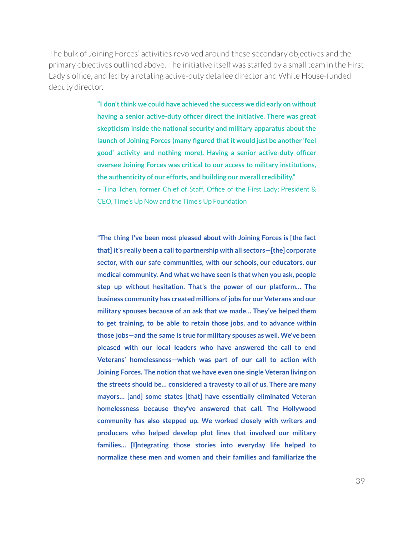The bulk of Joining Forces' activities revolved around these secondary objectives and the primary objectives outlined above. The initiative itself was staffed by a small team in the First Lady's office, and led by a rotating active-duty detailee director and White House-funded deputy director.

> **"I don'tthink we could have achieved the success we did early on without having a senior active-duty officer direct the initiative. There was great skepticism inside the national security and military apparatus about the launch of Joining Forces (many figured that it would just be another 'feel good' activity and nothing more). Having a senior active-duty officer oversee Joining Forces was critical to our access to military institutions, the authenticity of our efforts, and building our overall credibility."**

> – Tina Tchen, former Chief of Staff, Office of the First Lady; President & CEO, Time's Up Now and the Time's Up Foundation

> **"The thing I've been most pleased about with Joining Forces is [the fact that] it's really been a callto partnership with all sectors—[the] corporate sector, with our safe communities, with our schools, our educators, our medical community. And what we have seen is that when you ask, people step up without hesitation. That's the power of our platform… The business community has created millions of jobs for our Veterans and our military spouses because of an ask that we made… They've helped them to get training, to be able to retain those jobs, and to advance within those jobs—and the same is true for military spouses as well. We've been pleased with our local leaders who have answered the call to end Veterans' homelessness—which was part of our call to action with Joining Forces. The notion that we have even one single Veteran living on the streets should be… considered a travesty to all of us. There are many mayors… [and] some states [that] have essentially eliminated Veteran homelessness because they've answered that call. The Hollywood community has also stepped up. We worked closely with writers and producers who helped develop plot lines that involved our military families… [I]ntegrating those stories into everyday life helped to normalize these men and women and their families and familiarize the**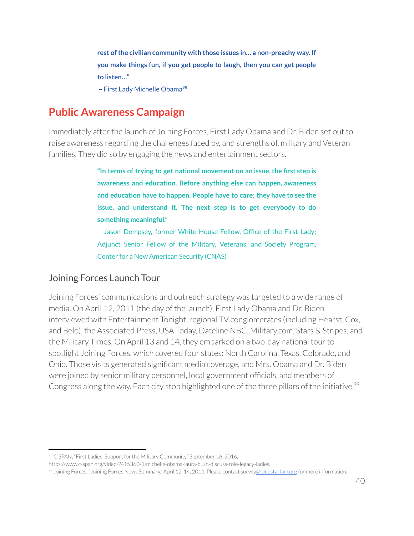**rest ofthe civilian community with those issues in… a non-preachy way. If you make things fun, if you get people to laugh, then you can get people to listen…"**

- First Lady Michelle Obama<sup>98</sup>

# **Public Awareness Campaign**

Immediately after the launch of Joining Forces, First Lady Obama and Dr. Biden set out to raise awareness regarding the challenges faced by, and strengths of, military and Veteran families. They did so by engaging the news and entertainment sectors.

> **"In terms of trying to get national movement on an issue,the first step is awareness and education. Before anything else can happen, awareness and education have to happen. People have to care; they have to see the issue, and understand it. The next step is to get everybody to do something meaningful."**

> – Jason Dempsey, former White House Fellow, Office of the First Lady; Adjunct Senior Fellow of the Military, Veterans, and Society Program, Center for a New American Security (CNAS)

# Joining Forces Launch Tour

Joining Forces' communications and outreach strategy was targeted to a wide range of media. On April 12, 2011 (the day of the launch), First Lady Obama and Dr. Biden interviewed with Entertainment Tonight, regional TV conglomerates (including Hearst, Cox, and Belo), the Associated Press, USA Today, Dateline NBC, Military.com, Stars & Stripes, and the Military Times. On April 13 and 14, they embarked on a two-day national tourto spotlight Joining Forces, which covered four states: North Carolina, Texas, Colorado, and Ohio. Those visits generated significant media coverage, and Mrs. Obama and Dr. Biden were joined by senior military personnel, local government officials, and members of Congress along the way. Each city stop highlighted one of the three pillars of the initiative.<sup>99</sup>

<sup>98</sup> C-SPAN, "First Ladies' Support for the Military Community," September 16, 2016,

https://www.c-span.org/video/?415360-1/michelle-obama-laura-bush-discuss-role-legacy-ladies.

<sup>99</sup> Joining Forces, "Joining Forces News Summary," April 12-14, 2011. Please contact survey[@bluestarfam.org](mailto:abrazer@bluestarfam.org) for more information.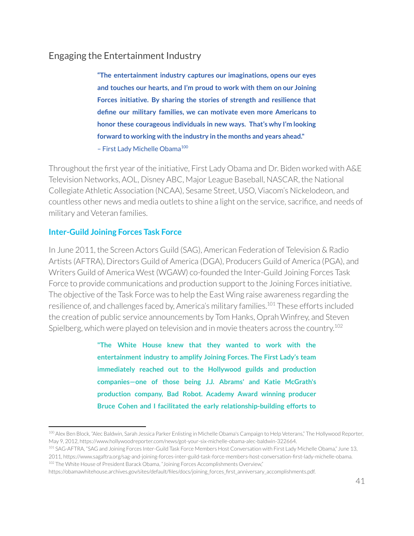# Engaging the Entertainment Industry

**"The entertainment industry captures our imaginations, opens our eyes and touches our hearts, and I'm proud to work with them on our Joining Forces initiative. By sharing the stories of strength and resilience that define our military families, we can motivate even more Americans to honor these courageous individuals in new ways. That's why I'm looking forward to working with the industry in the months and years ahead."** - First Lady Michelle Obama<sup>100</sup>

Throughout the first year of the initiative, First Lady Obama and Dr. Biden worked with A&E Television Networks, AOL, Disney ABC, Major League Baseball, NASCAR, the National Collegiate Athletic Association (NCAA), Sesame Street, USO, Viacom's Nickelodeon, and countless other news and media outlets to shine a light on the service, sacrifice, and needs of military and Veteran families.

### **Inter-Guild Joining Forces Task Force**

In June 2011, the Screen Actors Guild (SAG), American Federation of Television & Radio Artists (AFTRA), Directors Guild of America (DGA), Producers Guild of America (PGA), and Writers Guild of America West (WGAW) co-founded the Inter-Guild Joining Forces Task Force to provide communications and production support to the Joining Forces initiative. The objective of the Task Force was to help the East Wing raise awareness regarding the resilience of, and challenges faced by, America's military families.<sup>101</sup> These efforts included the creation of public service announcements by Tom Hanks, Oprah Winfrey, and Steven Spielberg, which were played on television and in movie theaters across the country. 102

> **"The White House knew that they wanted to work with the entertainment industry to amplify Joining Forces. The First Lady's team immediately reached out to the Hollywood guilds and production companies—one of those being J.J. Abrams' and Katie McGrath's production company, Bad Robot. Academy Award winning producer Bruce Cohen and I facilitated the early relationship-building efforts to**

<sup>100</sup> Alex Ben Block, "Alec Baldwin, Sarah Jessica Parker Enlisting in Michelle Obama's Campaign to Help Veterans," The Hollywood Reporter, May 9, 2012, https://www.hollywoodreporter.com/news/got-your-six-michelle-obama-alec-baldwin-322664.

<sup>&</sup>lt;sup>102</sup> The White House of President Barack Obama, "Joining Forces Accomplishments Overview," 101 SAG-AFTRA, "SAG and Joining Forces Inter-Guild Task Force Members Host Conversation with First Lady Michelle Obama," June 13, 2011, https://www.sagaftra.org/sag-and-joining-forces-inter-guild-task-force-members-host-conversation-first-lady-michelle-obama.

https://obamawhitehouse.archives.gov/sites/default/files/docs/joining\_forces\_first\_anniversary\_accomplishments.pdf.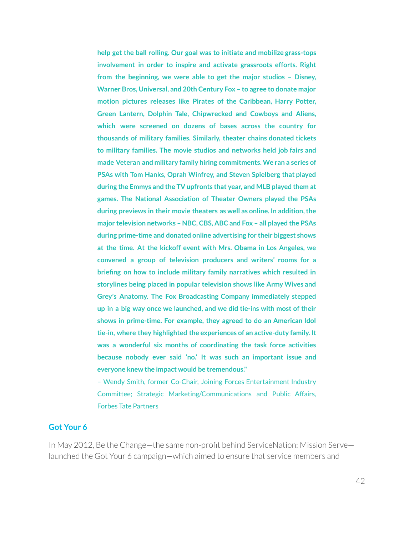**help get the ball rolling. Our goal was to initiate and mobilize grass-tops involvement in order to inspire and activate grassroots efforts. Right from the beginning, we were able to get the major studios – Disney, Warner Bros, Universal, and 20th Century Fox – to agree to donate major motion pictures releases like Pirates of the Caribbean, Harry Potter, Green Lantern, Dolphin Tale, Chipwrecked and Cowboys and Aliens, which were screened on dozens of bases across the country for thousands of military families. Similarly, theater chains donated tickets to military families. The movie studios and networks held job fairs and made Veteran and military family hiring commitments. We ran a series of PSAs with Tom Hanks, Oprah Winfrey, and Steven Spielberg that played during the Emmys and the TV upfronts that year, and MLB played them at games. The National Association of Theater Owners played the PSAs during previews in their movie theaters as well as online. In addition,the major television networks – NBC, CBS, ABC and Fox – all played the PSAs during prime-time and donated online advertising for their biggest shows at the time. At the kickoff event with Mrs. Obama in Los Angeles, we convened a group of television producers and writers' rooms for a briefing on how to include military family narratives which resulted in storylines being placed in popular television shows like Army Wives and Grey's Anatomy. The Fox Broadcasting Company immediately stepped up in a big way once we launched, and we did tie-ins with most of their shows in prime-time. For example, they agreed to do an American Idol tie-in, where they highlighted the experiences of an active-duty family. It was a wonderful six months of coordinating the task force activities because nobody ever said 'no.' It was such an important issue and everyone knew the impact would be tremendous."**

– Wendy Smith, former Co-Chair, Joining Forces Entertainment Industry Committee; Strategic Marketing/Communications and Public Affairs, Forbes Tate Partners

#### **Got Your 6**

In May 2012, Be the Change—the same non-profit behind ServiceNation: Mission Serve launched the Got Your 6 campaign—which aimed to ensure that service members and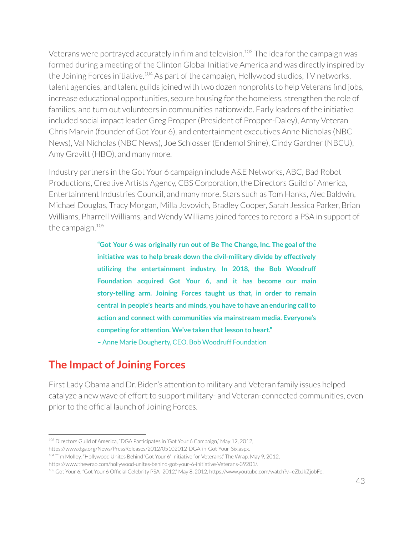Veterans were portrayed accurately in film and television.<sup>103</sup> The idea for the campaign was formed during a meeting of the Clinton Global Initiative America and was directly inspired by the Joining Forces initiative.<sup>104</sup> As part of the campaign, Hollywood studios, TV networks, talent agencies, and talent guilds joined with two dozen nonprofits to help Veterans find jobs, increase educational opportunities, secure housing for the homeless, strengthen the role of families, and turn out volunteers in communities nationwide. Early leaders of the initiative included social impact leader Greg Propper(President of Propper-Daley), Army Veteran Chris Marvin (founder of Got Your 6), and entertainment executives Anne Nicholas (NBC News), Val Nicholas (NBC News), Joe Schlosser(Endemol Shine), Cindy Gardner(NBCU), Amy Gravitt (HBO), and many more.

Industry partners in the Got Your 6 campaign include A&E Networks, ABC, Bad Robot Productions, Creative Artists Agency, CBS Corporation, the Directors Guild of America, Entertainment Industries Council, and many more. Stars such as Tom Hanks, Alec Baldwin, Michael Douglas, Tracy Morgan, Milla Jovovich, Bradley Cooper, Sarah Jessica Parker, Brian Williams, Pharrell Williams, and Wendy Williams joined forces to record a PSA in support of the campaign. 105

> **"Got Your 6 was originally run out of Be The Change, Inc. The goal ofthe initiative was to help break down the civil-military divide by effectively utilizing the entertainment industry. In 2018, the Bob Woodruff Foundation acquired Got Your 6, and it has become our main story-telling arm. Joining Forces taught us that, in order to remain central in people's hearts and minds, you have to have an enduring callto action and connect with communities via mainstream media. Everyone's competing for attention. We've taken thatlesson to heart."**

– Anne Marie Dougherty, CEO, Bob Woodruff Foundation

# **The Impact of Joining Forces**

First Lady Obama and Dr. Biden's attention to military and Veteran family issues helped catalyze a new wave of effort to support military- and Veteran-connected communities, even prior to the official launch of Joining Forces.

<sup>103</sup> Directors Guild of America, "DGA Participates in 'Got Your 6 Campaign," May 12, 2012,

https://www.dga.org/News/PressReleases/2012/05102012-DGA-in-Got-Your-Six.aspx.

<sup>104</sup> Tim Molloy, "Hollywood Unites Behind 'Got Your 6' Initiative for Veterans," The Wrap, May 9, 2012,

https://www.thewrap.com/hollywood-unites-behind-got-your-6-initiative-Veterans-39201/.

<sup>105</sup> Got Your 6, "Got Your 6 Official Celebrity PSA- 2012," May 8, 2012, https://www.youtube.com/watch?v=eZbJkZjobFo.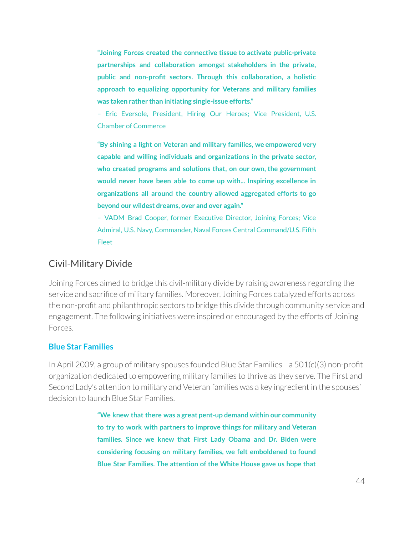**"Joining Forces created the connective tissue to activate public-private partnerships and collaboration amongst stakeholders in the private, public and non-profit sectors. Through this collaboration, a holistic approach to equalizing opportunity for Veterans and military families was taken rather than initiating single-issue efforts."**

– Eric Eversole, President, Hiring Our Heroes; Vice President, U.S. Chamber of Commerce

**"By shining a light on Veteran and military families, we empowered very capable and willing individuals and organizations in the private sector, who created programs and solutions that, on our own, the government would never have been able to come up with... Inspiring excellence in organizations all around the country allowed aggregated efforts to go beyond our wildest dreams, over and over again."**

– VADM Brad Cooper, former Executive Director, Joining Forces; Vice Admiral, U.S. Navy, Commander, Naval Forces Central Command/U.S. Fifth Fleet

# Civil-Military Divide

Joining Forces aimed to bridge this civil-military divide by raising awareness regarding the service and sacrifice of military families. Moreover, Joining Forces catalyzed efforts across the non-profit and philanthropic sectors to bridge this divide through community service and engagement. The following initiatives were inspired or encouraged by the efforts of Joining Forces.

#### **Blue Star Families**

In April 2009, a group of military spouses founded Blue Star Families—a 501(c)(3) non-profit organization dedicated to empowering military families to thrive as they serve. The First and Second Lady's attention to military and Veteran families was a key ingredient in the spouses' decision to launch Blue Star Families.

> **"We knew that there was a great pent-up demand within our community to try to work with partners to improve things for military and Veteran families. Since we knew that First Lady Obama and Dr. Biden were considering focusing on military families, we felt emboldened to found Blue Star Families. The attention of the White House gave us hope that**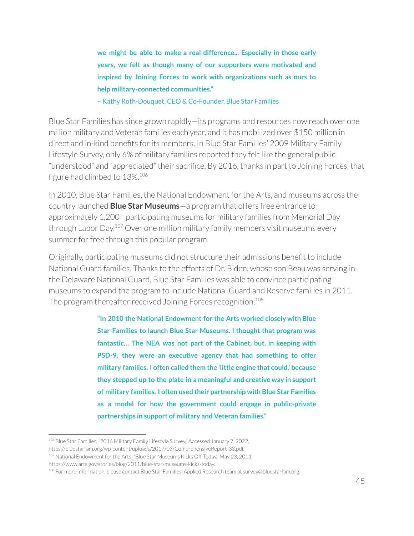**we might be able to make a real difference... Especially in those early years, we felt as though many of our supporters were motivated and inspired by Joining Forces to work with organizations such as ours to help military-connected communities."**

– Kathy Roth-Douquet, CEO & Co-Founder, Blue Star Families

Blue Star Families has since grown rapidly—its programs and resources now reach over one million military and Veteran families each year, and it has mobilized over \$150 million in direct and in-kind benefits for its members. In Blue Star Families' 2009 Military Family Lifestyle Survey, only 6% of military families reported they felt like the general public "understood" and "appreciated" their sacrifice. By 2016, thanks in part to Joining Forces, that figure had climbed to 13%.<sup>106</sup>

In 2010, Blue Star Families, the National Endowment forthe Arts, and museums across the country launched **Blue Star Museums**—a program that offers free entrance to approximately 1,200+ participating museums for military families from Memorial Day through Labor Day.<sup>107</sup> Over one million military family members visit museums every summer for free through this popular program.

Originally, participating museums did not structure their admissions benefit to include National Guard families. Thanks to the efforts of Dr. Biden, whose son Beau was serving in the Delaware National Guard, Blue Star Families was able to convince participating museums to expand the program to include National Guard and Reserve families in 2011. The program thereafter received Joining Forces recognition.<sup>108</sup>

> **"In 2010 the National Endowment for the Arts worked closely with Blue Star Families to launch Blue Star Museums. I thought that program was fantastic… The NEA was not part of the Cabinet, but, in keeping with PSD-9, they were an executive agency that had something to offer military families. I often called them the 'little engine that could,' because they stepped up to the plate in a meaningful and creative way in support of military families. I often used their partnership with Blue Star Families as a model for how the government could engage in public-private partnerships in support of military and Veteran families."**

<sup>106</sup> Blue Star Families, "2016 Military Family Lifestyle Survey," Accessed January 7, 2022,

https://bluestarfam.org/wp-content/uploads/2017/03/ComprehensiveReport-33.pdf.

<sup>107</sup> National Endowment for the Arts, "Blue Star Museums Kicks Off Today," May 23, 2011,

https://www.arts.gov/stories/blog/2011/blue-star-museums-kicks-today.

<sup>108</sup> For more information, please contact Blue Star Families' Applied Research team at survey@bluestarfam.org.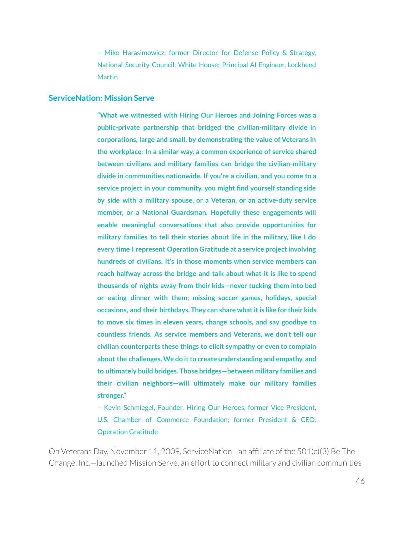– Mike Harasimowicz, former Director for Defense Policy & Strategy, National Security Council, White House; Principal AI Engineer, Lockheed Martin

#### **ServiceNation: Mission Serve**

**"What we witnessed with Hiring Our Heroes and Joining Forces was a public-private partnership that bridged the civilian-military divide in corporations, large and small, by demonstrating the value of Veterans in the workplace. In a similar way, a common experience of service shared between civilians and military families can bridge the civilian-military divide in communities nationwide. If you're a civilian, and you come to a service project in your community, you might find yourself standing side by side with a military spouse, or a Veteran, or an active-duty service member, or a National Guardsman. Hopefully these engagements will enable meaningful conversations that also provide opportunities for military families to tell their stories about life in the military, like I do every time I represent Operation Gratitude at a service projectinvolving hundreds of civilians. It's in those moments when service members can reach halfway across the bridge and talk about what it is like to spend thousands of nights away from their kids—never tucking them into bed or eating dinner with them; missing soccer games, holidays, special occasions, and their birthdays. They can share whatitis like for their kids to move six times in eleven years, change schools, and say goodbye to countless friends. As service members and Veterans, we don't tell our civilian counterparts these things to elicit sympathy or even to complain about the challenges. We do itto create understanding and empathy, and to ultimately build bridges. Those bridges—between military families and their civilian neighbors—will ultimately make our military families stronger."**

– Kevin Schmiegel, Founder, Hiring Our Heroes, former Vice President, U.S. Chamber of Commerce Foundation; former President & CEO, Operation Gratitude

On Veterans Day, November 11, 2009, ServiceNation—an affiliate of the 501(c)(3) Be The Change, Inc.—launched Mission Serve, an effort to connect military and civilian communities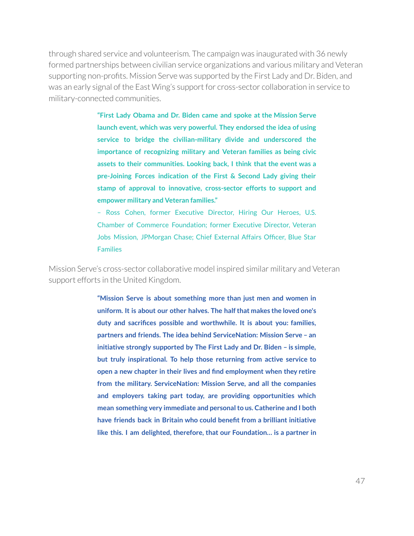through shared service and volunteerism. The campaign was inaugurated with 36 newly formed partnerships between civilian service organizations and various military and Veteran supporting non-profits. Mission Serve was supported by the First Lady and Dr. Biden, and was an early signal of the East Wing's support for cross-sector collaboration in service to military-connected communities.

> **"First Lady Obama and Dr. Biden came and spoke at the Mission Serve launch event, which was very powerful. They endorsed the idea of using service to bridge the civilian-military divide and underscored the importance of recognizing military and Veteran families as being civic assets to their communities. Looking back, I think that the event was a pre-Joining Forces indication of the First & Second Lady giving their stamp of approval to innovative, cross-sector efforts to support and empower military and Veteran families."**

> – Ross Cohen, former Executive Director, Hiring Our Heroes, U.S. Chamber of Commerce Foundation; former Executive Director, Veteran Jobs Mission, JPMorgan Chase; Chief External Affairs Officer, Blue Star Families

Mission Serve's cross-sector collaborative model inspired similar military and Veteran support efforts in the United Kingdom.

> **"Mission Serve is about something more than just men and women in uniform. It is about our other halves. The halfthat makes the loved one's duty and sacrifices possible and worthwhile. It is about you: families, partners and friends. The idea behind ServiceNation: Mission Serve – an initiative strongly supported by The First Lady and Dr. Biden – is simple, but truly inspirational. To help those returning from active service to open a new chapter in their lives and find employment when they retire from the military. ServiceNation: Mission Serve, and all the companies and employers taking part today, are providing opportunities which mean something very immediate and personalto us. Catherine and I both have friends back in Britain who could benefit from a brilliant initiative like this. I am delighted, therefore, that our Foundation… is a partner in**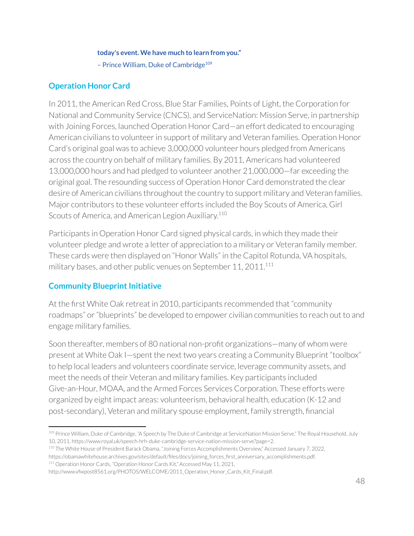#### **today's event. We have much to learn from you."**

- Prince William, Duke of Cambridge<sup>109</sup>

## **Operation Honor Card**

In 2011, the American Red Cross, Blue Star Families, Points of Light, the Corporation for National and Community Service (CNCS), and ServiceNation: Mission Serve, in partnership with Joining Forces, launched Operation Honor Card—an effort dedicated to encouraging American civilians to volunteer in support of military and Veteran families. Operation Honor Card's original goal was to achieve 3,000,000 volunteer hours pledged from Americans across the country on behalf of military families. By 2011, Americans had volunteered 13,000,000 hours and had pledged to volunteer another 21,000,000—far exceeding the original goal. The resounding success of Operation Honor Card demonstrated the clear desire of American civilians throughout the country to support military and Veteran families. Major contributors to these volunteer efforts included the Boy Scouts of America, Girl Scouts of America, and American Legion Auxiliary.<sup>110</sup>

Participants in Operation Honor Card signed physical cards, in which they made their volunteer pledge and wrote a letter of appreciation to a military or Veteran family member. These cards were then displayed on "Honor Walls" in the Capitol Rotunda, VA hospitals, military bases, and other public venues on September  $11$ , 20 $11$ . $^{111}$ 

## **Community Blueprint Initiative**

At the first White Oak retreat in 2010, participants recommended that "community roadmaps" or"blueprints" be developed to empower civilian communities to reach out to and engage military families.

Soon thereafter, members of 80 national non-profit organizations—many of whom were present at White Oak I—spent the next two years creating a Community Blueprint "toolbox" to help local leaders and volunteers coordinate service, leverage community assets, and meet the needs of their Veteran and military families. Key participants included Give-an-Hour, MOAA, and the Armed Forces Services Corporation. These efforts were organized by eight impact areas: volunteerism, behavioral health, education (K-12 and post-secondary), Veteran and military spouse employment, family strength, financial

<sup>109</sup> Prince William, Duke of Cambridge, "A Speech by The Duke of Cambridge at ServiceNation Mission Serve," The Royal Household, July 10, 2011, https://www.royal.uk/speech-hrh-duke-cambridge-service-nation-mission-serve?page=2.

<sup>110</sup> The White House of President Barack Obama, "Joining Forces Accomplishments Overview," Accessed January 7, 2022, https://obamawhitehouse.archives.gov/sites/default/files/docs/joining\_forces\_first\_anniversary\_accomplishments.pdf.

<sup>111</sup> Operation Honor Cards, "Operation Honor Cards Kit," Accessed May 11, 2021,

http://www.vfwpost8561.org/PHOTOS/WELCOME/2011\_Operation\_Honor\_Cards\_Kit\_Final.pdf.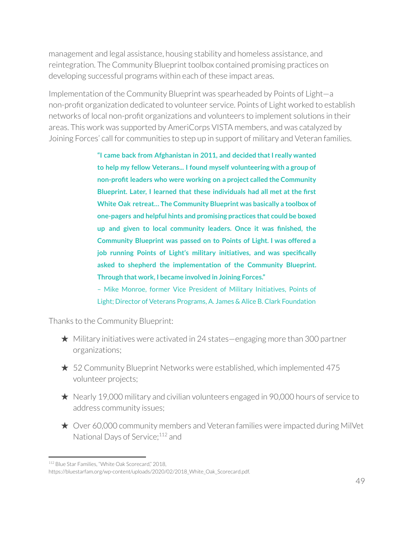management and legal assistance, housing stability and homeless assistance, and reintegration. The Community Blueprint toolbox contained promising practices on developing successful programs within each of these impact areas.

Implementation of the Community Blueprint was spearheaded by Points of Light—a non-profit organization dedicated to volunteer service. Points of Light worked to establish networks of local non-profit organizations and volunteers to implement solutions in their areas. This work was supported by AmeriCorps VISTA members, and was catalyzed by Joining Forces' call for communities to step up in support of military and Veteran families.

> **"I came back from Afghanistan in 2011, and decided thatI really wanted to help my fellow Veterans... I found myself volunteering with a group of non-profit leaders who were working on a project called the Community Blueprint. Later, I learned that these individuals had all met at the first White Oak retreat… The Community Blueprint was basically a toolbox of one-pagers and helpful hints and promising practices that could be boxed up and given to local community leaders. Once it was finished, the Community Blueprint was passed on to Points of Light. I was offered a job running Points of Light's military initiatives, and was specifically asked to shepherd the implementation of the Community Blueprint. Through that work, I became involved in Joining Forces."**

> – Mike Monroe, former Vice President of Military Initiatives, Points of Light; Director of Veterans Programs, A. James & Alice B. Clark Foundation

Thanks to the Community Blueprint:

- $\star$  Military initiatives were activated in 24 states—engaging more than 300 partner organizations;
- $\star$  52 Community Blueprint Networks were established, which implemented 475 volunteer projects;
- ★ Nearly 19,000 military and civilian volunteers engaged in 90,000 hours of service to address community issues;
- ★ Over 60,000 community members and Veteran families were impacted during MilVet National Days of Service;<sup>112</sup> and

<sup>112</sup> Blue Star Families, "White Oak Scorecard," 2018,

https://bluestarfam.org/wp-content/uploads/2020/02/2018 White Oak Scorecard.pdf.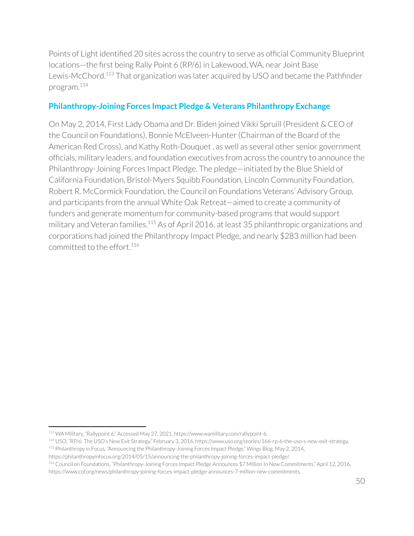Points of Light identified 20 sites across the country to serve as official Community Blueprint locations—the first being Rally Point 6 (RP/6) in Lakewood, WA, near Joint Base Lewis-McChord.<sup>113</sup> That organization was later acquired by USO and became the Pathfinder program. 114

## **Philanthropy-Joining Forces Impact Pledge & Veterans Philanthropy Exchange**

On May 2, 2014, First Lady Obama and Dr. Biden joined Vikki Spruill (President & CEO of the Council on Foundations), Bonnie McElveen-Hunter(Chairman of the Board of the American Red Cross), and Kathy Roth-Douquet , as well as several other senior government officials, military leaders, and foundation executives from across the country to announce the Philanthropy-Joining Forces Impact Pledge. The pledge—initiated by the Blue Shield of California Foundation, Bristol-Myers Squibb Foundation, Lincoln Community Foundation, Robert R. McCormick Foundation, the Council on Foundations Veterans' Advisory Group, and participants from the annual White Oak Retreat—aimed to create a community of funders and generate momentum for community-based programs that would support military and Veteran families.<sup>115</sup> As of April 2016, at least 35 philanthropic organizations and corporations had joined the Philanthropy Impact Pledge, and nearly \$283 million had been committed to the effort. 116

<sup>113</sup> WA Military, "Rallypoint 6," Accessed May 27, 2021, https://www.wamilitary.com/rallypoint-6.

<sup>115</sup> Philanthropy in Focus, "Announcing the Philanthropy-Joining Forces Impact Pledge," Wings Blog, May 2, 2014, <sup>114</sup> USO, "RP/6: The USO's New Exit Strategy," February 3, 2016, https://www.uso.org/stories/166-rp-6-the-uso-s-new-exit-strategy.

https://philanthropyinfocus.org/2014/05/15/announcing-the-philanthropy-joining-forces-impact-pledge/.

<sup>116</sup> Council on Foundations, "Philanthropy-Joining Forces Impact Pledge Announces \$7 Million In New Commitments," April 12, 2016,

https://www.cof.org/news/philanthropy-joining-forces-impact-pledge-announces-7-million-new-commitments.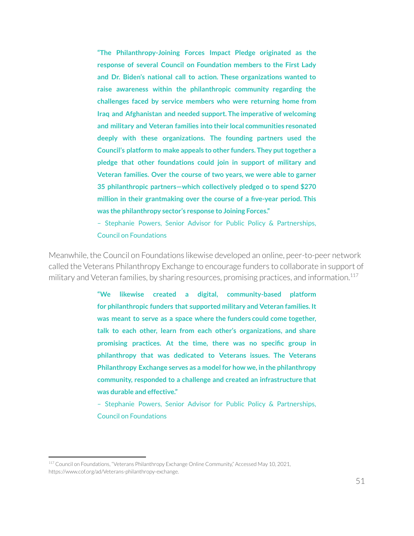**"The Philanthropy-Joining Forces Impact Pledge originated as the response of several Council on Foundation members to the First Lady and Dr. Biden's national call to action. These organizations wanted to raise awareness within the philanthropic community regarding the challenges faced by service members who were returning home from Iraq and Afghanistan and needed support. The imperative of welcoming and military and Veteran families into their local communities resonated deeply with these organizations. The founding partners used the Council's** platform to make appeals to other funders. They put together a **pledge that other foundations could join in support of military and Veteran families. Over the course of two years, we were able to garner 35 philanthropic partners—which collectively pledged o to spend \$270 million in their grantmaking over the course of a five-year period. This was the philanthropy sector's response to Joining Forces."**

– Stephanie Powers, Senior Advisor for Public Policy & Partnerships, Council on Foundations

Meanwhile, the Council on Foundations likewise developed an online, peer-to-peer network called the Veterans Philanthropy Exchange to encourage funders to collaborate in support of military and Veteran families, by sharing resources, promising practices, and information. 117

> **"We likewise created a digital, community-based platform for philanthropic funders that supported military and Veteran families. It was meant to serve as a space where the funders could come together, talk to each other, learn from each other's organizations, and share promising practices. At the time, there was no specific group in philanthropy that was dedicated to Veterans issues. The Veterans Philanthropy Exchange serves as a model for how we, in the philanthropy community, responded to a challenge and created an infrastructure that was durable and effective."**

> – Stephanie Powers, Senior Advisor for Public Policy & Partnerships, Council on Foundations

<sup>&</sup>lt;sup>117</sup> Council on Foundations, "Veterans Philanthropy Exchange Online Community," Accessed May 10, 2021, https://www.cof.org/ad/Veterans-philanthropy-exchange.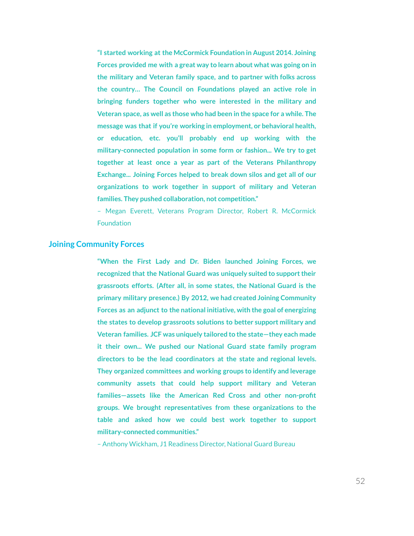**"I started working at the McCormick Foundation in August 2014. Joining Forces provided me with a great way to learn about what was going on in the military and Veteran family space, and to partner with folks across the country… The Council on Foundations played an active role in bringing funders together who were interested in the military and Veteran space, as well as those who had been in the space for a while. The message was that if you're working in employment, or behavioral health, or education, etc. you'll probably end up working with the military-connected population in some form or fashion... We try to get together at least once a year as part of the Veterans Philanthropy Exchange... Joining Forces helped to break down silos and get all of our organizations to work together in support of military and Veteran families. They pushed collaboration, not competition."**

– Megan Everett, Veterans Program Director, Robert R. McCormick **Foundation** 

#### **Joining Community Forces**

**"When the First Lady and Dr. Biden launched Joining Forces, we recognized that the National Guard was uniquely suited to supporttheir grassroots efforts. (After all, in some states, the National Guard is the primary military presence.) By 2012, we had created Joining Community Forces as an adjunct to the national initiative, with the goal of energizing the states to develop grassroots solutions to better support military and Veteran families. JCF was uniquely tailored to the state—they each made it their own... We pushed our National Guard state family program directors to be the lead coordinators at the state and regional levels. They organized committees and working groups to identify and leverage community assets that could help support military and Veteran families—assets like the American Red Cross and other non-profit groups. We brought representatives from these organizations to the table and asked how we could best work together to support military-connected communities."**

– Anthony Wickham, J1 Readiness Director, National Guard Bureau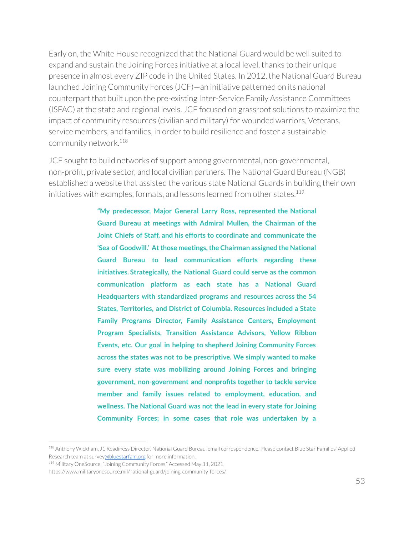Early on, the White House recognized that the National Guard would be well suited to expand and sustain the Joining Forces initiative at a local level, thanks to their unique presence in almost every ZIP code in the United States. In 2012, the National Guard Bureau launched Joining Community Forces (JCF)—an initiative patterned on its national counterpart that built upon the pre-existing Inter-Service Family Assistance Committees (ISFAC) at the state and regional levels. JCF focused on grassroot solutions to maximize the impact of community resources (civilian and military) for wounded warriors, Veterans, service members, and families, in orderto build resilience and foster a sustainable community network. 118

JCF sought to build networks of support among governmental, non-governmental, non-profit, private sector, and local civilian partners. The National Guard Bureau (NGB) established a website that assisted the various state National Guards in building their own initiatives with examples, formats, and lessons learned from other states. 119

> **"My predecessor, Major General Larry Ross, represented the National Guard Bureau at meetings with Admiral Mullen, the Chairman of the Joint Chiefs of Staff, and his efforts to coordinate and communicate the 'Sea of Goodwill.' Atthose meetings,the Chairman assigned the National Guard Bureau to lead communication efforts regarding these initiatives. Strategically, the National Guard could serve as the common communication platform as each state has a National Guard Headquarters with standardized programs and resources across the 54 States, Territories, and District of Columbia. Resources included a State Family Programs Director, Family Assistance Centers, Employment Program Specialists, Transition Assistance Advisors, Yellow Ribbon Events, etc. Our goal in helping to shepherd Joining Community Forces across the states was not to be prescriptive. We simply wanted to make sure every state was mobilizing around Joining Forces and bringing government, non-government and nonprofits together to tackle service member and family issues related to employment, education, and wellness. The National Guard was not the lead in every state for Joining Community Forces; in some cases that role was undertaken by a**

<sup>118</sup> Anthony Wickham, J1 Readiness Director, National Guard Bureau, email correspondence. Please contact Blue Star Families' Applied Research team at survey[@bluestarfam.org](mailto:abrazer@bluestarfam.org) for more information.

<sup>&</sup>lt;sup>119</sup> Military OneSource, "Joining Community Forces," Accessed May 11, 2021,

https://www.militaryonesource.mil/national-guard/joining-community-forces/.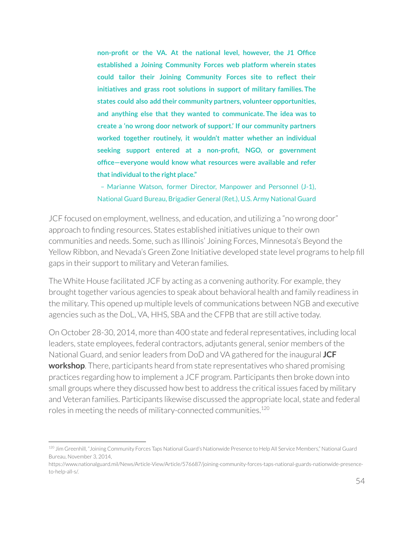**non-profit or the VA. At the national level, however, the J1 Office established a Joining Community Forces web platform wherein states could tailor their Joining Community Forces site to reflect their initiatives and grass root solutions in support of military families. The states could also add their community partners, volunteer opportunities, and anything else that they wanted to communicate. The idea was to create a 'no wrong door network of support.' If our community partners worked together routinely, it wouldn't matter whether an individual seeking support entered at a non-profit, NGO, or government office—everyone would know what resources were available and refer thatindividualto the right place."**

– Marianne Watson, former Director, Manpower and Personnel (J-1), National Guard Bureau, Brigadier General (Ret.), U.S. Army National Guard

JCF focused on employment, wellness, and education, and utilizing a "no wrong door" approach to finding resources. States established initiatives unique to their own communities and needs. Some, such as Illinois' Joining Forces, Minnesota's Beyond the Yellow Ribbon, and Nevada's Green Zone Initiative developed state level programs to help fill gaps in their support to military and Veteran families.

The White House facilitated JCF by acting as a convening authority. For example, they brought together various agencies to speak about behavioral health and family readiness in the military. This opened up multiple levels of communications between NGB and executive agencies such as the DoL, VA, HHS, SBA and the CFPB that are still active today.

On October 28-30, 2014, more than 400 state and federal representatives, including local leaders, state employees, federal contractors, adjutants general, senior members of the National Guard, and senior leaders from DoD and VA gathered for the inaugural **JCF workshop**. There, participants heard from state representatives who shared promising practices regarding how to implement a JCF program. Participants then broke down into small groups where they discussed how best to address the critical issues faced by military and Veteran families. Participants likewise discussed the appropriate local, state and federal roles in meeting the needs of military-connected communities. 120

<sup>&</sup>lt;sup>120</sup> Jim Greenhill, "Joining Community Forces Taps National Guard's Nationwide Presence to Help All Service Members," National Guard Bureau, November 3, 2014,

https://www.nationalguard.mil/News/Article-View/Article/576687/joining-community-forces-taps-national-guards-nationwide-presenceto-help-all-s/.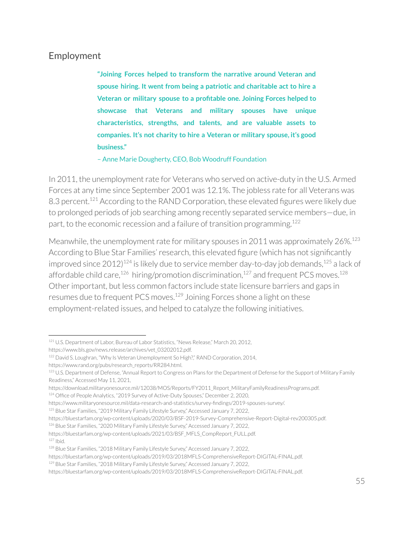# Employment

**"Joining Forces helped to transform the narrative around Veteran and spouse hiring. It went from being a patriotic and charitable act to hire a Veteran or military spouse to a profitable one. Joining Forces helped to showcase that Veterans and military spouses have unique characteristics, strengths, and talents, and are valuable assets to companies. It's not charity to hire a Veteran or military spouse, it's good business."**

– Anne Marie Dougherty, CEO, Bob Woodruff Foundation

In 2011, the unemployment rate for Veterans who served on active-duty in the U.S. Armed Forces at any time since September 2001 was 12.1%. The jobless rate for all Veterans was 8.3 percent.<sup>121</sup> According to the RAND Corporation, these elevated figures were likely due to prolonged periods of job searching among recently separated service members—due, in part, to the economic recession and a failure of transition programming. 122

Meanwhile, the unemployment rate for military spouses in 2011 was approximately  $26\%$ <sup>123</sup> According to Blue Star Families' research, this elevated figure (which has not significantly improved since 2012) $^{124}$  is likely due to service member day-to-day job demands, $^{125}$  a lack of affordable child care, $^{126}$  hiring/promotion discrimination, $^{127}$  and frequent PCS moves. $^{128}$ Other important, but less common factors include state licensure barriers and gaps in resumes due to frequent PCS moves.<sup>129</sup> Joining Forces shone a light on these employment-related issues, and helped to catalyze the following initiatives.

<sup>&</sup>lt;sup>121</sup> U.S. Department of Labor, Bureau of Labor Statistics, "News Release," March 20, 2012,

https://www.bls.gov/news.release/archives/vet\_03202012.pdf.

<sup>&</sup>lt;sup>122</sup> David S. Loughran, "Why Is Veteran Unemployment So High?," RAND Corporation, 2014, https://www.rand.org/pubs/research\_reports/RR284.html.

<sup>123</sup> U.S. Department of Defense, "Annual Report to Congress on Plans for the Department of Defense for the Support of Military Family Readiness," Accessed May 11, 2021,

https://download.militaryonesource.mil/12038/MOS/Reports/FY2011\_Report\_MilitaryFamilyReadinessPrograms.pdf.

<sup>124</sup> Office of People Analytics, "2019 Survey of Active-Duty Spouses," December 2, 2020,

https://www.militaryonesource.mil/data-research-and-statistics/survey-findings/2019-spouses-survey/.

<sup>125</sup> Blue Star Families, "2019 Military Family Lifestyle Survey," Accessed January 7, 2022,

https://bluestarfam.org/wp-content/uploads/2020/03/BSF-2019-Survey-Comprehensive-Report-Digital-rev200305.pdf.

<sup>&</sup>lt;sup>126</sup> Blue Star Families, "2020 Military Family Lifestyle Survey," Accessed January 7, 2022,

 $127$  Ibid. https://bluestarfam.org/wp-content/uploads/2021/03/BSF\_MFLS\_CompReport\_FULL.pdf.

<sup>&</sup>lt;sup>128</sup> Blue Star Families, "2018 Military Family Lifestyle Survey," Accessed January 7, 2022,

https://bluestarfam.org/wp-content/uploads/2019/03/2018MFLS-ComprehensiveReport-DIGITAL-FINAL.pdf.

<sup>&</sup>lt;sup>129</sup> Blue Star Families, "2018 Military Family Lifestyle Survey," Accessed January 7, 2022,

https://bluestarfam.org/wp-content/uploads/2019/03/2018MFLS-ComprehensiveReport-DIGITAL-FINAL.pdf.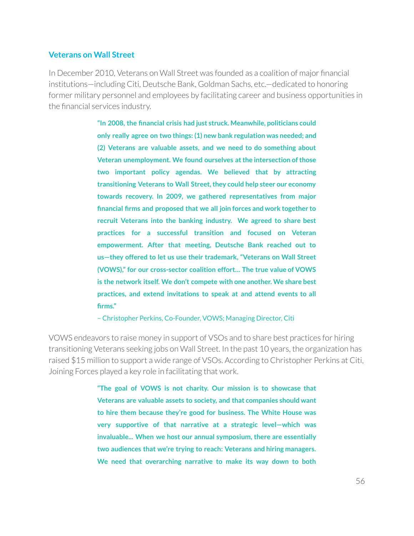#### **Veterans on Wall Street**

In December 2010, Veterans on Wall Street was founded as a coalition of major financial institutions—including Citi, Deutsche Bank, Goldman Sachs, etc.—dedicated to honoring former military personnel and employees by facilitating career and business opportunities in the financial services industry.

> **"In 2008, the financial crisis had just struck. Meanwhile, politicians could only really agree on two things: (1) new bank regulation was needed; and (2) Veterans are valuable assets, and we need to do something about Veteran unemployment. We found ourselves atthe intersection ofthose two important policy agendas. We believed that by attracting transitioning Veterans to Wall Street,they could help steer our economy towards recovery. In 2009, we gathered representatives from major financial firms and proposed that we all join forces and work together to recruit Veterans into the banking industry. We agreed to share best practices for a successful transition and focused on Veteran empowerment. After that meeting, Deutsche Bank reached out to us—they offered to let us use their trademark, "Veterans on Wall Street (VOWS)," for our cross-sector coalition effort… The true value of VOWS is the network itself. We don't compete with one another. We share best practices, and extend invitations to speak at and attend events to all firms."**

– Christopher Perkins, Co-Founder, VOWS; Managing Director, Citi

VOWS endeavors to raise money in support of VSOs and to share best practices for hiring transitioning Veterans seeking jobs on Wall Street. In the past 10 years, the organization has raised \$15 million to support a wide range of VSOs. According to Christopher Perkins at Citi, Joining Forces played a key role in facilitating that work.

> **"The goal of VOWS is not charity. Our mission is to showcase that Veterans are valuable assets to society, and that companies should want to hire them because they're good for business. The White House was very supportive of that narrative at a strategic level—which was invaluable... When we host our annual symposium, there are essentially two audiences that we're trying to reach: Veterans and hiring managers. We need that overarching narrative to make its way down to both**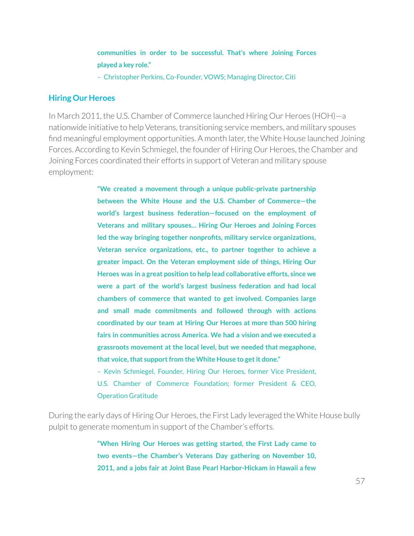**communities in order to be successful. That's where Joining Forces played a key role."**

– Christopher Perkins, Co-Founder, VOWS; Managing Director, Citi

#### **Hiring Our Heroes**

In March 2011, the U.S. Chamber of Commerce launched Hiring Our Heroes (HOH)—a nationwide initiative to help Veterans, transitioning service members, and military spouses find meaningful employment opportunities. A month later, the White House launched Joining Forces. According to Kevin Schmiegel, the founder of Hiring Our Heroes, the Chamber and Joining Forces coordinated their efforts in support of Veteran and military spouse employment:

> **"We created a movement through a unique public-private partnership between the White House and the U.S. Chamber of Commerce—the world's largest business federation—focused on the employment of Veterans and military spouses… Hiring Our Heroes and Joining Forces led the way bringing together nonprofits, military service organizations, Veteran service organizations, etc., to partner together to achieve a greater impact. On the Veteran employment side of things, Hiring Our Heroes was in a great position to help lead collaborative efforts, since we were a part of the world's largest business federation and had local chambers of commerce that wanted to get involved. Companies large and small made commitments and followed through with actions coordinated by our team at Hiring Our Heroes at more than 500 hiring fairs in communities across America. We had a vision and we executed a grassroots movement at the local level, but we needed that megaphone, that voice,that supportfrom the White House to getit done."**

> – Kevin Schmiegel, Founder, Hiring Our Heroes, former Vice President, U.S. Chamber of Commerce Foundation; former President & CEO, Operation Gratitude

During the early days of Hiring Our Heroes, the First Lady leveraged the White House bully pulpit to generate momentum in support of the Chamber's efforts.

> **"When Hiring Our Heroes was getting started, the First Lady came to two events—the Chamber's Veterans Day gathering on November 10, 2011, and a jobs fair at Joint Base Pearl Harbor-Hickam in Hawaii a few**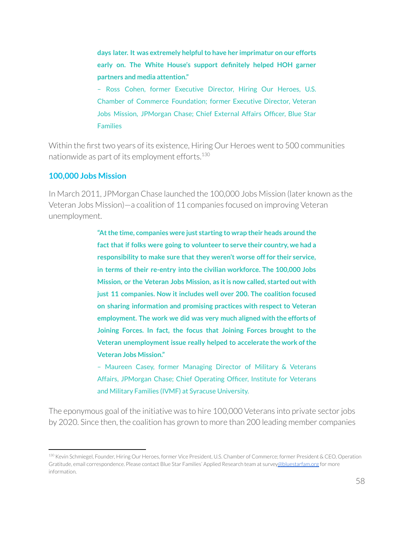**days later. It was extremely helpfulto have her imprimatur on our efforts early on. The White House's support definitely helped HOH garner partners and media attention."**

– Ross Cohen, former Executive Director, Hiring Our Heroes, U.S. Chamber of Commerce Foundation; former Executive Director, Veteran Jobs Mission, JPMorgan Chase; Chief External Affairs Officer, Blue Star Families

Within the first two years of its existence, Hiring Our Heroes went to 500 communities nationwide as part of its employment efforts. 130

### **100,000 Jobs Mission**

In March 2011, JPMorgan Chase launched the 100,000 Jobs Mission (later known as the Veteran Jobs Mission)—a coalition of 11 companies focused on improving Veteran unemployment.

> **"Atthe time, companies were just starting to wrap their heads around the fact that if folks were going to volunteer to serve their country, we had a responsibility to make sure that they weren't worse off for their service, in terms of their re-entry into the civilian workforce. The 100,000 Jobs Mission, or the Veteran Jobs Mission, as itis now called, started out with just 11 companies. Now it includes well over 200. The coalition focused on sharing information and promising practices with respect to Veteran employment. The work we did was very much aligned with the efforts of Joining Forces. In fact, the focus that Joining Forces brought to the Veteran unemployment issue really helped to accelerate the work ofthe Veteran Jobs Mission."**

> – Maureen Casey, former Managing Director of Military & Veterans Affairs, JPMorgan Chase; Chief Operating Officer, Institute for Veterans and Military Families (IVMF) at Syracuse University.

The eponymous goal of the initiative was to hire 100,000 Veterans into private sector jobs by 2020. Since then, the coalition has grown to more than 200 leading member companies

<sup>130</sup> Kevin Schmiegel, Founder, Hiring Our Heroes, former Vice President, U.S. Chamber of Commerce; former President & CEO, Operation Gratitude, email correspondence. Please contact Blue Star Families' Applied Research team at surve[y@bluestarfam.org](mailto:abrazer@bluestarfam.org) for more information.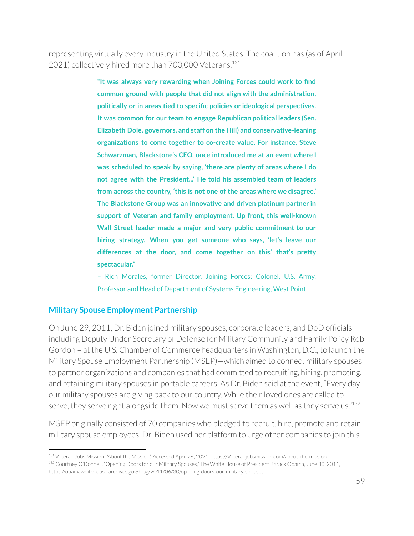representing virtually every industry in the United States. The coalition has (as of April 2021) collectively hired more than 700,000 Veterans.<sup>131</sup>

> **"It was always very rewarding when Joining Forces could work to find common ground with people that did not align with the administration, politically or in areas tied to specific policies or ideological perspectives. It was common for our team to engage Republican political leaders (Sen. Elizabeth Dole, governors, and staff on the Hill) and conservative-leaning organizations to come together to co-create value. For instance, Steve Schwarzman, Blackstone's CEO, once introduced me at an event where I was scheduled to speak by saying, 'there are plenty of areas where I do not agree with the President...' He told his assembled team of leaders from across the country, 'this is not one of the areas where we disagree.' The Blackstone Group was an innovative and driven platinum partner in support of Veteran and family employment. Up front, this well-known Wall Street leader made a major and very public commitment to our hiring strategy. When you get someone who says, 'let's leave our differences at the door, and come together on this,' that's pretty spectacular."**

> – Rich Morales, former Director, Joining Forces; Colonel, U.S. Army, Professor and Head of Department of Systems Engineering, West Point

### **Military Spouse Employment Partnership**

On June 29, 2011, Dr. Biden joined military spouses, corporate leaders, and DoD officials – including Deputy Under Secretary of Defense for Military Community and Family Policy Rob Gordon – at the U.S. Chamber of Commerce headquarters in Washington, D.C., to launch the Military Spouse Employment Partnership (MSEP)—which aimed to connect military spouses to partner organizations and companies that had committed to recruiting, hiring, promoting, and retaining military spouses in portable careers. As Dr. Biden said at the event, "Every day our military spouses are giving back to our country. While their loved ones are called to serve, they serve right alongside them. Now we must serve them as well as they serve us." $^{132}$ 

MSEP originally consisted of 70 companies who pledged to recruit, hire, promote and retain military spouse employees. Dr. Biden used her platform to urge other companies to join this

<sup>131</sup> Veteran Jobs Mission, "About the Mission," Accessed April 26, 2021, https://Veteranjobsmission.com/about-the-mission.

<sup>132</sup> Courtney O'Donnell, "Opening Doors for our Military Spouses," The White House of President Barack Obama, June 30, 2011, https://obamawhitehouse.archives.gov/blog/2011/06/30/opening-doors-our-military-spouses.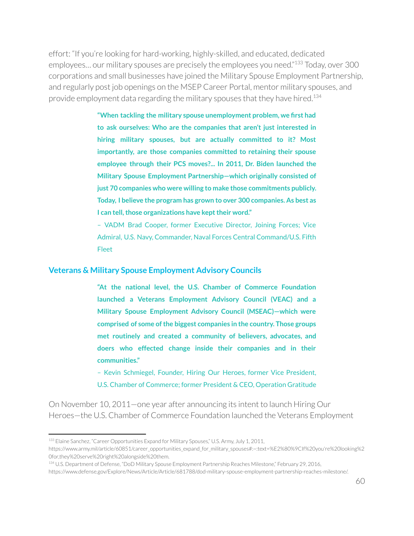effort: "If you're looking for hard-working, highly-skilled, and educated, dedicated employees... our military spouses are precisely the employees you need."<sup>133</sup> Today, over 300 corporations and small businesses have joined the Military Spouse Employment Partnership, and regularly post job openings on the MSEP Career Portal, mentor military spouses, and provide employment data regarding the military spouses that they have hired.<sup>134</sup>

> **"When tackling the military spouse unemployment problem, we first had to ask ourselves: Who are the companies that aren't just interested in hiring military spouses, but are actually committed to it? Most importantly, are those companies committed to retaining their spouse employee through their PCS moves?... In 2011, Dr. Biden launched the Military Spouse Employment Partnership—which originally consisted of just 70 companies who were willing to make those commitments publicly. Today, I believe the program has grown to over 300 companies. As best as l** can tell, those organizations have kept their word."

> – VADM Brad Cooper, former Executive Director, Joining Forces; Vice Admiral, U.S. Navy, Commander, Naval Forces Central Command/U.S. Fifth Fleet

#### **Veterans & Military Spouse Employment Advisory Councils**

**"At the national level, the U.S. Chamber of Commerce Foundation launched a Veterans Employment Advisory Council (VEAC) and a Military Spouse Employment Advisory Council (MSEAC)—which were comprised of some ofthe biggest companies in the country. Those groups met routinely and created a community of believers, advocates, and doers who effected change inside their companies and in their communities."**

– Kevin Schmiegel, Founder, Hiring Our Heroes, former Vice President, U.S. Chamber of Commerce; former President & CEO, Operation Gratitude

On November 10, 2011—one year after announcing its intent to launch Hiring Our Heroes—the U.S. Chamber of Commerce Foundation launched the Veterans Employment

<sup>&</sup>lt;sup>133</sup> Elaine Sanchez, "Career Opportunities Expand for Military Spouses," U.S. Army, July 1, 2011,

https://www.army.mil/article/60851/career\_opportunities\_expand\_for\_military\_spouses#:~:text=%E2%80%9CIf%20you're%20looking%2 0for,they%20serve%20right%20alongside%20them.

<sup>134</sup> U.S. Department of Defense, "DoD Military Spouse Employment Partnership Reaches Milestone," February 29, 2016, https://www.defense.gov/Explore/News/Article/Article/681788/dod-military-spouse-employment-partnership-reaches-milestone/.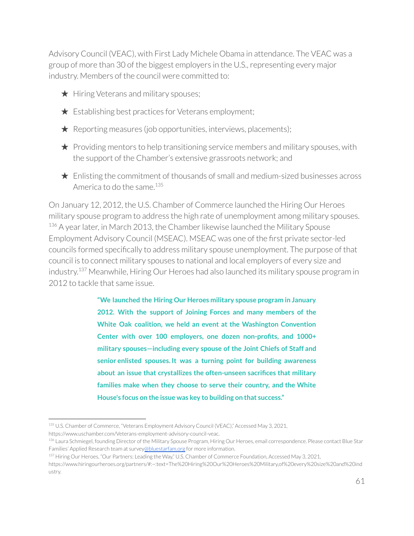Advisory Council (VEAC), with First Lady Michele Obama in attendance. The VEAC was a group of more than 30 of the biggest employers in the U.S., representing every major industry. Members of the council were committed to:

- ★ Hiring Veterans and military spouses;
- $\bigstar$  Establishing best practices for Veterans employment;
- $\star$  Reporting measures (job opportunities, interviews, placements);
- $\star$  Providing mentors to help transitioning service members and military spouses, with the support of the Chamber's extensive grassroots network; and
- $\star$  Enlisting the commitment of thousands of small and medium-sized businesses across America to do the same.<sup>135</sup>

On January 12, 2012, the U.S. Chamber of Commerce launched the Hiring Our Heroes military spouse program to address the high rate of unemployment among military spouses.  $136$  A year later, in March 2013, the Chamber likewise launched the Military Spouse Employment Advisory Council (MSEAC). MSEAC was one of the first private sector-led councils formed specifically to address military spouse unemployment. The purpose of that council is to connect military spouses to national and local employers of every size and industry.<sup>137</sup> Meanwhile, Hiring Our Heroes had also launched its military spouse program in 2012 to tackle that same issue.

> **"We launched the Hiring Our Heroes military spouse program in January 2012. With the support of Joining Forces and many members of the White Oak coalition, we held an event at the Washington Convention Center with over 100 employers, one dozen non-profits, and 1000+ military spouses—including every spouse of the Joint Chiefs of Staff and senior enlisted spouses. It was a turning point for building awareness about an issue that crystallizes the often-unseen sacrifices that military families make when they choose to serve their country, and the White House's focus on the issue was key to building on that success."**

<sup>135</sup> U.S. Chamber of Commerce, "Veterans Employment Advisory Council (VEAC)," Accessed May 3, 2021, https://www.uschamber.com/Veterans-employment-advisory-council-veac.

<sup>&</sup>lt;sup>136</sup> Laura Schmiegel, founding Director of the Military Spouse Program, Hiring Our Heroes, email correspondence. Please contact Blue Star Families' Applied Research team at survey[@bluestarfam.org](mailto:abrazer@bluestarfam.org) for more information.

<sup>137</sup> Hiring Our Heroes, "Our Partners: Leading the Way," U.S. Chamber of Commerce Foundation, Accessed May 3, 2021,

https://www.hiringourheroes.org/partners/#:~:text=The%20Hiring%20Our%20Heroes%20Military,of%20every%20size%20and%20ind ustry.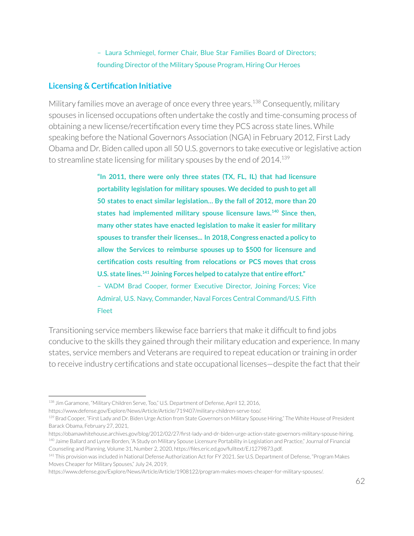### – Laura Schmiegel, former Chair, Blue Star Families Board of Directors; founding Director of the Military Spouse Program, Hiring Our Heroes

### **Licensing & Certification Initiative**

Military families move an average of once every three years.<sup>138</sup> Consequently, military spouses in licensed occupations often undertake the costly and time-consuming process of obtaining a new license/recertification every time they PCS across state lines. While speaking before the National Governors Association (NGA) in February 2012, First Lady Obama and Dr. Biden called upon all 50 U.S. governors to take executive orlegislative action to streamline state licensing for military spouses by the end of 2014. 139

> **"In 2011, there were only three states (TX, FL, IL) that had licensure portability legislation for military spouses. We decided to push to get all 50 states to enact similar legislation… By the fall of 2012, more than 20 states had implemented military spouse licensure laws. Since then, 140 many other states have enacted legislation to make it easier for military spouses to transfer their licenses... In 2018, Congress enacted a policy to allow the Services to reimburse spouses up to \$500 for licensure and certification costs resulting from relocations or PCS moves that cross U.S. state lines. Joining Forces helped to catalyze that entire effort." 141**

> – VADM Brad Cooper, former Executive Director, Joining Forces; Vice Admiral, U.S. Navy, Commander, Naval Forces Central Command/U.S. Fifth Fleet

Transitioning service members likewise face barriers that make it difficult to find jobs conducive to the skills they gained through their military education and experience. In many states, service members and Veterans are required to repeat education or training in order to receive industry certifications and state occupational licenses—despite the fact that their

<sup>138</sup> Jim Garamone, "Military Children Serve, Too," U.S. Department of Defense, April 12, 2016,

https://www.defense.gov/Explore/News/Article/Article/719407/military-children-serve-too/.

<sup>139</sup> Brad Cooper, "First Lady and Dr. Biden Urge Action from State Governors on Military Spouse Hiring," The White House of President Barack Obama, February 27, 2021,

<sup>140</sup> Jaime Ballard and Lynne Borden, "A Study on Military Spouse Licensure Portability in Legislation and Practice," Journal of Financial Counseling and Planning, Volume 31, Number 2, 2020, https://files.eric.ed.gov/fulltext/EJ1279873.pdf. https://obamawhitehouse.archives.gov/blog/2012/02/27/first-lady-and-dr-biden-urge-action-state-governors-military-spouse-hiring.

<sup>141</sup> This provision was included in National Defense Authorization Act for FY 2021. *See* U.S. Department of Defense, "Program Makes Moves Cheaper for Military Spouses," July 24, 2019,

https://www.defense.gov/Explore/News/Article/Article/1908122/program-makes-moves-cheaper-for-military-spouses/.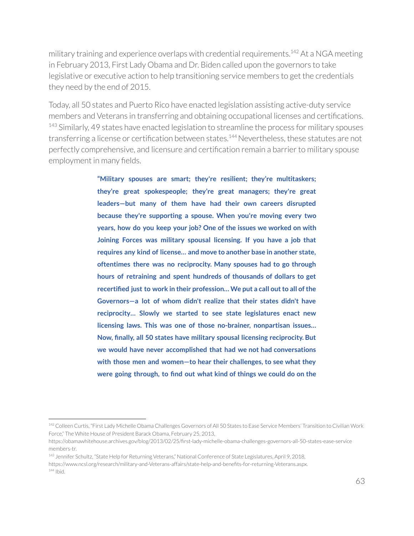military training and experience overlaps with credential requirements. $^{142}$  At a NGA meeting in February 2013, First Lady Obama and Dr. Biden called upon the governors to take legislative or executive action to help transitioning service members to get the credentials they need by the end of 2015.

Today, all 50 states and Puerto Rico have enacted legislation assisting active-duty service members and Veterans in transferring and obtaining occupational licenses and certifications.  $143$  Similarly, 49 states have enacted legislation to streamline the process for military spouses transferring a license or certification between states.<sup>144</sup> Nevertheless, these statutes are not perfectly comprehensive, and licensure and certification remain a barrier to military spouse employment in many fields.

> **"Military spouses are smart; they're resilient; they're multitaskers; they're great spokespeople; they're great managers; they're great leaders—but many of them have had their own careers disrupted because they're supporting a spouse. When you're moving every two years, how do you keep your job? One of the issues we worked on with Joining Forces was military spousal licensing. If you have a job that requires any kind of license… and move to another base in another state, oftentimes there was no reciprocity. Many spouses had to go through hours of retraining and spent hundreds of thousands of dollars to get recertified just to work in their profession… We put a call outto all ofthe Governors—a lot of whom didn't realize that their states didn't have reciprocity… Slowly we started to see state legislatures enact new licensing laws. This was one of those no-brainer, nonpartisan issues… Now, finally, all 50 states have military spousal licensing reciprocity. But we would have never accomplished that had we not had conversations with those men and women—to hear their challenges, to see what they were going through, to find out what kind of things we could do on the**

144 Ibid. 143 Jennifer Schultz, "State Help for Returning Veterans," National Conference of State Legislatures, April 9, 2018, https://www.ncsl.org/research/military-and-Veterans-affairs/state-help-and-benefits-for-returning-Veterans.aspx.

<sup>&</sup>lt;sup>142</sup> Colleen Curtis, "First Lady Michelle Obama Challenges Governors of All 50 States to Ease Service Members' Transition to Civilian Work Force," The White House of President Barack Obama, February 25, 2013,

https://obamawhitehouse.archives.gov/blog/2013/02/25/first-lady-michelle-obama-challenges-governors-all-50-states-ease-service members-tr.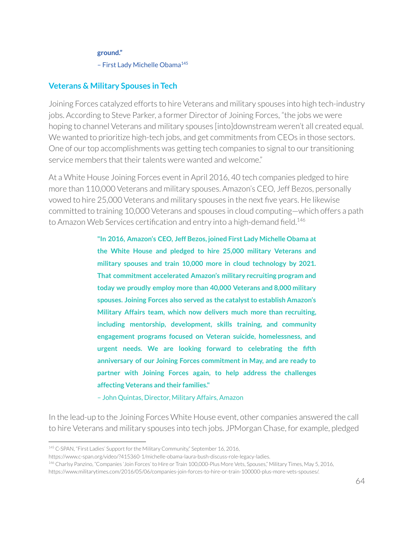#### **ground."**

- First Lady Michelle Obama<sup>145</sup>

### **Veterans & Military Spouses in Tech**

Joining Forces catalyzed efforts to hire Veterans and military spouses into high tech-industry jobs. According to Steve Parker, a former Director of Joining Forces, "the jobs we were hoping to channel Veterans and military spouses [into]downstream weren't all created equal. We wanted to prioritize high-tech jobs, and get commitments from CEOs in those sectors. One of our top accomplishments was getting tech companies to signal to our transitioning service members that their talents were wanted and welcome."

At a White House Joining Forces event in April 2016, 40 tech companies pledged to hire more than 110,000 Veterans and military spouses. Amazon's CEO, Jeff Bezos, personally vowed to hire 25,000 Veterans and military spouses in the next five years. He likewise committed to training 10,000 Veterans and spouses in cloud computing—which offers a path to Amazon Web Services certification and entry into a high-demand field.<sup>146</sup>

> **"In 2016, Amazon's CEO, Jeff Bezos, joined First Lady Michelle Obama at the White House and pledged to hire 25,000 military Veterans and military spouses and train 10,000 more in cloud technology by 2021. That commitment accelerated Amazon's military recruiting program and today we proudly employ more than 40,000 Veterans and 8,000 military spouses. Joining Forces also served as the catalystto establish Amazon's Military Affairs team, which now delivers much more than recruiting, including mentorship, development, skills training, and community engagement programs focused on Veteran suicide, homelessness, and urgent needs. We are looking forward to celebrating the fifth anniversary of our Joining Forces commitment in May, and are ready to partner with Joining Forces again, to help address the challenges affecting Veterans and their families."**

– John Quintas, Director, Military Affairs, Amazon

In the lead-up to the Joining Forces White House event, other companies answered the call to hire Veterans and military spouses into tech jobs. JPMorgan Chase, for example, pledged

<sup>145</sup> C-SPAN, "First Ladies' Support for the Military Community," September 16, 2016,

https://www.c-span.org/video/?415360-1/michelle-obama-laura-bush-discuss-role-legacy-ladies.

<sup>146</sup> Charlsy Panzino, "Companies 'Join Forces' to Hire or Train 100,000-Plus More Vets, Spouses," Military Times, May 5, 2016,

https://www.militarytimes.com/2016/05/06/companies-join-forces-to-hire-or-train-100000-plus-more-vets-spouses/.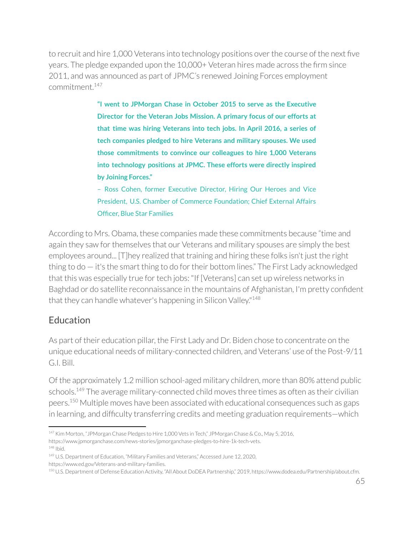to recruit and hire 1,000 Veterans into technology positions over the course of the next five years. The pledge expanded upon the 10,000+ Veteran hires made across the firm since 2011, and was announced as part of JPMC's renewed Joining Forces employment commitment. 147

> **"I went to JPMorgan Chase in October 2015 to serve as the Executive Director for the Veteran Jobs Mission. A primary focus of our efforts at that time was hiring Veterans into tech jobs. In April 2016, a series of tech companies pledged to hire Veterans and military spouses. We used those commitments to convince our colleagues to hire 1,000 Veterans into technology positions at JPMC. These efforts were directly inspired by Joining Forces."**

> – Ross Cohen, former Executive Director, Hiring Our Heroes and Vice President, U.S. Chamber of Commerce Foundation; Chief External Affairs Officer, Blue Star Families

According to Mrs. Obama, these companies made these commitments because "time and again they saw for themselves that our Veterans and military spouses are simply the best employees around... [T]hey realized that training and hiring these folks isn't just the right thing to  $d\circ -i$  t's the smart thing to do for their bottom lines." The First Lady acknowledged that this was especially true for tech jobs: "If [Veterans] can set up wireless networks in Baghdad or do satellite reconnaissance in the mountains of Afghanistan, I'm pretty confident that they can handle whatever's happening in Silicon Valley."<sup>148</sup>

# Education

As part of their education pillar, the First Lady and Dr. Biden chose to concentrate on the unique educational needs of military-connected children, and Veterans' use of the Post-9/11 G.I. Bill.

Of the approximately 1.2 million school-aged military children, more than 80% attend public schools.<sup>149</sup> The average military-connected child moves three times as often as their civilian peers.<sup>150</sup> Multiple moves have been associated with educational consequences such as gaps in learning, and difficulty transferring credits and meeting graduation requirements—which

<sup>148</sup> Ibid. <sup>147</sup> Kim Morton, "JPMorgan Chase Pledges to Hire 1,000 Vets in Tech," JPMorgan Chase & Co., May 5, 2016, https://www.jpmorganchase.com/news-stories/jpmorganchase-pledges-to-hire-1k-tech-vets.

<sup>149</sup> U.S. Department of Education, "Military Families and Veterans," Accessed June 12, 2020, https://www.ed.gov/Veterans-and-military-families.

<sup>150</sup> U.S. Department of Defense Education Activity, "All About DoDEA Partnership," 2019, https://www.dodea.edu/Partnership/about.cfm.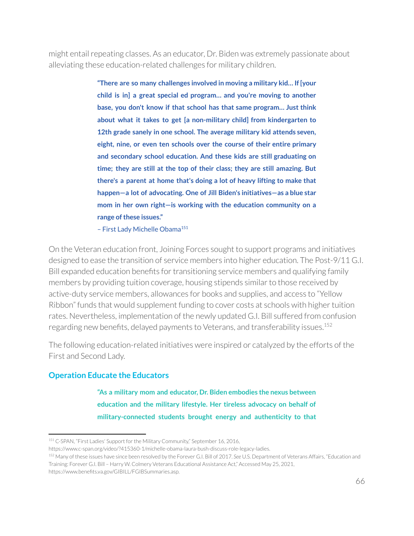might entail repeating classes. As an educator, Dr. Biden was extremely passionate about alleviating these education-related challenges for military children.

> **"There are so many challenges involved in moving a military kid… If [your child is in] a great special ed program… and you're moving to another base, you don't know if that school has that same program… Just think about what it takes to get [a non-military child] from kindergarten to 12th grade sanely in one school. The average military kid attends seven, eight, nine, or even ten schools over the course of their entire primary and secondary school education. And these kids are still graduating on time; they are still at the top of their class; they are still amazing. But there's a parent at home that's doing a lot of heavy lifting to make that happen—a lot of advocating. One of Jill Biden's initiatives—as a blue star mom in her own right—is working with the education community on a range of these issues."**

– First Lady Michelle Obama 151

On the Veteran education front, Joining Forces sought to support programs and initiatives designed to ease the transition of service members into higher education. The Post-9/11 G.I. Bill expanded education benefits for transitioning service members and qualifying family members by providing tuition coverage, housing stipends similar to those received by active-duty service members, allowances for books and supplies, and access to "Yellow Ribbon" funds that would supplement funding to cover costs at schools with higher tuition rates. Nevertheless, implementation of the newly updated G.I. Bill suffered from confusion regarding new benefits, delayed payments to Veterans, and transferability issues. 152

The following education-related initiatives were inspired or catalyzed by the efforts of the First and Second Lady.

### **Operation Educate the Educators**

**"As a military mom and educator, Dr. Biden embodies the nexus between education and the military lifestyle. Her tireless advocacy on behalf of military-connected students brought energy and authenticity to that**

<sup>&</sup>lt;sup>151</sup> C-SPAN, "First Ladies' Support for the Military Community," September 16, 2016,

https://www.c-span.org/video/?415360-1/michelle-obama-laura-bush-discuss-role-legacy-ladies.

<sup>152</sup> Many of these issues have since been resolved by the Forever G.I. Bill of 2017. *See* U.S. Department of Veterans Affairs, "Education and Training: Forever G.I. Bill – Harry W. Colmery Veterans Educational Assistance Act," Accessed May 25, 2021,

https://www.benefits.va.gov/GIBILL/FGIBSummaries.asp.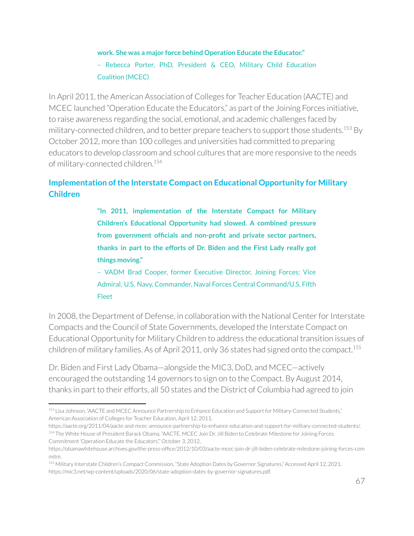# **work. She was a major force behind Operation Educate the Educator."** – Rebecca Porter, PhD, President & CEO, Military Child Education Coalition (MCEC)

In April 2011, the American Association of Colleges for Teacher Education (AACTE) and MCEC launched "Operation Educate the Educators," as part of the Joining Forces initiative, to raise awareness regarding the social, emotional, and academic challenges faced by military-connected children, and to better prepare teachers to support those students. $^{153}$  By October 2012, more than 100 colleges and universities had committed to preparing educators to develop classroom and school cultures that are more responsive to the needs of military-connected children. 154

# **Implementation ofthe Interstate Compact on Educational Opportunity for Military Children**

**"In 2011, implementation of the Interstate Compact for Military Children's Educational Opportunity had slowed. A combined pressure from government officials and non-profit and private sector partners, thanks in part to the efforts of Dr. Biden and the First Lady really got things moving."**

– VADM Brad Cooper, former Executive Director, Joining Forces; Vice Admiral, U.S. Navy, Commander, Naval Forces Central Command/U.S. Fifth Fleet

In 2008, the Department of Defense, in collaboration with the National Center for Interstate Compacts and the Council of State Governments, developed the Interstate Compact on Educational Opportunity for Military Children to address the educational transition issues of children of military families. As of April 2011, only 36 states had signed onto the compact. 155

Dr. Biden and First Lady Obama—alongside the MIC3, DoD, and MCEC—actively encouraged the outstanding 14 governors to sign on to the Compact. By August 2014, thanks in part to their efforts, all 50 states and the District of Columbia had agreed to join

<sup>153</sup> Lisa Johnson, "AACTE and MCEC Announce Partnership to Enhance Education and Support for Military-Connected Students," American Association of Colleges for Teacher Education, April 12, 2011,

<sup>154</sup> The White House of President Barack Obama, "AACTE, MCEC Join Dr. Jill Biden to Celebrate Milestone for Joining Forces Commitment 'Operation Educate the Educators'," October 3, 2012, https://aacte.org/2011/04/aacte-and-mcec-announce-partnership-to-enhance-education-and-support-for-military-connected-students/.

https://obamawhitehouse.archives.gov/the-press-office/2012/10/03/aacte-mcec-join-dr-jill-biden-celebrate-milestone-joining-forces-com mitm.

<sup>155</sup> Military Interstate Children's Compact Commission, "State Adoption Dates by Governor Signatures," Accessed April 12, 2021, https://mic3.net/wp-content/uploads/2020/06/state-adoption-dates-by-governor-signatures.pdf.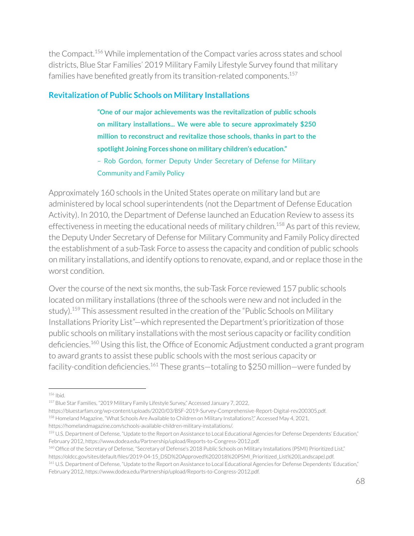the Compact.<sup>156</sup> While implementation of the Compact varies across states and school districts, Blue Star Families' 2019 Military Family Lifestyle Survey found that military families have benefited greatly from its transition-related components. 157

### **Revitalization of Public Schools on Military Installations**

**"One of our major achievements was the revitalization of public schools on military installations... We were able to secure approximately \$250 million to reconstruct and revitalize those schools, thanks in part to the spotlight Joining Forces shone on military children's education."** – Rob Gordon, former Deputy Under Secretary of Defense for Military Community and Family Policy

Approximately 160 schools in the United States operate on military land but are administered by local school superintendents (not the Department of Defense Education Activity). In 2010, the Department of Defense launched an Education Review to assess its effectiveness in meeting the educational needs of military children.<sup>158</sup> As part of this review, the Deputy Under Secretary of Defense for Military Community and Family Policy directed the establishment of a sub-Task Force to assess the capacity and condition of public schools on military installations, and identify options to renovate, expand, and orreplace those in the worst condition.

Over the course of the next six months, the sub-Task Force reviewed 157 public schools located on military installations (three of the schools were new and not included in the study).<sup>159</sup> This assessment resulted in the creation of the "Public Schools on Military Installations Priority List"—which represented the Department's prioritization of those public schools on military installations with the most serious capacity or facility condition deficiencies.<sup>160</sup> Using this list, the Office of Economic Adjustment conducted a grant program to award grants to assist these public schools with the most serious capacity or facility-condition deficiencies. $^{161}$  These grants—totaling to \$250 million—were funded by

https://bluestarfam.org/wp-content/uploads/2020/03/BSF-2019-Survey-Comprehensive-Report-Digital-rev200305.pdf.

<sup>156</sup> Ibid.

<sup>157</sup> Blue Star Families, "2019 Military Family Lifestyle Survey," Accessed January 7, 2022,

<sup>158</sup> Homeland Magazine, "What Schools Are Available to Children on Military Installations?," Accessed May 4, 2021,

https://homelandmagazine.com/schools-available-children-military-installations/.

<sup>159</sup> U.S. Department of Defense, "Update to the Report on Assistance to Local Educational Agencies for Defense Dependents' Education," February 2012, https://www.dodea.edu/Partnership/upload/Reports-to-Congress-2012.pdf.

<sup>160</sup> Office of the Secretary of Defense, "Secretary of Defense's 2018 Public Schools on Military Installations (PSMI) Prioritized List," https://oldcc.gov/sites/default/files/2019-04-15\_DSD%20Approved%202018%20PSMI\_Prioritized\_List%20(Landscape).pdf.

<sup>&</sup>lt;sup>161</sup> U.S. Department of Defense, "Update to the Report on Assistance to Local Educational Agencies for Defense Dependents' Education," February 2012, https://www.dodea.edu/Partnership/upload/Reports-to-Congress-2012.pdf.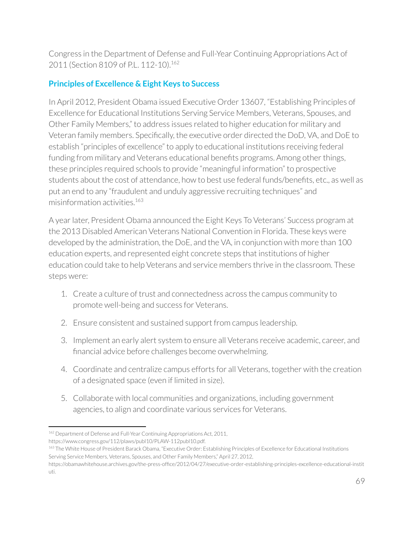Congress in the Department of Defense and Full-Year Continuing Appropriations Act of 2011 (Section 8109 of P.L. 112-10). 162

# **Principles of Excellence & Eight Keys to Success**

In April 2012, President Obama issued Executive Order 13607, "Establishing Principles of Excellence for Educational Institutions Serving Service Members, Veterans, Spouses, and Other Family Members," to address issues related to higher education for military and Veteran family members. Specifically, the executive order directed the DoD, VA, and DoE to establish "principles of excellence" to apply to educational institutions receiving federal funding from military and Veterans educational benefits programs. Among other things, these principles required schools to provide "meaningful information" to prospective students about the cost of attendance, how to best use federal funds/benefits, etc., as well as put an end to any "fraudulent and unduly aggressive recruiting techniques" and misinformation activities. 163

A yearlater, President Obama announced the Eight Keys To Veterans' Success program at the 2013 Disabled American Veterans National Convention in Florida. These keys were developed by the administration, the DoE, and the VA, in conjunction with more than 100 education experts, and represented eight concrete steps that institutions of higher education could take to help Veterans and service members thrive in the classroom. These steps were:

- 1. Create a culture of trust and connectedness across the campus community to promote well-being and success for Veterans.
- 2. Ensure consistent and sustained support from campus leadership.
- 3. Implement an early alert system to ensure all Veterans receive academic, career, and financial advice before challenges become overwhelming.
- 4. Coordinate and centralize campus efforts for all Veterans, together with the creation of a designated space (even if limited in size).
- 5. Collaborate with local communities and organizations, including government agencies, to align and coordinate various services for Veterans.

<sup>&</sup>lt;sup>162</sup> Department of Defense and Full-Year Continuing Appropriations Act, 2011, https://www.congress.gov/112/plaws/publ10/PLAW-112publ10.pdf.

<sup>&</sup>lt;sup>163</sup> The White House of President Barack Obama, "Executive Order: Establishing Principles of Excellence for Educational Institutions Serving Service Members, Veterans, Spouses, and Other Family Members," April 27, 2012,

https://obamawhitehouse.archives.gov/the-press-office/2012/04/27/executive-order-establishing-principles-excellence-educational-instit uti.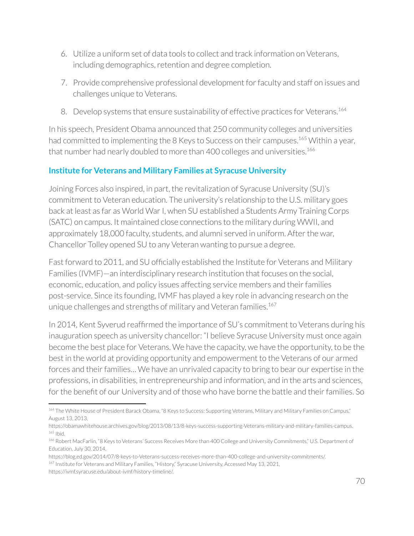- 6. Utilize a uniform set of data tools to collect and track information on Veterans, including demographics, retention and degree completion.
- 7. Provide comprehensive professional development forfaculty and staff on issues and challenges unique to Veterans.
- 8. Develop systems that ensure sustainability of effective practices for Veterans.<sup>164</sup>

In his speech, President Obama announced that 250 community colleges and universities had committed to implementing the 8 Keys to Success on their campuses.<sup>165</sup> Within a year, that number had nearly doubled to more than 400 colleges and universities.<sup>166</sup>

# **Institute for Veterans and Military Families at Syracuse University**

Joining Forces also inspired, in part, the revitalization of Syracuse University (SU)'s commitment to Veteran education. The university's relationship to the U.S. military goes back at least as far as World War I, when SU established a Students Army Training Corps (SATC) on campus. It maintained close connections to the military during WWII, and approximately 18,000 faculty, students, and alumni served in uniform. After the war, Chancellor Tolley opened SU to any Veteran wanting to pursue a degree.

Fast forward to 2011, and SU officially established the Institute for Veterans and Military Families (IVMF)—an interdisciplinary research institution that focuses on the social, economic, education, and policy issues affecting service members and their families post-service. Since its founding, IVMF has played a key role in advancing research on the unique challenges and strengths of military and Veteran families. 167

In 2014, Kent Syverud reaffirmed the importance of SU's commitment to Veterans during his inauguration speech as university chancellor: "I believe Syracuse University must once again become the best place for Veterans. We have the capacity, we have the opportunity, to be the best in the world at providing opportunity and empowerment to the Veterans of our armed forces and their families... We have an unrivaled capacity to bring to bear our expertise in the professions, in disabilities, in entrepreneurship and information, and in the arts and sciences, for the benefit of our University and of those who have borne the battle and their families. So

<sup>164</sup> The White House of President Barack Obama, "8 Keys to Success: Supporting Veterans, Military and Military Families on Campus," August 13, 2013,

<sup>165</sup> Ibid. https://obamawhitehouse.archives.gov/blog/2013/08/13/8-keys-success-supporting-Veterans-military-and-military-families-campus.

<sup>166</sup> Robert MacFarlin, "8 Keys to Veterans' Success Receives More than 400 College and University Commitments," U.S. Department of Education, July 30, 2014,

<sup>&</sup>lt;sup>167</sup> Institute for Veterans and Military Families, "History," Syracuse University, Accessed May 13, 2021, https://blog.ed.gov/2014/07/8-keys-to-Veterans-success-receives-more-than-400-college-and-university-commitments/.

https://ivmf.syracuse.edu/about-ivmf/history-timeline/.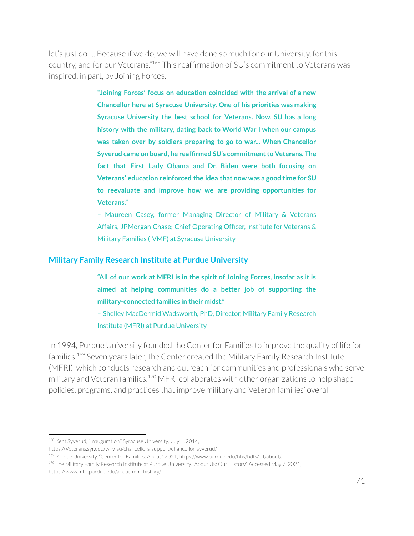let's just do it. Because if we do, we will have done so much for our University, forthis country, and for our Veterans."<sup>168</sup> This reaffirmation of SU's commitment to Veterans was inspired, in part, by Joining Forces.

> **"Joining Forces' focus on education coincided with the arrival of a new Chancellor here at Syracuse University. One of his priorities was making Syracuse University the best school for Veterans. Now, SU has a long history with the military, dating back to World War I when our campus was taken over by soldiers preparing to go to war... When Chancellor Syverud came on board, he reaffirmed SU's commitmentto Veterans. The fact that First Lady Obama and Dr. Biden were both focusing on Veterans' education reinforced the idea that now was a good time for SU to reevaluate and improve how we are providing opportunities for Veterans."**

> – Maureen Casey, former Managing Director of Military & Veterans Affairs, JPMorgan Chase; Chief Operating Officer, Institute for Veterans & Military Families (IVMF) at Syracuse University

#### **Military Family Research Institute at Purdue University**

**"All of our work at MFRI is in the spirit of Joining Forces, insofar as it is aimed at helping communities do a better job of supporting the military-connected families in their midst."**

– Shelley MacDermid Wadsworth, PhD, Director, Military Family Research Institute (MFRI) at Purdue University

In 1994, Purdue University founded the Center for Families to improve the quality of life for families.<sup>169</sup> Seven years later, the Center created the Military Family Research Institute (MFRI), which conducts research and outreach for communities and professionals who serve military and Veteran families. $170$  MFRI collaborates with other organizations to help shape policies, programs, and practices that improve military and Veteran families' overall

<sup>&</sup>lt;sup>168</sup> Kent Syverud, "Inauguration," Syracuse University, July 1, 2014,

https://Veterans.syr.edu/why-su/chancellors-support/chancellor-syverud/.

<sup>&</sup>lt;sup>169</sup> Purdue University, "Center for Families: About," 2021, https://www.purdue.edu/hhs/hdfs/cff/about/.

<sup>170</sup> The Military Family Research Institute at Purdue University, "About Us: Our History," Accessed May 7, 2021, https://www.mfri.purdue.edu/about-mfri-history/.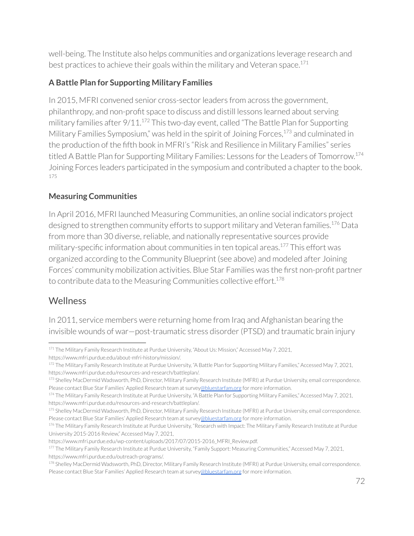well-being. The Institute also helps communities and organizations leverage research and best practices to achieve their goals within the military and Veteran space. 171

# **A Battle Plan for Supporting Military Families**

In 2015, MFRI convened senior cross-sector leaders from across the government, philanthropy, and non-profit space to discuss and distill lessons learned about serving military families after  $9/11.^{172}$  This two-day event, called "The Battle Plan for Supporting Military Families Symposium," was held in the spirit of Joining Forces,<sup>173</sup> and culminated in the production of the fifth book in MFRI's "Risk and Resilience in Military Families" series titled A Battle Plan for Supporting Military Families: Lessons for the Leaders of Tomorrow.<sup>174</sup> Joining Forces leaders participated in the symposium and contributed a chapter to the book. 175

## **Measuring Communities**

In April 2016, MFRI launched Measuring Communities, an online social indicators project designed to strengthen community efforts to support military and Veteran families.<sup>176</sup> Data from more than 30 diverse, reliable, and nationally representative sources provide military-specific information about communities in ten topical areas.<sup>177</sup> This effort was organized according to the Community Blueprint (see above) and modeled after Joining Forces' community mobilization activities. Blue Star Families was the first non-profit partner to contribute data to the Measuring Communities collective effort. 178

# **Wellness**

In 2011, service members were returning home from Iraq and Afghanistan bearing the invisible wounds of war—post-traumatic stress disorder(PTSD) and traumatic brain injury

<sup>171</sup> The Military Family Research Institute at Purdue University, "About Us: Mission," Accessed May 7, 2021,

https://www.mfri.purdue.edu/about-mfri-history/mission/.

<sup>172</sup> The Military Family Research Institute at Purdue University, "A Battle Plan for Supporting Military Families," Accessed May 7, 2021, https://www.mfri.purdue.edu/resources-and-research/battleplan/.

<sup>173</sup> Shelley MacDermid Wadsworth, PhD, Director, Military Family Research Institute (MFRI) at Purdue University, email correspondence. Please contact Blue Star Families' Applied Research team at survey[@bluestarfam.org](mailto:abrazer@bluestarfam.org) for more information.

<sup>174</sup> The Military Family Research Institute at Purdue University, "A Battle Plan for Supporting Military Families," Accessed May 7, 2021, https://www.mfri.purdue.edu/resources-and-research/battleplan/.

<sup>175</sup> Shelley MacDermid Wadsworth, PhD, Director, Military Family Research Institute (MFRI) at Purdue University, email correspondence. Please contact Blue Star Families' Applied Research team at survey[@bluestarfam.org](mailto:abrazer@bluestarfam.org) for more information.

<sup>176</sup> The Military Family Research Institute at Purdue University, "Research with Impact: The Military Family Research Institute at Purdue University 2015-2016 Review," Accessed May 7, 2021,

https://www.mfri.purdue.edu/wp-content/uploads/2017/07/2015-2016\_MFRI\_Review.pdf.

<sup>177</sup> The Military Family Research Institute at Purdue University, "Family Support: Measuring Communities," Accessed May 7, 2021, https://www.mfri.purdue.edu/outreach-programs/.

<sup>178</sup> Shelley MacDermid Wadsworth, PhD, Director, Military Family Research Institute (MFRI) at Purdue University, email correspondence. Please contact Blue Star Families' Applied Research team at survey[@bluestarfam.org](mailto:abrazer@bluestarfam.org) for more information.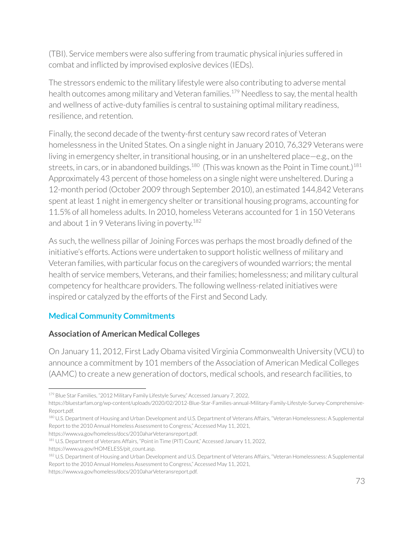(TBI). Service members were also suffering from traumatic physical injuries suffered in combat and inflicted by improvised explosive devices (IEDs).

The stressors endemic to the military lifestyle were also contributing to adverse mental health outcomes among military and Veteran families.<sup>179</sup> Needless to say, the mental health and wellness of active-duty families is central to sustaining optimal military readiness, resilience, and retention.

Finally, the second decade of the twenty-first century saw record rates of Veteran homelessness in the United States. On a single night in January 2010, 76,329 Veterans were living in emergency shelter, in transitional housing, or in an unsheltered place—e.g., on the streets, in cars, or in abandoned buildings. $^{180}$  (This was known as the Point in Time count.) $^{181}$ Approximately 43 percent of those homeless on a single night were unsheltered. During a 12-month period (October 2009 through September 2010), an estimated 144,842 Veterans spent at least 1 night in emergency shelter or transitional housing programs, accounting for 11.5% of all homeless adults. In 2010, homeless Veterans accounted for 1 in 150 Veterans and about 1 in 9 Veterans living in poverty.<sup>182</sup>

As such, the wellness pillar of Joining Forces was perhaps the most broadly defined of the initiative's efforts. Actions were undertaken to support holistic wellness of military and Veteran families, with particular focus on the caregivers of wounded warriors; the mental health of service members, Veterans, and their families; homelessness; and military cultural competency for healthcare providers. The following wellness-related initiatives were inspired or catalyzed by the efforts of the First and Second Lady.

## **Medical Community Commitments**

### **Association of American Medical Colleges**

On January 11, 2012, First Lady Obama visited Virginia Commonwealth University (VCU) to announce a commitment by 101 members of the Association of American Medical Colleges (AAMC) to create a new generation of doctors, medical schools, and research facilities, to

https://www.va.gov/homeless/docs/2010aharVeteransreport.pdf.

https://www.va.gov/homeless/docs/2010aharVeteransreport.pdf.

<sup>179</sup> Blue Star Families, "2012 Military Family Lifestyle Survey," Accessed January 7, 2022,

https://bluestarfam.org/wp-content/uploads/2020/02/2012-Blue-Star-Families-annual-Military-Family-Lifestyle-Survey-Comprehensive-Report.pdf.

<sup>180</sup> U.S. Department of Housing and Urban Development and U.S. Department of Veterans Affairs, "Veteran Homelessness: A Supplemental Report to the 2010 Annual Homeless Assessment to Congress," Accessed May 11, 2021,

<sup>181</sup> U.S. Department of Veterans Affairs, "Point in Time (PIT) Count," Accessed January 11, 2022, https://www.va.gov/HOMELESS/pit\_count.asp.

<sup>182</sup> U.S. Department of Housing and Urban Development and U.S. Department of Veterans Affairs, "Veteran Homelessness: A Supplemental Report to the 2010 Annual Homeless Assessment to Congress," Accessed May 11, 2021,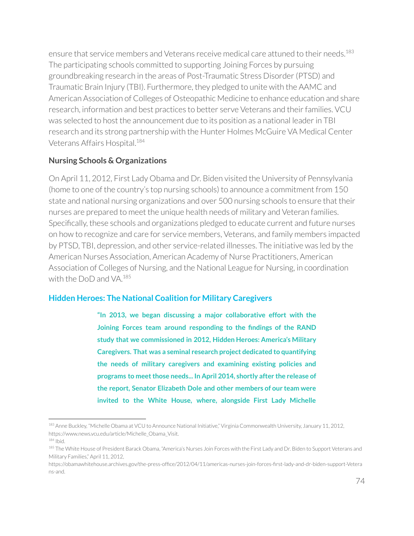ensure that service members and Veterans receive medical care attuned to their needs. 183 The participating schools committed to supporting Joining Forces by pursuing groundbreaking research in the areas of Post-Traumatic Stress Disorder(PTSD) and Traumatic Brain Injury (TBI). Furthermore, they pledged to unite with the AAMC and American Association of Colleges of Osteopathic Medicine to enhance education and share research, information and best practices to better serve Veterans and their families. VCU was selected to host the announcement due to its position as a national leaderin TBI research and its strong partnership with the Hunter Holmes McGuire VA Medical Center Veterans Affairs Hospital. 184

#### **Nursing Schools & Organizations**

On April 11, 2012, First Lady Obama and Dr. Biden visited the University of Pennsylvania (home to one of the country's top nursing schools) to announce a commitment from 150 state and national nursing organizations and over 500 nursing schools to ensure that their nurses are prepared to meet the unique health needs of military and Veteran families. Specifically, these schools and organizations pledged to educate current and future nurses on how to recognize and care for service members, Veterans, and family members impacted by PTSD, TBI, depression, and other service-related illnesses. The initiative was led by the American Nurses Association, American Academy of Nurse Practitioners, American Association of Colleges of Nursing, and the National League for Nursing, in coordination with the DoD and VA. 185

#### **Hidden Heroes: The National Coalition for Military Caregivers**

**"In 2013, we began discussing a major collaborative effort with the Joining Forces team around responding to the findings of the RAND study that we commissioned in 2012, Hidden Heroes: America's Military Caregivers. That was a seminal research project dedicated to quantifying the needs of military caregivers and examining existing policies and programs to meetthose needs... In April 2014, shortly after the release of the report, Senator Elizabeth Dole and other members of our team were invited to the White House, where, alongside First Lady Michelle**

<sup>&</sup>lt;sup>183</sup> Anne Buckley, "Michelle Obama at VCU to Announce National Initiative," Virginia Commonwealth University, January 11, 2012, https://www.news.vcu.edu/article/Michelle\_Obama\_Visit.

<sup>184</sup> Ibid.

<sup>&</sup>lt;sup>185</sup> The White House of President Barack Obama, "America's Nurses Join Forces with the First Lady and Dr. Biden to Support Veterans and Military Families," April 11, 2012,

https://obamawhitehouse.archives.gov/the-press-office/2012/04/11/americas-nurses-join-forces-first-lady-and-dr-biden-support-Vetera ns-and.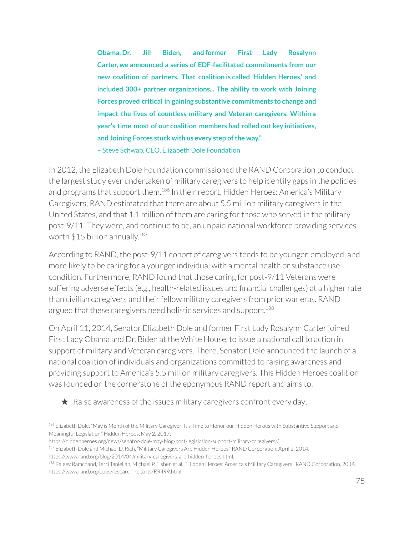**Obama, Dr. Jill Biden, and former First Lady Rosalynn Carter, we announced a series of EDF-facilitated commitments from our new coalition of partners. That coalition is called 'Hidden Heroes,' and included 300+ partner organizations... The ability to work with Joining Forces proved critical in gaining substantive commitments to change and impact the lives of countless military and Veteran caregivers. Within a year's time most of our coalition members had rolled out key initiatives, and Joining Forces stuck with us every step ofthe way."** – Steve Schwab, CEO, Elizabeth Dole Foundation

In 2012, the Elizabeth Dole Foundation commissioned the RAND Corporation to conduct the largest study ever undertaken of military caregivers to help identify gaps in the policies and programs that support them.<sup>186</sup> In their report, Hidden Heroes: America's Military Caregivers, RAND estimated that there are about 5.5 million military caregivers in the United States, and that 1.1 million of them are caring for those who served in the military post-9/11. They were, and continue to be, an unpaid national workforce providing services worth  $$15$  billion annually. $^{187}$ 

According to RAND, the post-9/11 cohort of caregivers tends to be younger, employed, and more likely to be caring for a younger individual with a mental health or substance use condition. Furthermore, RAND found that those caring for post-9/11 Veterans were suffering adverse effects (e.g., health-related issues and financial challenges) at a higher rate than civilian caregivers and their fellow military caregivers from prior war eras. RAND argued that these caregivers need holistic services and support.<sup>188</sup>

On April 11, 2014, Senator Elizabeth Dole and former First Lady Rosalynn Carterjoined First Lady Obama and Dr. Biden at the White House, to issue a national call to action in support of military and Veteran caregivers. There, Senator Dole announced the launch of a national coalition of individuals and organizations committed to raising awareness and providing support to America's 5.5 million military caregivers. This Hidden Heroes coalition was founded on the cornerstone of the eponymous RAND report and aims to:

 $\star$  Raise awareness of the issues military caregivers confront every day;

<sup>186</sup> Elizabeth Dole, "May is Month of the Military Caregiver: It's Time to Honor our Hidden Heroes with Substantive Support and Meaningful Legislation," Hidden Heroes, May 2, 2017,

https://hiddenheroes.org/news/senator-dole-may-blog-post-legislation-support-military-caregivers//.

<sup>&</sup>lt;sup>187</sup> Elizabeth Dole and Michael D. Rich, "Military Caregivers Are Hidden Heroes," RAND Corporation, April 2, 2014,

https://www.rand.org/blog/2014/04/military-caregivers-are-hidden-heroes.html.

<sup>188</sup> Rajeev Ramchand, Terri Tanielian, Michael P. Fisher, et al., "Hidden Heroes: America's Military Caregivers," RAND Corporation, 2014, https://www.rand.org/pubs/research\_reports/RR499.html.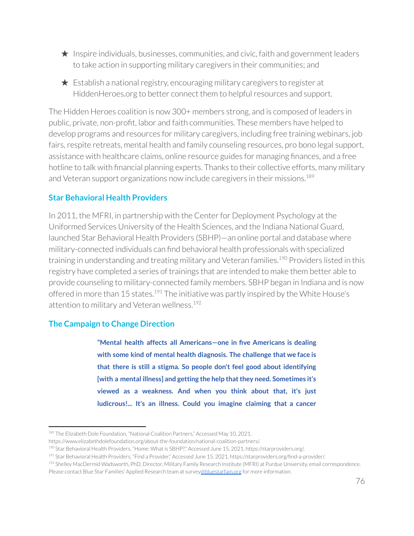- $\star$  Inspire individuals, businesses, communities, and civic, faith and government leaders to take action in supporting military caregivers in their communities; and
- $\star$  Establish a national registry, encouraging military caregivers to register at HiddenHeroes.org to better connect them to helpful resources and support.

The Hidden Heroes coalition is now 300+ members strong, and is composed of leaders in public, private, non-profit, labor and faith communities. These members have helped to develop programs and resources for military caregivers, including free training webinars, job fairs, respite retreats, mental health and family counseling resources, pro bono legal support, assistance with healthcare claims, online resource guides for managing finances, and a free hotline to talk with financial planning experts. Thanks to their collective efforts, many military and Veteran support organizations now include caregivers in their missions. 189

### **Star Behavioral Health Providers**

In 2011, the MFRI, in partnership with the Centerfor Deployment Psychology at the Uniformed Services University of the Health Sciences, and the Indiana National Guard, launched Star Behavioral Health Providers (SBHP)—an online portal and database where military-connected individuals can find behavioral health professionals with specialized training in understanding and treating military and Veteran families.<sup>190</sup> Providers listed in this registry have completed a series of trainings that are intended to make them better able to provide counseling to military-connected family members. SBHP began in Indiana and is now offered in more than 15 states.<sup>191</sup> The initiative was partly inspired by the White House's attention to military and Veteran wellness. 192

#### **The Campaign to Change Direction**

**"Mental health affects all Americans—one in five Americans is dealing with some kind of mental health diagnosis. The challenge that we face is that there is still a stigma. So people don't feel good about identifying [with a mental illness] and getting the help thatthey need. Sometimes it's viewed as a weakness. And when you think about that, it's just ludicrous!... It's an illness. Could you imagine claiming that a cancer**

<sup>&</sup>lt;sup>189</sup> The Elizabeth Dole Foundation, "National Coalition Partners," Accessed May 10, 2021,

https://www.elizabethdolefoundation.org/about-the-foundation/national-coalition-partners/.

<sup>190</sup> Star Behavioral Health Providers, "Home: What is SBHP?," Accessed June 15, 2021, https://starproviders.org/.

<sup>&</sup>lt;sup>191</sup> Star Behavioral Health Providers, "Find a Provider," Accessed June 15, 2021, https://starproviders.org/find-a-provider/.

<sup>192</sup> Shelley MacDermid Wadsworth, PhD, Director, Military Family Research Institute (MFRI) at Purdue University, email correspondence.

Please contact Blue Star Families' Applied Research team at survey[@bluestarfam.org](mailto:abrazer@bluestarfam.org) for more information.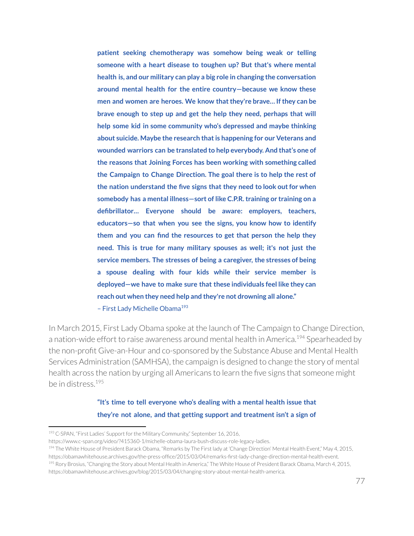**patient seeking chemotherapy was somehow being weak or telling someone with a heart disease to toughen up? But that's where mental health is, and our military can play a big role in changing the conversation around mental health for the entire country—because we know these men and women are heroes. We know thatthey're brave… Ifthey can be brave enough to step up and get the help they need, perhaps that will help some kid in some community who's depressed and maybe thinking about suicide. Maybe the research thatis happening for our Veterans and wounded warriors can be translated to help everybody. And that's one of the reasons that Joining Forces has been working with something called the Campaign to Change Direction. The goal there is to help the rest of the nation understand the five signs that they need to look outfor when somebody has a mental illness—sort of like C.P.R.training or training on a defibrillator… Everyone should be aware: employers, teachers, educators—so that when you see the signs, you know how to identify them and you can find the resources to get that person the help they need. This is true for many military spouses as well; it's not just the service members. The stresses of being a caregiver, the stresses of being a spouse dealing with four kids while their service member is deployed—we have to make sure that these individuals feel like they can reach out when they need help and they're not drowning all alone."** - First Lady Michelle Obama<sup>193</sup>

In March 2015, First Lady Obama spoke at the launch of The Campaign to Change Direction, a nation-wide effort to raise awareness around mental health in America.<sup>194</sup> Spearheaded by the non-profit Give-an-Hour and co-sponsored by the Substance Abuse and Mental Health Services Administration (SAMHSA), the campaign is designed to change the story of mental health across the nation by urging all Americans to learn the five signs that someone might be in distress. 195

> **"It's time to tell everyone who's dealing with a mental health issue that they're not alone, and that getting support and treatment isn't a sign of**

https://www.c-span.org/video/?415360-1/michelle-obama-laura-bush-discuss-role-legacy-ladies.

<sup>&</sup>lt;sup>193</sup> C-SPAN, "First Ladies' Support for the Military Community," September 16, 2016,

<sup>&</sup>lt;sup>195</sup> Rory Brosius, "Changing the Story about Mental Health in America," The White House of President Barack Obama, March 4, 2015, <sup>194</sup> The White House of President Barack Obama, "Remarks by The First lady at 'Change Direction' Mental Health Event," May 4, 2015, https://obamawhitehouse.archives.gov/the-press-office/2015/03/04/remarks-first-lady-change-direction-mental-health-event.

https://obamawhitehouse.archives.gov/blog/2015/03/04/changing-story-about-mental-health-america.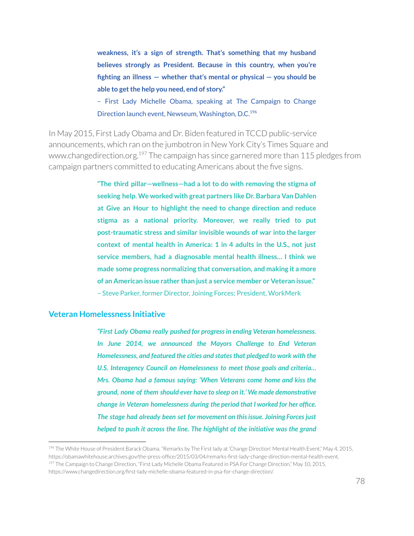**weakness, it's a sign of strength. That's something that my husband believes strongly as President. Because in this country, when you're fighting an illness — whether that's mental or physical — you should be able to getthe help you need, end of story."**

– First Lady Michelle Obama, speaking at The Campaign to Change Direction launch event, Newseum, Washington, D.C.<sup>196</sup>

In May 2015, First Lady Obama and Dr. Biden featured in TCCD public-service announcements, which ran on the jumbotron in New York City's Times Square and www.changedirection.org. <sup>197</sup> The campaign has since garnered more than 115 pledges from campaign partners committed to educating Americans about the five signs.

> **"The third pillar—wellness—had a lot to do with removing the stigma of seeking help. We worked with great partners like Dr. Barbara Van Dahlen at Give an Hour to highlight the need to change direction and reduce stigma as a national priority. Moreover, we really tried to put post-traumatic stress and similar invisible wounds of war into the larger context of mental health in America: 1 in 4 adults in the U.S., not just service members, had a diagnosable mental health illness… I think we made some progress normalizing that conversation, and making it a more of an American issue rather than just a service member or Veteran issue."** – Steve Parker, former Director, Joining Forces; President, WorkMerk

#### **Veteran Homelessness Initiative**

*"First Lady Obama really pushed for progressin ending Veteran homelessness. In June 2014, we announced the Mayors Challenge to End Veteran Homelessness, and featured the cities and statesthat pledged to work with the U.S. Interagency Council on Homelessness to meet those goals and criteria… Mrs. Obama had a famous saying: 'When Veterans come home and kiss the ground, none of them should ever have to sleep on it.' We made demonstrative change in Veteran homelessness during the period that I worked for her office. The stage had already been set for movement on thisissue. Joining Forcesjust helped to push it across the line. The highlight of the initiative was the grand*

<sup>197</sup> The Campaign to Change Direction, "First Lady Michelle Obama Featured in PSA For Change Direction," May 10, 2015, https://www.changedirection.org/first-lady-michelle-obama-featured-in-psa-for-change-direction/. <sup>196</sup> The White House of President Barack Obama, "Remarks by The First lady at 'Change Direction' Mental Health Event," May 4, 2015, https://obamawhitehouse.archives.gov/the-press-office/2015/03/04/remarks-first-lady-change-direction-mental-health-event.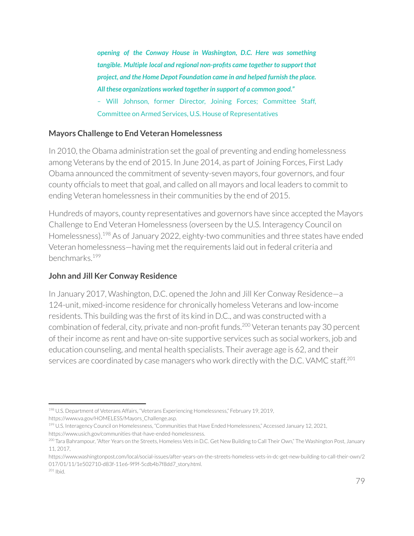*opening of the Conway House in Washington, D.C. Here was something tangible. Multiple local and regional non-profits came together to support that project, and the Home Depot Foundation came in and helped furnish the place. All these organizations worked together in support of a common good." –* Will Johnson, former Director, Joining Forces; Committee Staff, Committee on Armed Services, U.S. House of Representatives

### **Mayors Challenge to End Veteran Homelessness**

In 2010, the Obama administration set the goal of preventing and ending homelessness among Veterans by the end of 2015. In June 2014, as part of Joining Forces, First Lady Obama announced the commitment of seventy-seven mayors, four governors, and four county officials to meet that goal, and called on all mayors and local leaders to commit to ending Veteran homelessness in their communities by the end of 2015.

Hundreds of mayors, county representatives and governors have since accepted the Mayors Challenge to End Veteran Homelessness (overseen by the U.S. Interagency Council on Homelessness).<sup>198</sup> As of January 2022, eighty-two communities and three states have ended Veteran homelessness—having met the requirements laid out in federal criteria and benchmarks. 199

### **John and Jill Ker Conway Residence**

In January 2017, Washington, D.C. opened the John and Jill Ker Conway Residence—a 124-unit, mixed-income residence for chronically homeless Veterans and low-income residents. This building was the first of its kind in D.C., and was constructed with a combination of federal, city, private and non-profit funds.<sup>200</sup> Veteran tenants pay 30 percent of their income as rent and have on-site supportive services such as social workers, job and education counseling, and mental health specialists. Their average age is 62, and their services are coordinated by case managers who work directly with the D.C. VAMC staff.<sup>201</sup>

<sup>198</sup> U.S. Department of Veterans Affairs, "Veterans Experiencing Homelessness," February 19, 2019, https://www.va.gov/HOMELESS/Mayors\_Challenge.asp.

<sup>&</sup>lt;sup>199</sup> U.S. Interagency Council on Homelessness, "Communities that Have Ended Homelessness," Accessed January 12, 2021, https://www.usich.gov/communities-that-have-ended-homelessness.

<sup>&</sup>lt;sup>200</sup> Tara Bahrampour, "After Years on the Streets, Homeless Vets in D.C. Get New Building to Call Their Own," The Washington Post, January 11, 2017,

https://www.washingtonpost.com/local/social-issues/after-years-on-the-streets-homeless-vets-in-dc-get-new-building-to-call-their-own/2 017/01/11/1e502710-d83f-11e6-9f9f-5cdb4b7f8dd7\_story.html.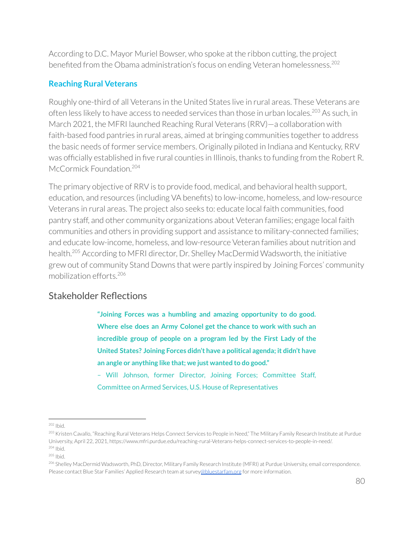According to D.C. Mayor Muriel Bowser, who spoke at the ribbon cutting, the project benefited from the Obama administration's focus on ending Veteran homelessness. 202

### **Reaching Rural Veterans**

Roughly one-third of all Veterans in the United States live in rural areas. These Veterans are often less likely to have access to needed services than those in urban locales.<sup>203</sup> As such, in March 2021, the MFRI launched Reaching Rural Veterans (RRV)—a collaboration with faith-based food pantries in rural areas, aimed at bringing communities together to address the basic needs of former service members. Originally piloted in Indiana and Kentucky, RRV was officially established in five rural counties in Illinois, thanks to funding from the Robert R. McCormick Foundation.<sup>204</sup>

The primary objective of RRV is to provide food, medical, and behavioral health support, education, and resources (including VA benefits) to low-income, homeless, and low-resource Veterans in rural areas. The project also seeks to: educate local faith communities, food pantry staff, and other community organizations about Veteran families; engage local faith communities and others in providing support and assistance to military-connected families; and educate low-income, homeless, and low-resource Veteran families about nutrition and health.<sup>205</sup> According to MFRI director, Dr. Shelley MacDermid Wadsworth, the initiative grew out of community Stand Downs that were partly inspired by Joining Forces' community mobilization efforts. 206

# Stakeholder Reflections

**"Joining Forces was a humbling and amazing opportunity to do good. Where else does an Army Colonel get the chance to work with such an incredible group of people on a program led by the First Lady of the United States? Joining Forces didn't have a political agenda; it didn't have an angle or anything like that; we just wanted to do good."**

– Will Johnson, former Director, Joining Forces; Committee Staff, Committee on Armed Services, U.S. House of Representatives

<sup>202</sup> Ibid.

<sup>204</sup> Ibid. <sup>203</sup> Kristen Cavallo, "Reaching Rural Veterans Helps Connect Services to People in Need," The Military Family Research Institute at Purdue University, April 22, 2021, https://www.mfri.purdue.edu/reaching-rural-Veterans-helps-connect-services-to-people-in-need/.

<sup>205</sup> Ibid.

<sup>206</sup> Shelley MacDermid Wadsworth, PhD, Director, Military Family Research Institute (MFRI) at Purdue University, email correspondence. Please contact Blue Star Families' Applied Research team at survey[@bluestarfam.org](mailto:abrazer@bluestarfam.org) for more information.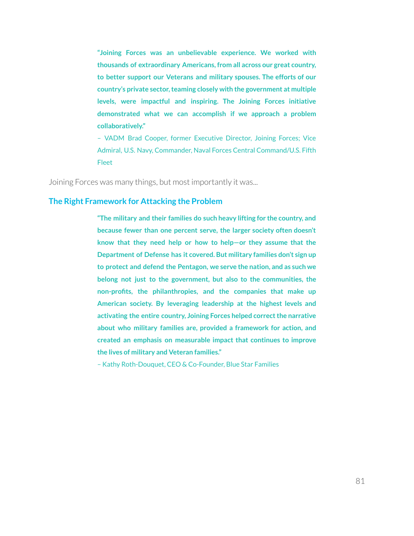**"Joining Forces was an unbelievable experience. We worked with thousands of extraordinary Americans, from all across our great country, to better support our Veterans and military spouses. The efforts of our country's** private sector, teaming closely with the government at multiple **levels, were impactful and inspiring. The Joining Forces initiative demonstrated what we can accomplish if we approach a problem collaboratively."**

– VADM Brad Cooper, former Executive Director, Joining Forces; Vice Admiral, U.S. Navy, Commander, Naval Forces Central Command/U.S. Fifth Fleet

Joining Forces was many things, but most importantly it was...

#### **The Right Framework for Attacking the Problem**

**"The military and their families do such heavy lifting for the country, and because fewer than one percent serve, the larger society often doesn't know that they need help or how to help—or they assume that the Department of Defense has it covered. But military families don't sign up to protect and defend the Pentagon, we serve the nation, and as such we belong not just to the government, but also to the communities, the non-profits, the philanthropies, and the companies that make up American society. By leveraging leadership at the highest levels and activating the entire country, Joining Forces helped correctthe narrative about who military families are, provided a framework for action, and created an emphasis on measurable impact that continues to improve the lives of military and Veteran families."**

– Kathy Roth-Douquet, CEO & Co-Founder, Blue Star Families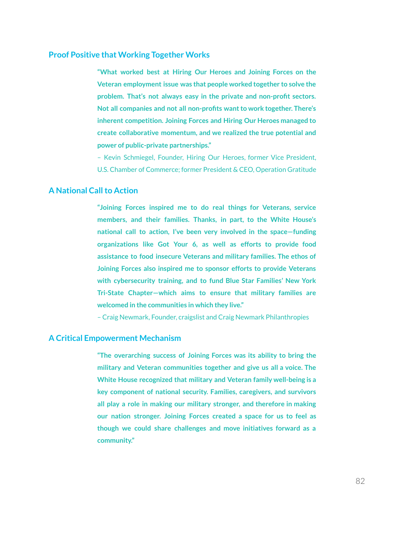#### **Proof Positive that Working Together Works**

**"What worked best at Hiring Our Heroes and Joining Forces on the Veteran employment issue was that people worked together to solve the problem. That's not always easy in the private and non-profit sectors. Not all companies and not all non-profits wantto work together. There's inherent competition. Joining Forces and Hiring Our Heroes managed to create collaborative momentum, and we realized the true potential and power of public-private partnerships."**

– Kevin Schmiegel, Founder, Hiring Our Heroes, former Vice President, U.S. Chamber of Commerce; former President & CEO, Operation Gratitude

#### **A National Callto Action**

**"Joining Forces inspired me to do real things for Veterans, service members, and their families. Thanks, in part, to the White House's national call to action, I've been very involved in the space—funding organizations like Got Your 6, as well as efforts to provide food assistance to food insecure Veterans and military families. The ethos of Joining Forces also inspired me to sponsor efforts to provide Veterans with cybersecurity training, and to fund Blue Star Families' New York Tri-State Chapter—which aims to ensure that military families are welcomed in the communities in which they live."**

– Craig Newmark, Founder, craigslist and Craig Newmark Philanthropies

#### **A Critical Empowerment Mechanism**

**"The overarching success of Joining Forces was its ability to bring the military and Veteran communities together and give us all a voice. The White House recognized that military and Veteran family well-being is a key component of national security. Families, caregivers, and survivors all play a role in making our military stronger, and therefore in making our nation stronger. Joining Forces created a space for us to feel as though we could share challenges and move initiatives forward as a community."**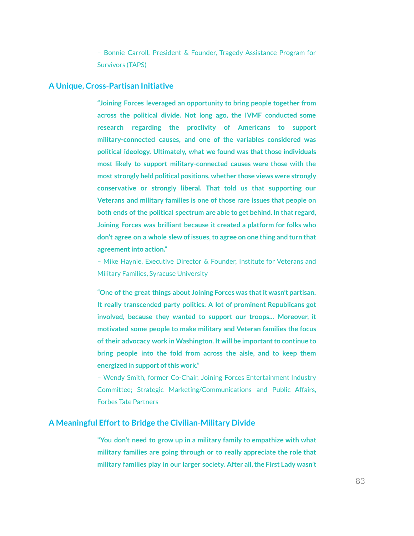– Bonnie Carroll, President & Founder, Tragedy Assistance Program for Survivors (TAPS)

#### **A Unique, Cross-Partisan Initiative**

**"Joining Forces leveraged an opportunity to bring people together from across the political divide. Not long ago, the IVMF conducted some research regarding the proclivity of Americans to support military-connected causes, and one of the variables considered was political ideology. Ultimately, what we found was that those individuals most likely to support military-connected causes were those with the most strongly held political positions, whether those views were strongly conservative or strongly liberal. That told us that supporting our Veterans and military families is one of those rare issues that people on both ends of the political spectrum are able to get behind. In that regard, Joining Forces was brilliant because it created a platform for folks who don't agree on a whole slew of issues,to agree on one thing and turn that agreement into action."** 

– Mike Haynie, Executive Director & Founder, Institute for Veterans and Military Families, Syracuse University

**"One of the great things about Joining Forces was thatit wasn't partisan. It really transcended party politics. A lot of prominent Republicans got involved, because they wanted to support our troops… Moreover, it motivated some people to make military and Veteran families the focus of their advocacy work in Washington. It will be importantto continue to bring people into the fold from across the aisle, and to keep them energized** in support of this work."

– Wendy Smith, former Co-Chair, Joining Forces Entertainment Industry Committee; Strategic Marketing/Communications and Public Affairs, Forbes Tate Partners

#### **A Meaningful Effortto Bridge the Civilian-Military Divide**

**"You don't need to grow up in a military family to empathize with what military families are going through or to really appreciate the role that military families play in our larger society. After all,the First Lady wasn't**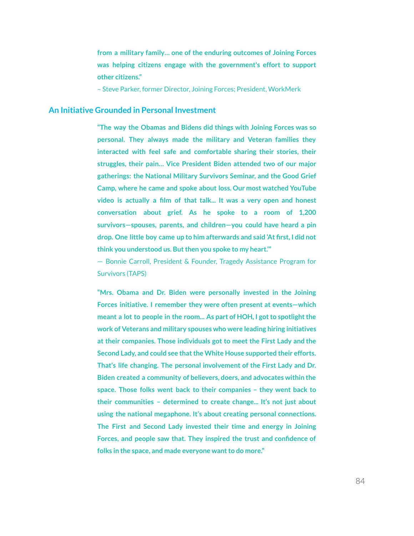**from a military family… one of the enduring outcomes of Joining Forces was helping citizens engage with the government's effort to support other citizens."**

– Steve Parker, former Director, Joining Forces; President, WorkMerk

#### **An Initiative Grounded in Personal Investment**

**"The way the Obamas and Bidens did things with Joining Forces was so personal. They always made the military and Veteran families they interacted with feel safe and comfortable sharing their stories, their struggles, their pain… Vice President Biden attended two of our major gatherings: the National Military Survivors Seminar, and the Good Grief Camp, where he came and spoke about loss. Our most watched YouTube video is actually a film of that talk... It was a very open and honest conversation about grief. As he spoke to a room of 1,200 survivors—spouses, parents, and children—you could have heard a pin drop. One little boy came up to him afterwards and said 'At first, I did not think you understood us. Butthen you spoke to my heart.'"**

— Bonnie Carroll, President & Founder, Tragedy Assistance Program for Survivors (TAPS)

**"Mrs. Obama and Dr. Biden were personally invested in the Joining Forces initiative. I remember they were often present at events—which meant a lot to people in the room... As part of HOH, I gotto spotlightthe work of Veterans and military spouses who were leading hiring initiatives at their companies. Those individuals got to meet the First Lady and the Second Lady, and could see thatthe White House supported their efforts. That's life changing. The personal involvement of the First Lady and Dr. Biden created a community of believers, doers, and advocates within the space. Those folks went back to their companies – they went back to their communities – determined to create change... It's not just about using the national megaphone. It's about creating personal connections. The First and Second Lady invested their time and energy in Joining Forces, and people saw that. They inspired the trust and confidence of folks** in the space, and made everyone want to do more."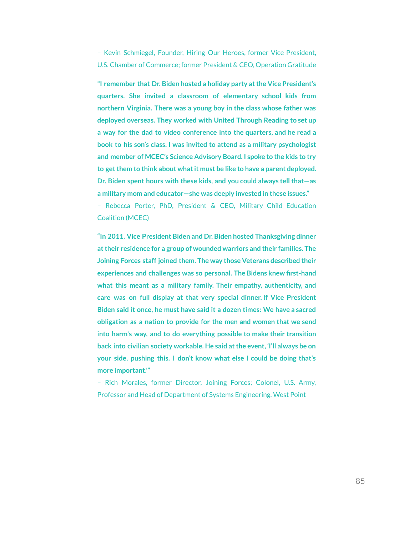– Kevin Schmiegel, Founder, Hiring Our Heroes, former Vice President, U.S. Chamber of Commerce; former President & CEO, Operation Gratitude

**"I remember that Dr. Biden hosted a holiday party atthe Vice President's quarters. She invited a classroom of elementary school kids from northern Virginia. There was a young boy in the class whose father was deployed overseas. They worked with United Through Reading to set up a way for the dad to video conference into the quarters, and he read a book to his son's class. I was invited to attend as a military psychologist and member of MCEC's Science Advisory Board. I spoke to the kids to try to getthem to think about whatit must be like to have a parent deployed. Dr. Biden spent hours with these kids, and you could always tellthat—as a military mom and educator—she was deeply invested in these issues."**

– Rebecca Porter, PhD, President & CEO, Military Child Education Coalition (MCEC)

**"In 2011, Vice President Biden and Dr. Biden hosted Thanksgiving dinner attheir residence for a group of wounded warriors and their families. The Joining Forces staff joined them. The way those Veterans described their experiences and challenges was so personal. The Bidens knew first-hand what this meant as a military family. Their empathy, authenticity, and care was on full display at that very special dinner. If Vice President Biden said it once, he must have said it a dozen times: We have a sacred obligation as a nation to provide for the men and women that we send into harm's way, and to do everything possible to make their transition back into civilian society workable. He said atthe event, 'I'll always be on your side, pushing this. I don't know what else I could be doing that's more important.'"**

– Rich Morales, former Director, Joining Forces; Colonel, U.S. Army, Professor and Head of Department of Systems Engineering, West Point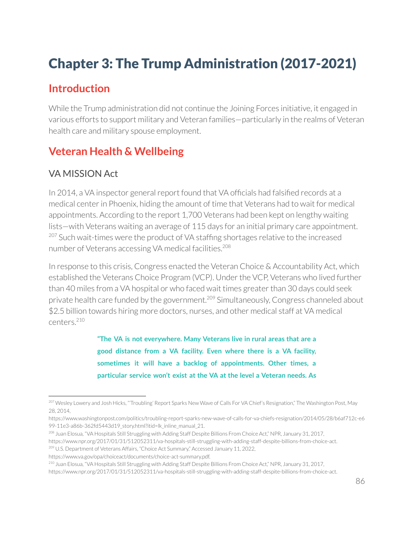# Chapter 3: The Trump Administration (2017-2021)

# **Introduction**

While the Trump administration did not continue the Joining Forces initiative, it engaged in various efforts to support military and Veteran families—particularly in the realms of Veteran health care and military spouse employment.

# **Veteran Health & Wellbeing**

# VA MISSION Act

In 2014, a VA inspector general report found that VA officials had falsified records at a medical center in Phoenix, hiding the amount of time that Veterans had to wait for medical appointments. According to the report 1,700 Veterans had been kept on lengthy waiting lists—with Veterans waiting an average of 115 days for an initial primary care appointment. <sup>207</sup> Such wait-times were the product of VA staffing shortages relative to the increased number of Veterans accessing VA medical facilities. 208

In response to this crisis, Congress enacted the Veteran Choice & Accountability Act, which established the Veterans Choice Program (VCP). Under the VCP, Veterans who lived further than 40 miles from a VA hospital or who faced wait times greater than 30 days could seek private health care funded by the government.<sup>209</sup> Simultaneously, Congress channeled about \$2.5 billion towards hiring more doctors, nurses, and other medical staff at VA medical centers. 210

> **"The VA is not everywhere. Many Veterans live in rural areas that are a good distance from a VA facility. Even where there is a VA facility, sometimes it will have a backlog of appointments. Other times, a particular service won't exist at the VA at the level a Veteran needs. As**

https://www.washingtonpost.com/politics/troubling-report-sparks-new-wave-of-calls-for-va-chiefs-resignation/2014/05/28/b6af712c-e6 99-11e3-a86b-362fd5443d19\_story.html?itid=lk\_inline\_manual\_21.

<sup>208</sup> Juan Elosua, "VA Hospitals Still Struggling with Adding Staff Despite Billions From Choice Act," NPR, January 31, 2017,

<sup>209</sup> U.S. Department of Veterans Affairs, "Choice Act Summary," Accessed January 11, 2022,

<sup>&</sup>lt;sup>207</sup> Wesley Lowery and Josh Hicks, "Troubling' Report Sparks New Wave of Calls For VA Chief's Resignation," The Washington Post, May 28, 2014,

https://www.npr.org/2017/01/31/512052311/va-hospitals-still-struggling-with-adding-staff-despite-billions-from-choice-act.

https://www.va.gov/opa/choiceact/documents/choice-act-summary.pdf.

<sup>&</sup>lt;sup>210</sup> Juan Elosua, "VA Hospitals Still Struggling with Adding Staff Despite Billions From Choice Act," NPR, January 31, 2017,

https://www.npr.org/2017/01/31/512052311/va-hospitals-still-struggling-with-adding-staff-despite-billions-from-choice-act.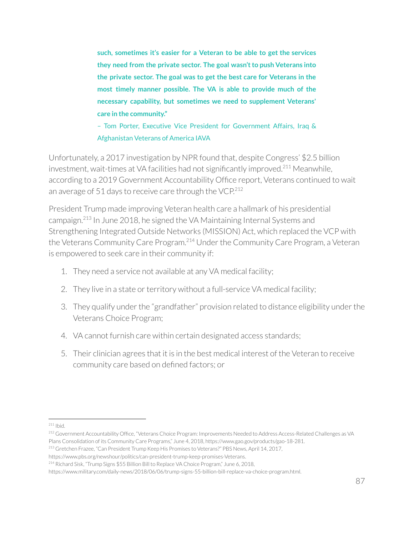**such, sometimes it's easier for a Veteran to be able to get the services they need from the private sector. The goal wasn'tto push Veterans into the private sector. The goal was to get the best care for Veterans in the most timely manner possible. The VA is able to provide much of the necessary capability, but sometimes we need to supplement Veterans' care in the community."**

– Tom Porter, Executive Vice President for Government Affairs, Iraq & Afghanistan Veterans of America IAVA

Unfortunately, a 2017 investigation by NPR found that, despite Congress' \$2.5 billion investment, wait-times at VA facilities had not significantly improved.<sup>211</sup> Meanwhile, according to a 2019 Government Accountability Office report, Veterans continued to wait an average of 51 days to receive care through the VCP. $^{212}$ 

President Trump made improving Veteran health care a hallmark of his presidential campaign.<sup>213</sup> In June 2018, he signed the VA Maintaining Internal Systems and Strengthening Integrated Outside Networks (MISSION) Act, which replaced the VCP with the Veterans Community Care Program.<sup>214</sup> Under the Community Care Program, a Veteran is empowered to seek care in their community if:

- 1. They need a service not available at any VA medical facility;
- 2. They live in a state or territory without a full-service VA medical facility;
- 3. They qualify under the "grandfather" provision related to distance eligibility under the Veterans Choice Program;
- 4. VA cannot furnish care within certain designated access standards;
- 5. Their clinician agrees that it is in the best medical interest of the Veteran to receive community care based on defined factors; or

<sup>211</sup> Ibid.

<sup>212</sup> Government Accountability Office, "Veterans Choice Program: Improvements Needed to Address Access-Related Challenges as VA Plans Consolidation of its Community Care Programs," June 4, 2018, https://www.gao.gov/products/gao-18-281.

<sup>213</sup> Gretchen Frazee, "Can President Trump Keep His Promises to Veterans?" PBS News, April 14, 2017,

https://www.pbs.org/newshour/politics/can-president-trump-keep-promises-Veterans.

<sup>214</sup> Richard Sisk, "Trump Signs \$55 Billion Bill to Replace VA Choice Program," June 6, 2018,

https://www.military.com/daily-news/2018/06/06/trump-signs-55-billion-bill-replace-va-choice-program.html.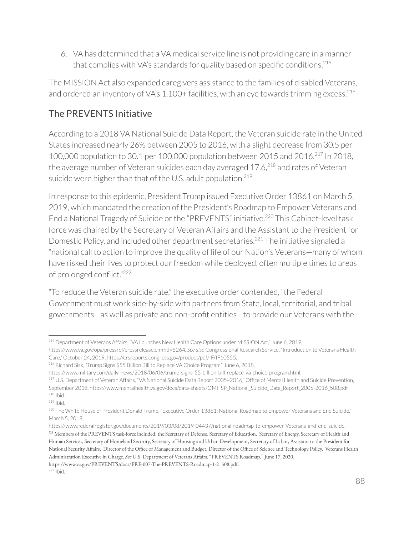6. VA has determined that a VA medical service line is not providing care in a manner that complies with VA's standards for quality based on specific conditions. 215

The MISSION Act also expanded caregivers assistance to the families of disabled Veterans, and ordered an inventory of VA's 1,100+ facilities, with an eye towards trimming excess. 216

# The PREVENTS Initiative

According to a 2018 VA National Suicide Data Report, the Veteran suicide rate in the United States increased nearly 26% between 2005 to 2016, with a slight decrease from 30.5 per 100,000 population to 30.1 per 100,000 population between 2015 and 2016.<sup>217</sup> In 2018, the average number of Veteran suicides each day averaged 17.6, $^{218}$  and rates of Veteran suicide were higher than that of the U.S. adult population. $^{219}$ 

In response to this epidemic, President Trump issued Executive Order 13861 on March 5, 2019, which mandated the creation of the President's Roadmap to Empower Veterans and End a National Tragedy of Suicide or the "PREVENTS" initiative.<sup>220</sup> This Cabinet-level task force was chaired by the Secretary of Veteran Affairs and the Assistant to the President for Domestic Policy, and included other department secretaries.<sup>221</sup> The initiative signaled a "national call to action to improve the quality of life of our Nation's Veterans—many of whom have risked their lives to protect our freedom while deployed, often multiple times to areas of prolonged conflict."<sup>222</sup>

"To reduce the Veteran suicide rate," the executive order contended, "the Federal Government must work side-by-side with partners from State, local, territorial, and tribal governments—as well as private and non-profit entities—to provide our Veterans with the

<sup>216</sup> Richard Sisk, "Trump Signs \$55 Billion Bill to Replace VA Choice Program," June 6, 2018,

https://www.va.gov/PREVENTS/docs/PRE-007-The-PREVENTS-Roadmap-1-2\_508.pdf.

<sup>215</sup> Department of Veterans Affairs, "VA Launches New Health Care Options under MISSION Act," June 6, 2019, https://www.va.gov/opa/pressrel/pressrelease.cfm?id=5264. *See also* Congressional Research Service, "Introduction to Veterans Health Care," October 24, 2019, https://crsreports.congress.gov/product/pdf/IF/IF10555.

https://www.military.com/daily-news/2018/06/06/trump-signs-55-billion-bill-replace-va-choice-program.html.

<sup>218</sup> Ibid. <sup>217</sup> U.S. Department of Veteran Affairs, "VA National Suicide Data Report 2005-2016," Office of Mental Health and Suicide Prevention, September 2018, https://www.mentalhealth.va.gov/docs/data-sheets/OMHSP\_National\_Suicide\_Data\_Report\_2005-2016\_508.pdf.

<sup>219</sup> Ibid.

<sup>&</sup>lt;sup>220</sup> The White House of President Donald Trump, "Executive Order 13861: National Roadmap to Empower Veterans and End Suicide," March 5, 2019,

<sup>&</sup>lt;sup>221</sup> Members of the PREVENTS task-force included: the Secretary of Defense, Secretary of Education, Secretary of Energy, Secretary of Health and Human Services, Secretary of Homeland Security, Secretary of Housing and Urban Development, Secretary of Labor, Assistant to the President for National Security Affairs, Director of the Office of Management and Budget, Director of the Office of Scienceand Technology Policy, Veterans Health Administration Executive in Charge. *See* U.S. Department of Veterans Affairs, "PREVENTS Roadmap," June 17, 2020, https://www.federalregister.gov/documents/2019/03/08/2019-04437/national-roadmap-to-empower-Veterans-and-end-suicide.

<sup>&</sup>lt;sup>222</sup> Ibid.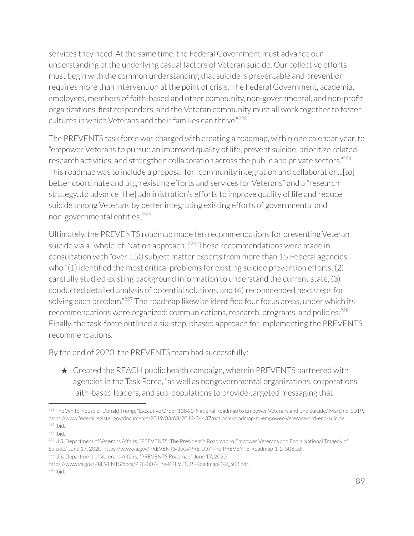services they need. At the same time, the Federal Government must advance our understanding of the underlying casual factors of Veteran suicide. Our collective efforts must begin with the common understanding that suicide is preventable and prevention requires more than intervention at the point of crisis. The Federal Government, academia, employers, members of faith-based and other community, non-governmental, and non-profit organizations, first responders, and the Veteran community must all work together to foster cultures in which Veterans and their families can thrive."<sup>223</sup>

The PREVENTS task force was charged with creating a roadmap, within one calendar year, to "empower Veterans to pursue an improved quality of life, prevent suicide, prioritize related research activities, and strengthen collaboration across the public and private sectors."<sup>224</sup> This roadmap was to include a proposal for"community integration and collaboration...[to] better coordinate and align existing efforts and services for Veterans" and a "research strategy...to advance [the] administration's efforts to improve quality of life and reduce suicide among Veterans by better integrating existing efforts of governmental and non-governmental entities." 225

Ultimately, the PREVENTS roadmap made ten recommendations for preventing Veteran suicide via a "whole-of-Nation approach."<sup>226</sup> These recommendations were made in consultation with "over 150 subject matter experts from more than 15 Federal agencies" who "(1) identified the most critical problems for existing suicide prevention efforts, (2) carefully studied existing background information to understand the current state, (3) conducted detailed analysis of potential solutions, and (4) recommended next steps for solving each problem."<sup>227</sup> The roadmap likewise identified four focus areas, under which its recommendations were organized: communications, research, programs, and policies.<sup>228</sup> Finally, the task-force outlined a six-step, phased approach for implementing the PREVENTS recommendations.

By the end of 2020, the PREVENTS team had successfully:

 $\star$  Created the REACH public health campaign, wherein PREVENTS partnered with agencies in the Task Force, "as well as nongovernmental organizations, corporations, faith-based leaders, and sub-populations to provide targeted messaging that

<sup>224</sup> Ibid. <sup>223</sup> The White House of Donald Trump, "Executive Order 13861: National Roadmap to Empower Veterans and End Suicide," March 5, 2019, https://www.federalregister.gov/documents/2019/03/08/2019-04437/national-roadmap-to-empower-Veterans-and-end-suicide.

<sup>225</sup> Ibid.

<sup>&</sup>lt;sup>227</sup> U.S. Department of Veterans Affairs, "PREVENTS Roadmap," June 17, 2020, <sup>226</sup> U.S. Department of Veterans Affairs, "PREVENTS: The President's Roadmap to Empower Veterans and End a National Tragedy of Suicide," June 17, 2020, https://www.va.gov/PREVENTS/docs/PRE-007-The-PREVENTS-Roadmap-1-2\_508.pdf.

<sup>228</sup> Ibid. https://www.va.gov/PREVENTS/docs/PRE-007-The-PREVENTS-Roadmap-1-2\_508.pdf.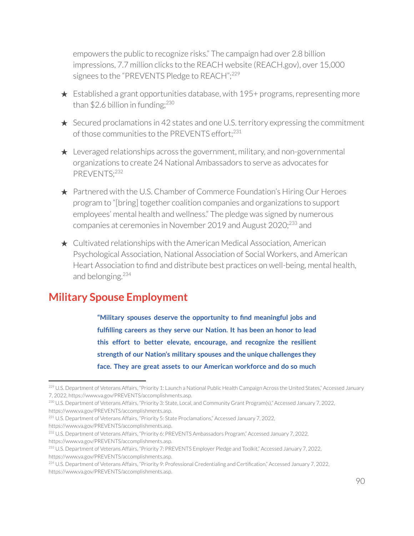empowers the public to recognize risks." The campaign had over 2.8 billion impressions, 7.7 million clicks to the REACH website (REACH.gov), over 15,000 signees to the "PREVENTS Pledge to REACH";<sup>229</sup>

- $\star$  Established a grant opportunities database, with 195+ programs, representing more than \$2.6 billion in funding;<sup>230</sup>
- $\star$  Secured proclamations in 42 states and one U.S. territory expressing the commitment of those communities to the PREVENTS effort; 231
- $\star$  Leveraged relationships across the government, military, and non-governmental organizations to create 24 National Ambassadors to serve as advocates for PREVENTS; 232
- ★ Partnered with the U.S. Chamber of Commerce Foundation's Hiring Our Heroes program to "[bring] together coalition companies and organizations to support employees' mental health and wellness." The pledge was signed by numerous companies at ceremonies in November 2019 and August 2020; $^{233}$  and
- ★ Cultivated relationships with the American Medical Association, American Psychological Association, National Association of Social Workers, and American Heart Association to find and distribute best practices on well-being, mental health, and belonging. 234

# **Military Spouse Employment**

**"Military spouses deserve the opportunity to find meaningful jobs and fulfilling careers as they serve our Nation. It has been an honor to lead this effort to better elevate, encourage, and recognize the resilient strength of our Nation's military spouses and the unique challenges they face. They are great assets to our American workforce and do so much**

https://www.va.gov/PREVENTS/accomplishments.asp.

<sup>&</sup>lt;sup>229</sup> U.S. Department of Veterans Affairs, "Priority 1: Launch a National Public Health Campaign Across the United States," Accessed January 7, 2022, https://www.va.gov/PREVENTS/accomplishments.asp.

<sup>230</sup> U.S. Department of Veterans Affairs, "Priority 3: State, Local, and Community Grant Program(s)," Accessed January 7, 2022, https://www.va.gov/PREVENTS/accomplishments.asp.

<sup>231</sup> U.S. Department of Veterans Affairs, "Priority 5: State Proclamations," Accessed January 7, 2022,

https://www.va.gov/PREVENTS/accomplishments.asp.

<sup>232</sup> U.S. Department of Veterans Affairs, "Priority 6: PREVENTS Ambassadors Program," Accessed January 7, 2022,

<sup>&</sup>lt;sup>233</sup> U.S. Department of Veterans Affairs, "Priority 7: PREVENTS Employer Pledge and Toolkit," Accessed January 7, 2022, https://www.va.gov/PREVENTS/accomplishments.asp.

<sup>234</sup> U.S. Department of Veterans Affairs, "Priority 9: Professional Credentialing and Certification," Accessed January 7, 2022, https://www.va.gov/PREVENTS/accomplishments.asp.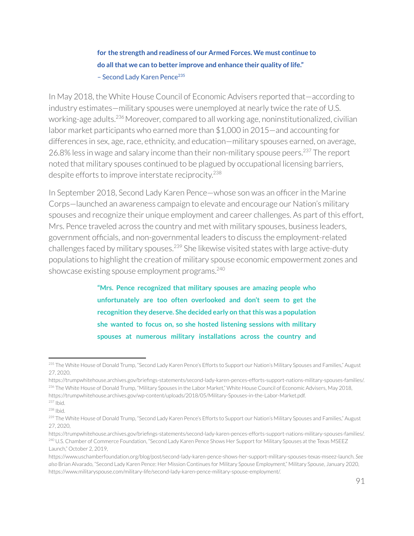**for the strength and readiness of our Armed Forces. We must continue to do allthat we can to better improve and enhance their quality of life."** - Second Lady Karen Pence<sup>235</sup>

In May 2018, the White House Council of Economic Advisers reported that—according to industry estimates—military spouses were unemployed at nearly twice the rate of U.S. working-age adults.<sup>236</sup> Moreover, compared to all working age, noninstitutionalized, civilian labor market participants who earned more than \$1,000 in 2015—and accounting for differences in sex, age, race, ethnicity, and education—military spouses earned, on average, 26.8% less in wage and salary income than their non-military spouse peers.<sup>237</sup> The report noted that military spouses continued to be plagued by occupational licensing barriers, despite efforts to improve interstate reciprocity. 238

In September 2018, Second Lady Karen Pence—whose son was an officer in the Marine Corps—launched an awareness campaign to elevate and encourage our Nation's military spouses and recognize their unique employment and career challenges. As part of this effort, Mrs. Pence traveled across the country and met with military spouses, business leaders, government officials, and non-governmental leaders to discuss the employment-related challenges faced by military spouses. $^{239}$  She likewise visited states with large active-duty populations to highlight the creation of military spouse economic empowerment zones and showcase existing spouse employment programs. 240

> **"Mrs. Pence recognized that military spouses are amazing people who unfortunately are too often overlooked and don't seem to get the recognition they deserve. She decided early on thatthis was a population she wanted to focus on, so she hosted listening sessions with military spouses at numerous military installations across the country and**

<sup>&</sup>lt;sup>235</sup> The White House of Donald Trump, "Second Lady Karen Pence's Efforts to Support our Nation's Military Spouses and Families," August 27, 2020,

<sup>&</sup>lt;sup>236</sup> The White House of Donald Trump, "Military Spouses in the Labor Market," White House Council of Economic Advisers, May 2018, https://trumpwhitehouse.archives.gov/wp-content/uploads/2018/05/Military-Spouses-in-the-Labor-Market.pdf. https://trumpwhitehouse.archives.gov/briefings-statements/second-lady-karen-pences-efforts-support-nations-military-spouses-families/.

<sup>237</sup> Ibid.

<sup>238</sup> Ibid.

<sup>&</sup>lt;sup>239</sup> The White House of Donald Trump, "Second Lady Karen Pence's Efforts to Support our Nation's Military Spouses and Families," August 27, 2020,

<sup>&</sup>lt;sup>240</sup> U.S. Chamber of Commerce Foundation, "Second Lady Karen Pence Shows Her Support for Military Spouses at the Texas MSEEZ Launch," October 2, 2019, https://trumpwhitehouse.archives.gov/briefings-statements/second-lady-karen-pences-efforts-support-nations-military-spouses-families/.

https://www.uschamberfoundation.org/blog/post/second-lady-karen-pence-shows-her-support-military-spouses-texas-mseez-launch. *See also* Brian Alvarado, "Second Lady Karen Pence: Her Mission Continues for Military Spouse Employment," Military Spouse, January 2020, https://www.militaryspouse.com/military-life/second-lady-karen-pence-military-spouse-employment/.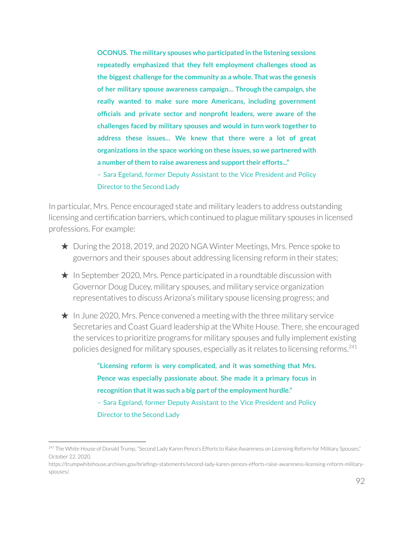**OCONUS. The military spouses who participated in the listening sessions repeatedly emphasized that they felt employment challenges stood as the biggest challenge for the community as a whole. That was the genesis of her military spouse awareness campaign… Through the campaign, she really wanted to make sure more Americans, including government officials and private sector and nonprofit leaders, were aware of the challenges faced by military spouses and would in turn work together to address these issues… We knew that there were a lot of great organizations in the space working on these issues, so we partnered with a number ofthem to raise awareness and supporttheir efforts..."**

– Sara Egeland, former Deputy Assistant to the Vice President and Policy Director to the Second Lady

In particular, Mrs. Pence encouraged state and military leaders to address outstanding licensing and certification barriers, which continued to plague military spouses in licensed professions. For example:

- ★ During the 2018, 2019, and 2020 NGA Winter Meetings, Mrs. Pence spoke to governors and their spouses about addressing licensing reform in their states;
- $\star$  In September 2020, Mrs. Pence participated in a roundtable discussion with Governor Doug Ducey, military spouses, and military service organization representatives to discuss Arizona's military spouse licensing progress; and
- $\star$  In June 2020, Mrs. Pence convened a meeting with the three military service Secretaries and Coast Guard leadership at the White House. There, she encouraged the services to prioritize programs for military spouses and fully implement existing policies designed for military spouses, especially as it relates to licensing reforms.<sup>241</sup>

**"Licensing reform is very complicated, and it was something that Mrs. Pence was especially passionate about. She made it a primary focus in recognition thatit was such a big part ofthe employment hurdle."** – Sara Egeland, former Deputy Assistant to the Vice President and Policy Director to the Second Lady

<sup>&</sup>lt;sup>241</sup> The White House of Donald Trump, "Second Lady Karen Pence's Efforts to Raise Awareness on Licensing Reform for Military Spouses," October 22, 2020,

https://trumpwhitehouse.archives.gov/briefings-statements/second-lady-karen-pences-efforts-raise-awareness-licensing-reform-militaryspouses/.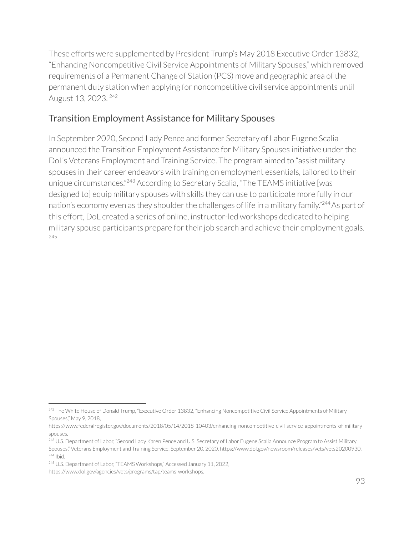These efforts were supplemented by President Trump's May 2018 Executive Order 13832, "Enhancing Noncompetitive Civil Service Appointments of Military Spouses," which removed requirements of a Permanent Change of Station (PCS) move and geographic area of the permanent duty station when applying for noncompetitive civil service appointments until August 13, 2023. <sup>242</sup>

# Transition Employment Assistance for Military Spouses

In September 2020, Second Lady Pence and former Secretary of Labor Eugene Scalia announced the Transition Employment Assistance for Military Spouses initiative under the DoL's Veterans Employment and Training Service. The program aimed to "assist military spouses in their career endeavors with training on employment essentials, tailored to their unique circumstances."<sup>243</sup> According to Secretary Scalia, "The TEAMS initiative [was designed to] equip military spouses with skills they can use to participate more fully in our nation's economy even as they shoulder the challenges of life in a military family." <sup>244</sup> As part of this effort, DoL created a series of online, instructor-led workshops dedicated to helping military spouse participants prepare for their job search and achieve their employment goals. 245

<sup>&</sup>lt;sup>242</sup> The White House of Donald Trump, "Executive Order 13832, "Enhancing Noncompetitive Civil Service Appointments of Military Spouses," May 9, 2018,

https://www.federalregister.gov/documents/2018/05/14/2018-10403/enhancing-noncompetitive-civil-service-appointments-of-militaryspouses.

<sup>244</sup> Ibid. <sup>243</sup> U.S. Department of Labor, "Second Lady Karen Pence and U.S. Secretary of Labor Eugene Scalia Announce Program to Assist Military Spouses," Veterans Employment and Training Service, September 20, 2020, https://www.dol.gov/newsroom/releases/vets/vets20200930.

<sup>&</sup>lt;sup>245</sup> U.S. Department of Labor, "TEAMS Workshops," Accessed January 11, 2022,

https://www.dol.gov/agencies/vets/programs/tap/teams-workshops.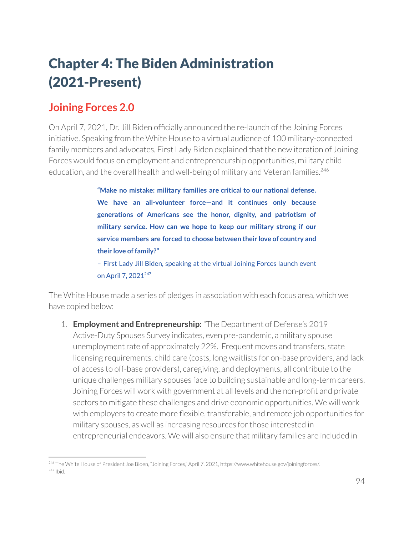# Chapter 4: The Biden Administration (2021-Present)

# **Joining Forces 2.0**

On April 7, 2021, Dr. Jill Biden officially announced the re-launch of the Joining Forces initiative. Speaking from the White House to a virtual audience of 100 military-connected family members and advocates, First Lady Biden explained that the new iteration of Joining Forces would focus on employment and entrepreneurship opportunities, military child education, and the overall health and well-being of military and Veteran families.<sup>246</sup>

> **"Make no mistake: military families are critical to our national defense. We have an all-volunteer force—and it continues only because generations of Americans see the honor, dignity, and patriotism of military service. How can we hope to keep our military strong if our service members are forced to choose between their love of country and their love of family?"**

> – First Lady Jill Biden, speaking at the virtual Joining Forces launch event on April 7, 2021<sup>247</sup>

The White House made a series of pledges in association with each focus area, which we have copied below:

1. **Employment and Entrepreneurship:** "The Department of Defense's 2019 Active-Duty Spouses Survey indicates, even pre-pandemic, a military spouse unemployment rate of approximately 22%. Frequent moves and transfers, state licensing requirements, child care (costs, long waitlists for on-base providers, and lack of access to off-base providers), caregiving, and deployments, all contribute to the unique challenges military spouses face to building sustainable and long-term careers. Joining Forces will work with government at all levels and the non-profit and private sectors to mitigate these challenges and drive economic opportunities. We will work with employers to create more flexible, transferable, and remote job opportunities for military spouses, as well as increasing resources for those interested in entrepreneurial endeavors. We will also ensure that military families are included in

<sup>247</sup> Ibid. <sup>246</sup> The White House of President Joe Biden, "Joining Forces," April 7, 2021, https://www.whitehouse.gov/joiningforces/.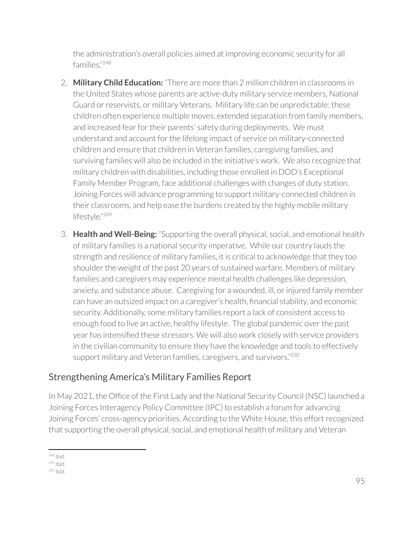the administration's overall policies aimed at improving economic security for all families." 248

- 2. **Military Child Education:** "There are more than 2 million children in classrooms in the United States whose parents are active-duty military service members, National Guard or reservists, or military Veterans. Military life can be unpredictable: these children often experience multiple moves, extended separation from family members, and increased fear for their parents' safety during deployments. We must understand and account for the lifelong impact of service on military-connected children and ensure that children in Veteran families, caregiving families, and surviving families will also be included in the initiative's work. We also recognize that military children with disabilities, including those enrolled in DOD's Exceptional Family Member Program, face additional challenges with changes of duty station. Joining Forces will advance programming to support military-connected children in their classrooms, and help ease the burdens created by the highly mobile military lifestyle."249
- 3. **Health and Well-Being:** "Supporting the overall physical, social, and emotional health of military families is a national security imperative. While our country lauds the strength and resilience of military families, it is critical to acknowledge that they too shoulder the weight of the past 20 years of sustained warfare. Members of military families and caregivers may experience mental health challenges like depression, anxiety, and substance abuse. Caregiving for a wounded, ill, or injured family member can have an outsized impact on a caregiver's health, financial stability, and economic security. Additionally, some military families report a lack of consistent access to enough food to live an active, healthy lifestyle. The global pandemic overthe past year has intensified these stressors. We will also work closely with service providers in the civilian community to ensure they have the knowledge and tools to effectively support military and Veteran families, caregivers, and survivors."<sup>250</sup>

# Strengthening America's Military Families Report

In May 2021, the Office of the First Lady and the National Security Council (NSC) launched a Joining Forces Interagency Policy Committee (IPC) to establish a forum for advancing Joining Forces' cross-agency priorities. According to the White House, this effort recognized that supporting the overall physical, social, and emotional health of military and Veteran

<sup>248</sup> Ibid.

<sup>&</sup>lt;sup>249</sup> Ibid.

<sup>250</sup> Ibid.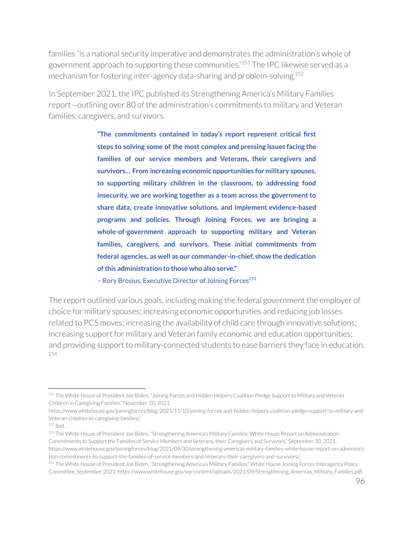families "is a national security imperative and demonstrates the administration's whole of government approach to supporting these communities."<sup>251</sup> The IPC likewise served as a mechanism for fostering inter-agency data-sharing and problem-solving.<sup>252</sup>

In September 2021, the IPC published its Strengthening America's Military Families report—outlining over 80 of the administration's commitments to military and Veteran families, caregivers, and survivors.

> **"The commitments contained in today's report represent critical first steps to solving some of the most complex and pressing issues facing the families of our service members and Veterans, their caregivers and survivors… From increasing economic opportunities for military spouses, to supporting military children in the classroom, to addressing food insecurity, we are working together as a team across the governmentto share data, create innovative solutions, and implement evidence-based programs and policies. Through Joining Forces, we are bringing a whole-of-government approach to supporting military and Veteran families, caregivers, and survivors. These initial commitments from federal agencies, as well as our commander-in-chief, show the dedication ofthis administration to those who also serve."**

- Rory Brosius, Executive Director of Joining Forces<sup>253</sup>

The report outlined various goals, including making the federal government the employer of choice for military spouses; increasing economic opportunities and reducing job losses related to PCS moves; increasing the availability of child care through innovative solutions; increasing support for military and Veteran family economic and education opportunities; and providing support to military-connected students to ease barriers they face in education. 254

<sup>&</sup>lt;sup>251</sup> The White House of President Joe Biden, "Joining Forces and Hidden Helpers Coalition Pledge Support to Military and Veteran Children in Caregiving Families," November 10, 2021,

https://www.whitehouse.gov/joiningforces/blog/2021/11/10/joining-forces-and-hidden-helpers-coalition-pledge-support-to-military-and-Veteran-children-in-caregiving-families/.

<sup>252</sup> Ibid.

<sup>&</sup>lt;sup>253</sup> The White House of President Joe Biden, "Strengthening America's Military Families: White House Report on Administration Commitments to Support the Families of Service Members and Veterans, their Caregivers and Survivors," September 30, 2021, https://www.whitehouse.gov/joiningforces/blog/2021/09/30/strengthening-americas-military-families-white-house-report-on-administra tion-commitments-to-support-the-families-of-service members-and-Veterans-their-caregivers-and-survivors/.

<sup>&</sup>lt;sup>254</sup> The White House of President Joe Biden, "Strengthening America's Military Families," White House Joining Forces Interagency Policy Committee, September 2021, https://www.whitehouse.gov/wp-content/uploads/2021/09/Strengthening\_Americas\_Military\_Families.pdf.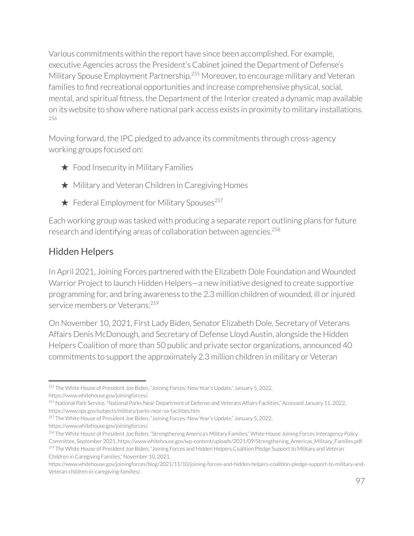Various commitments within the report have since been accomplished. For example, executive Agencies across the President's Cabinet joined the Department of Defense's Military Spouse Employment Partnership.<sup>255</sup> Moreover, to encourage military and Veteran families to find recreational opportunities and increase comprehensive physical, social, mental, and spiritual fitness, the Department of the Interior created a dynamic map available on its website to show where national park access exists in proximity to military installations. 256

Moving forward, the IPC pledged to advance its commitments through cross-agency working groups focused on:

- ★ Food Insecurity in Military Families
- ★ Military and Veteran Children in Caregiving Homes
- $\star$  Federal Employment for Military Spouses<sup>257</sup>

Each working group was tasked with producing a separate report outlining plans forfuture research and identifying areas of collaboration between agencies. 258

# Hidden Helpers

In April 2021, Joining Forces partnered with the Elizabeth Dole Foundation and Wounded Warrior Project to launch Hidden Helpers—a new initiative designed to create supportive programming for, and bring awareness to the 2.3 million children of wounded, ill orinjured service members or Veterans. 259

On November 10, 2021, First Lady Biden, Senator Elizabeth Dole, Secretary of Veterans Affairs Denis McDonough, and Secretary of Defense Lloyd Austin, alongside the Hidden Helpers Coalition of more than 50 public and private sector organizations, announced 40 commitments to support the approximately 2.3 million children in military or Veteran

<sup>255</sup> The White House of President Joe Biden, "Joining Forces: New Year's Update," January 5, 2022, https://www.whitehouse.gov/joiningforces/.

<sup>256</sup> National Park Service, "National Parks Near Department of Defense and Veterans Affairs Facilities," Accessed January 11, 2022, https://www.nps.gov/subjects/military/parks-near-va-facilities.htm

<sup>&</sup>lt;sup>257</sup> The White House of President Joe Biden, "Joining Forces: New Year's Update," January 5, 2022,

https://www.whitehouse.gov/joiningforces/.

<sup>&</sup>lt;sup>259</sup> The White House of President Joe Biden, "Joining Forces and Hidden Helpers Coalition Pledge Support to Military and Veteran Children in Caregiving Families," November 10, 2021, <sup>258</sup> The White House of President Joe Biden, "Strengthening America's Military Families," White House Joining Forces Interagency Policy Committee, September 2021, https://www.whitehouse.gov/wp-content/uploads/2021/09/Strengthening\_Americas\_Military\_Families.pdf.

https://www.whitehouse.gov/joiningforces/blog/2021/11/10/joining-forces-and-hidden-helpers-coalition-pledge-support-to-military-and-Veteran-children-in-caregiving-families/.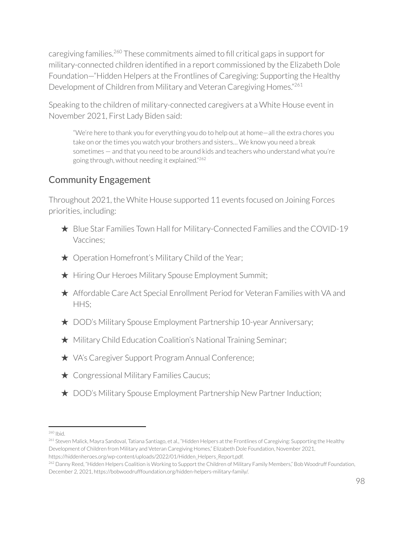caregiving families.<sup>260</sup> These commitments aimed to fill critical gaps in support for military-connected children identified in a report commissioned by the Elizabeth Dole Foundation—"Hidden Helpers at the Frontlines of Caregiving: Supporting the Healthy Development of Children from Military and Veteran Caregiving Homes."<sup>261</sup>

Speaking to the children of military-connected caregivers at a White House event in November 2021, First Lady Biden said:

"We're here to thank you for everything you do to help out at home—all the extra chores you take on or the times you watch your brothers and sisters... We know you need a break sometimes — and that you need to be around kids and teachers who understand what you're going through, without needing it explained." 262

# Community Engagement

Throughout 2021, the White House supported 11 events focused on Joining Forces priorities, including:

- ★ Blue Star Families Town Hall for Military-Connected Families and the COVID-19 Vaccines;
- ★ Operation Homefront's Military Child of the Year;
- ★ Hiring Our Heroes Military Spouse Employment Summit;
- ★ Affordable Care Act Special Enrollment Period for Veteran Families with VA and HHS;
- ★ DOD's Military Spouse Employment Partnership 10-year Anniversary;
- ★ Military Child Education Coalition's National Training Seminar;
- ★ VA's Caregiver Support Program Annual Conference;
- **★ Congressional Military Families Caucus;**
- ★ DOD's Military Spouse Employment Partnership New Partner Induction;

<sup>260</sup> Ibid.

<sup>&</sup>lt;sup>261</sup> Steven Malick, Mayra Sandoval, Tatiana Santiago, et al., "Hidden Helpers at the Frontlines of Caregiving: Supporting the Healthy Development of Children from Military and Veteran Caregiving Homes," Elizabeth Dole Foundation, November 2021, https://hiddenheroes.org/wp-content/uploads/2022/01/Hidden\_Helpers\_Report.pdf.

<sup>&</sup>lt;sup>262</sup> Danny Reed, "Hidden Helpers Coalition is Working to Support the Children of Military Family Members," Bob Woodruff Foundation, December 2, 2021, https://bobwoodrufffoundation.org/hidden-helpers-military-family/.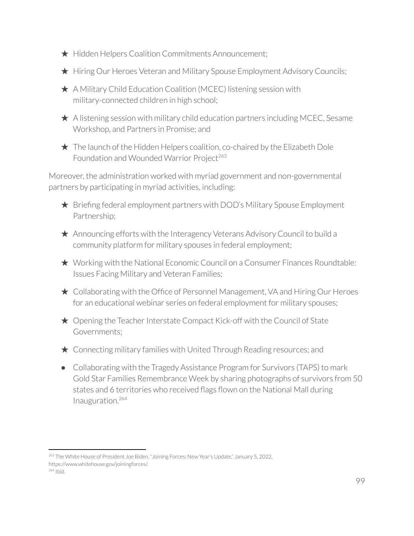- ★ Hidden Helpers Coalition Commitments Announcement;
- ★ Hiring Our Heroes Veteran and Military Spouse Employment Advisory Councils;
- ★ A Military Child Education Coalition (MCEC) listening session with military-connected children in high school;
- $\star$  A listening session with military child education partners including MCEC, Sesame Workshop, and Partners in Promise; and



Moreover, the administration worked with myriad government and non-governmental partners by participating in myriad activities, including:

- ★ Briefing federal employment partners with DOD's Military Spouse Employment Partnership;
- ★ Announcing efforts with the Interagency Veterans Advisory Council to build a community platform for military spouses in federal employment;
- ★ Working with the National Economic Council on a Consumer Finances Roundtable: Issues Facing Military and Veteran Families;
- ★ Collaborating with the Office of Personnel Management, VA and Hiring Our Heroes for an educational webinar series on federal employment for military spouses;
- $\star$  Opening the Teacher Interstate Compact Kick-off with the Council of State Governments;
- $\star$  Connecting military families with United Through Reading resources; and
- Collaborating with the Tragedy Assistance Program for Survivors (TAPS) to mark Gold Star Families Remembrance Week by sharing photographs of survivors from 50 states and 6 territories who received flags flown on the National Mall during Inauguration. 264

<sup>&</sup>lt;sup>263</sup> The White House of President Joe Biden, "Joining Forces: New Year's Update," January 5, 2022, https://www.whitehouse.gov/joiningforces/.

<sup>264</sup> Ibid.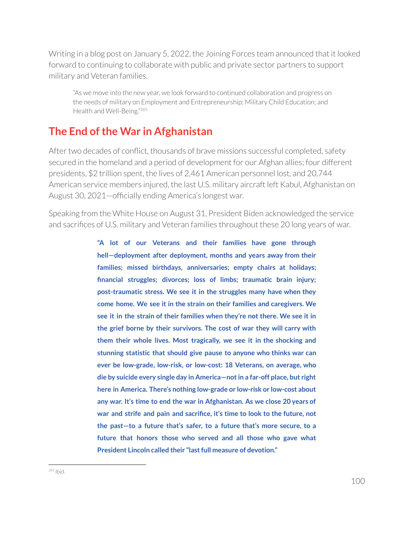Writing in a blog post on January 5, 2022, the Joining Forces team announced that it looked forward to continuing to collaborate with public and private sector partners to support military and Veteran families.

"As we move into the new year, we look forward to continued collaboration and progress on the needs of military on Employment and Entrepreneurship; Military Child Education; and Health and Well-Being."265

# **The End ofthe War in Afghanistan**

After two decades of conflict, thousands of brave missions successful completed, safety secured in the homeland and a period of development for our Afghan allies; four different presidents, \$2 trillion spent, the lives of 2,461 American personnel lost, and 20,744 American service members injured, the last U.S. military aircraft left Kabul, Afghanistan on August 30, 2021—officially ending America's longest war.

Speaking from the White House on August 31, President Biden acknowledged the service and sacrifices of U.S. military and Veteran families throughout these 20 long years of war.

> **"A lot of our Veterans and their families have gone through hell—deployment after deployment, months and years away from their families; missed birthdays, anniversaries; empty chairs at holidays; financial struggles; divorces; loss of limbs; traumatic brain injury; post-traumatic stress. We see it in the struggles many have when they come home. We see it in the strain on their families and caregivers. We see it in the strain of their families when they're not there. We see it in the grief borne by their survivors. The cost of war they will carry with them their whole lives. Most tragically, we see it in the shocking and stunning statistic that should give pause to anyone who thinks war can ever be low-grade, low-risk, or low-cost: 18 Veterans, on average, who die by suicide every single day in America—notin a far-off place, but right here in America. There's nothing low-grade or low-risk or low-cost about any war. It's time to end the war in Afghanistan. As we close 20 years of war and strife and pain and sacrifice, it's time to look to the future, not the past—to a future that's safer, to a future that's more secure, to a future that honors those who served and all those who gave what President Lincoln called their "lastfull measure of devotion."**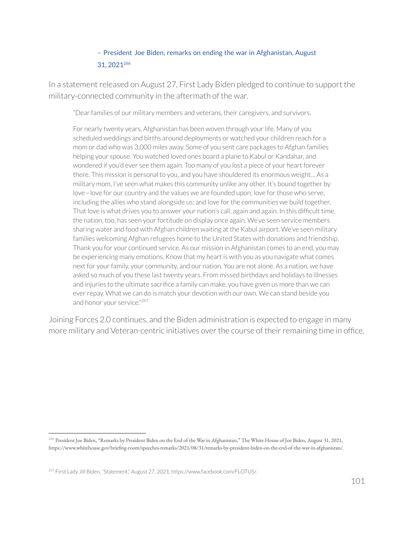### – President Joe Biden, remarks on ending the war in Afghanistan, August 31, 2021 266

In a statement released on August 27, First Lady Biden pledged to continue to support the military-connected community in the aftermath of the war.

"Dearfamilies of our military members and veterans, their caregivers, and survivors,

For nearly twenty years, Afghanistan has been woven through your life. Many of you scheduled weddings and births around deployments or watched your children reach for a mom or dad who was 3,000 miles away. Some of you sent care packages to Afghan families helping your spouse. You watched loved ones board a plane to Kabul or Kandahar, and wondered if you'd ever see them again. Too many of you lost a piece of your heart forever there. This mission is personal to you, and you have shouldered its enormous weight… As a military mom, I've seen what makes this community unlike any other. It's bound together by love-love for our country and the values we are founded upon; love for those who serve, including the allies who stand alongside us; and love for the communities we build together. That love is what drives you to answer your nation's call, again and again. In this difficult time, the nation, too, has seen your fortitude on display once again. We've seen service members sharing water and food with Afghan children waiting at the Kabul airport. We've seen military families welcoming Afghan refugees home to the United States with donations and friendship. Thank you for your continued service. As our mission in Afghanistan comes to an end, you may be experiencing many emotions. Know that my heart is with you as you navigate what comes next for your family, your community, and our nation. You are not alone. As a nation, we have asked so much of you these last twenty years. From missed birthdays and holidays to illnesses and injuries to the ultimate sacrifice a family can make, you have given us more than we can ever repay. What we can do is match your devotion with our own. We can stand beside you and honor your service."<sup>267</sup>

Joining Forces 2.0 continues, and the Biden administration is expected to engage in many more military and Veteran-centric initiatives over the course of their remaining time in office.

<sup>266</sup> President Joe Biden, "Remarks by President Biden on the End of the War in Afghanistan," The White House of Joe Biden, August 31, 2021, https://www.whitehouse.gov/briefing-room/speeches-remarks/2021/08/31/remarks-by-president-biden-on-the-end-of-the-war-in-afghanistan/.

<sup>&</sup>lt;sup>267</sup> First Lady Jill Biden, "Statement," August 27, 2021, https://www.facebook.com/FLOTUS/.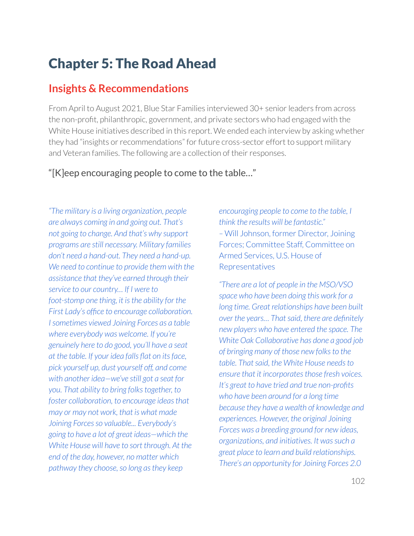# Chapter 5: The Road Ahead

# **Insights & Recommendations**

From April to August 2021, Blue Star Families interviewed 30+ senior leaders from across the non-profit, philanthropic, government, and private sectors who had engaged with the White House initiatives described in this report. We ended each interview by asking whether they had "insights or recommendations" for future cross-sector effort to support military and Veteran families. The following are a collection of their responses.

### "[K]eep encouraging people to come to the table…"

*"The military is a living organization, people are always coming in and going out. That's not going to change. And that's why support programs are still necessary. Military families don't need a hand-out. They need a hand-up. We need to continue to provide them with the assistance that they've earned through their service to our country… If I were to foot-stomp one thing, it isthe ability for the First Lady's office to encourage collaboration. Isometimes viewed Joining Forces as a table where everybody was welcome. If you're genuinely here to do good, you'll have a seat at the table. If your idea falls flat on itsface, pick yourself up, dust yourself off, and come with another idea—we've still got a seat for you. That ability to bring folkstogether, to foster collaboration, to encourage ideasthat may or may not work, that is what made Joining Forcesso valuable... Everybody's going to have a lot of great ideas—which the White House will have to sort through. At the end of the day, however, no matter which pathway they choose, so long asthey keep*

*encouraging people to come to the table, I think the results will be fantastic." –* Will Johnson, former Director, Joining Forces; Committee Staff, Committee on Armed Services, U.S. House of Representatives

*"There are a lot of people in the MSO/VSO space who have been doing this work for a long time. Great relationships have been built over the years… Thatsaid, there are definitely new players who have entered the space. The White Oak Collaborative has done a good job of bringing many of those new folksto the table. Thatsaid, the White House needsto ensure that it incorporates those fresh voices. It's great to have tried and true non-profits who have been around for a long time because they have a wealth of knowledge and experiences. However, the original Joining Forces was a breeding ground for new ideas, organizations, and initiatives. It wassuch a great place to learn and build relationships. There's an opportunity for Joining Forces 2.0*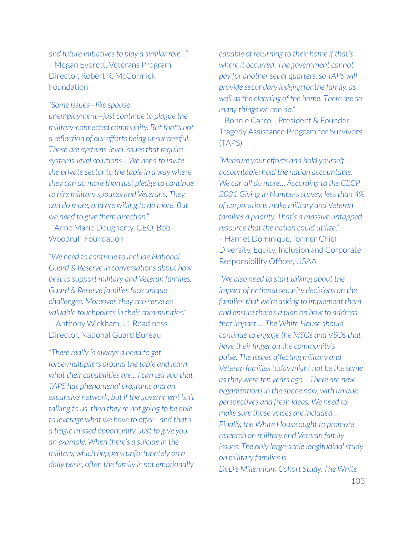*and future initiativesto play a similar role…" –* Megan Everett, Veterans Program Director, Robert R. McCormick Foundation

*"Some issues—like spouse unemployment—just continue to plague the military-connected community. But that's not a reflection of our efforts being unsuccessful. These are systems-level issues that require systems-levelsolutions… We need to invite the private sector to the table in a way where they can do more than just pledge to continue to hire military spouses and Veterans. They can do more, and are willing to do more. But we need to give them direction." –* Anne Marie Dougherty, CEO, Bob Woodruff Foundation

*"We need to continue to include National Guard & Reserve in conversations about how best to support military and Veteran families. Guard & Reserve familiesface unique challenges. Moreover, they can serve as valuable touchpointsin their communities." –* Anthony Wickham, J1 Readiness Director, National Guard Bureau

*"There really is always a need to get force-multipliers around the table and learn what their capabilities are... I can tell you that TAPS has phenomenal programs and an expansive network, but if the government isn't talking to us, then they're not going to be able to leverage what we have to offer—and that's a tragic missed opportunity. Just to give you an example: When there's a suicide in the military, which happens unfortunately on a daily basis, often the family is not emotionally*

*capable of returning to their home if that's where it occurred. The government cannot pay* for another set of *quarters*, so TAPS will *provide secondary lodging for the family, as well asthe cleaning of the home. There are so many things we can do."*

*–* Bonnie Carroll, President & Founder, Tragedy Assistance Program for Survivors (TAPS)

*"Measure your efforts and hold yourself accountable; hold the nation accountable. We can all do more… According to the CECP 2021 Giving In Numberssurvey, lessthan 4% of corporations make military and Veteran families a priority. That's a massive untapped resource that the nation could utilize." –* Harriet Dominique, former Chief Diversity, Equity, Inclusion and Corporate Responsibility Officer, USAA

*"We also need to start talking about the impact of nationalsecurity decisions on the familiesthat we're asking to implement them and ensure there's a plan on how to address that impact.… The White House should continue to engage the MSOs and VSOsthat have their finger on the community's pulse. The issues affecting military and Veteran familiestoday might not be the same asthey were ten years ago… There are new organizationsin the space now, with unique perspectives and fresh ideas. We need to make sure those voices are included… Finally, the White House ought to promote research on military and Veteran family issues. The only large-scale longitudinal study on military familiesis DoD's Millennium Cohort Study. The White*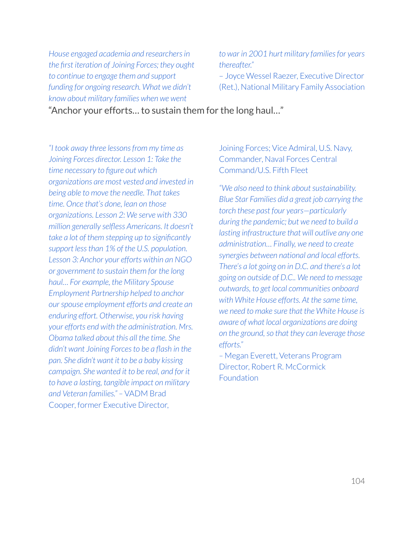*House engaged academia and researchersin the first iteration of Joining Forces; they ought to continue to engage them and support funding for ongoing research. What we didn't know about military families when we went*

*to war in 2001 hurt military familiesfor years thereafter."*

– Joyce Wessel Raezer, Executive Director (Ret.), National Military Family Association

"Anchor your efforts… to sustain them for the long haul…"

*"I took away three lessonsfrom my time as Joining Forces director. Lesson 1: Take the time necessary to figure out which organizations are most vested and invested in being able to move the needle. That takes time. Once that's done, lean on those organizations. Lesson 2: We serve with 330 million generally selfless Americans. It doesn't take a lot of them stepping up to significantly support lessthan 1% of the U.S. population. Lesson 3: Anchor your efforts within an NGO or government to sustain them for the long haul… For example, the Military Spouse Employment Partnership helped to anchor ourspouse employment efforts and create an enduring effort. Otherwise, you risk having your efforts end with the administration. Mrs. Obama talked about this all the time. She didn't want Joining Forcesto be a flash in the pan. She didn't want it to be a baby kissing campaign. She wanted it to be real, and for it to have a lasting, tangible impact on military and Veteran families." –* VADM Brad Cooper, former Executive Director,

Joining Forces; Vice Admiral, U.S. Navy, Commander, Naval Forces Central Command/U.S. Fifth Fleet

"We also need to think about sustainability. *Blue Star Families did a great job carrying the torch these past four years—particularly during the pandemic; but we need to build a lasting infrastructure that will outlive any one administration… Finally, we need to create synergies between national and local efforts. There's a lot going on in D.C. and there's a lot going on outside of D.C.. We need to message outwards, to get local communities onboard with White House efforts. At the same time, we need to make sure that the White House is aware of what local organizations are doing on the ground, so that they can leverage those efforts."*

*–* Megan Everett, Veterans Program Director, Robert R. McCormick **Foundation**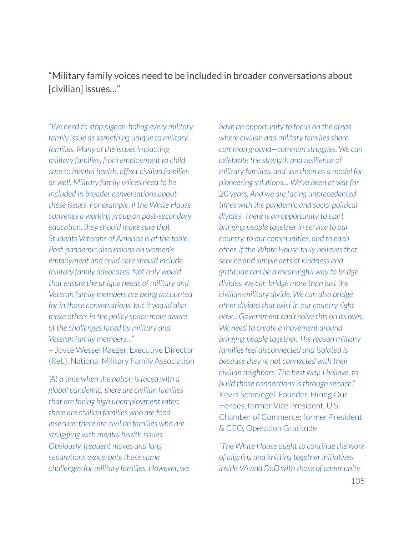# "Military family voices need to be included in broader conversations about [civilian] issues…"

*"We need to stop pigeon-holing every military family issue assomething unique to military families. Many of the issuesimpacting military families, from employment to child care to mental health, affect civilian families as well. Military family voices need to be included in broader conversations about these issues. For example, if the White House convenes a working group on post-secondary education, they should make sure that Students Veterans of America is at the table. Post-pandemic discussions on women's employment and child care should include military family advocates. Not only would that ensure the unique needs of military and Veteran family members are being accounted for in those conversations, but it would also make othersin the policy space more aware of the challengesfaced by military and Veteran family members…"*

– Joyce Wessel Raezer, Executive Director (Ret.), National Military Family Association

*"At a time when the nation isfaced with a global pandemic, there are civilian families that are facing high unemployment rates; there are civilian families who are food insecure; there are civilian families who are struggling with mental health issues. Obviously, frequent moves and long separations exacerbate these same challengesfor military families. However, we*

*have an opportunity to focus on the areas where civilian and military familiesshare common ground—common struggles. We can celebrate the strength and resilience of military families, and use them as a model for pioneering solutions… We've been at war for 20 years. And we are facing unprecedented times with the pandemic and socio-political divides. There is an opportunity to start bringing people together in service to our country, to our communities, and to each other. If the White House truly believesthat service and simple acts of kindness and gratitude can be a meaningful way to bridge divides, we can bridge more than just the civilian-military divide. We can also bridge other dividesthat exist in our country right now... Government can'tsolve this on its own. We need to create a movement around bringing people together. The reason military familiesfeel disconnected and isolated is because they're not connected with their civilian neighbors. The best way, I believe, to build those connectionsisthrough service." –* Kevin Schmiegel, Founder, Hiring Our Heroes, former Vice President, U.S. Chamber of Commerce; former President & CEO, Operation Gratitude

*"The White House ought to continue the work of aligning and knitting together initiatives inside VA and DoD with those of community*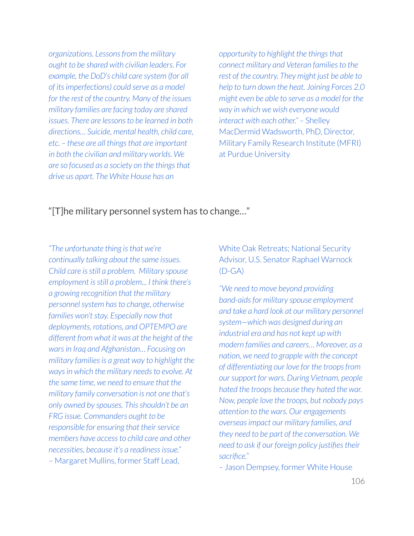*organizations. Lessonsfrom the military ought to be shared with civilian leaders. For example, the DoD's child care system (for all of itsimperfections) could serve as a model for the rest of the country. Many of the issues military families are facing today are shared issues. There are lessonsto be learned in both directions… Suicide, mental health, child care, etc. – these are all thingsthat are important in both the civilian and military worlds. We are so focused as a society on the thingsthat drive us apart. The White House has an*

*opportunity to highlight the thingsthat connect military and Veteran familiesto the rest of the country. They might just be able to help to turn down the heat. Joining Forces 2.0 might even be able to serve as a model for the way in which we wish everyone would interact with each other." –* Shelley MacDermid Wadsworth, PhD, Director, Military Family Research Institute (MFRI) at Purdue University

### "[T]he military personnel system has to change…"

*"The unfortunate thing isthat we're continually talking about the same issues. Child care isstill a problem. Military spouse employment isstill a problem... I think there's a growing recognition that the military personnelsystem hasto change, otherwise families won'tstay. Especially now that deployments, rotations, and OPTEMPO are different from what it was at the height of the warsin Iraq and Afghanistan… Focusing on military familiesis a great way to highlight the ways in which the military needs to evolve. At the same time, we need to ensure that the military family conversation is not one that's only owned by spouses. Thisshouldn't be an FRG issue. Commanders ought to be responsible for ensuring that their service members have accessto child care and other necessities, because it's a readinessissue."* – Margaret Mullins, former Staff Lead,

White Oak Retreats; National Security Advisor, U.S. Senator Raphael Warnock  $(D - GA)$ 

*"We need to move beyond providing band-aidsfor military spouse employment and take a hard look at our military personnel system—which was designed during an industrial era and has not kept up with modern families and careers… Moreover, as a nation, we need to grapple with the concept of differentiating our love for the troopsfrom oursupport for wars. During Vietnam, people hated the troops because they hated the war. Now, people love the troops, but nobody pays attention to the wars. Our engagements overseasimpact our military families, and they need to be part of the conversation. We need to ask if our foreign policy justifiestheir sacrifice."*

*–* Jason Dempsey, former White House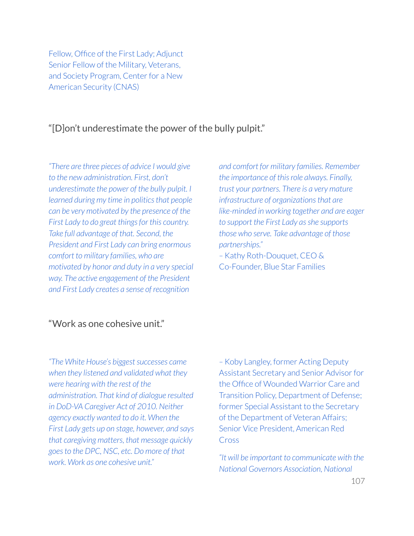Fellow, Office of the First Lady; Adjunct Senior Fellow of the Military, Veterans, and Society Program, Center for a New American Security (CNAS)

## "[D]on't underestimate the power of the bully pulpit."

*"There are three pieces of advice I would give to the new administration. First, don't underestimate the power of the bully pulpit. I learned during my time in politicsthat people can be very motivated by the presence of the First Lady to do great thingsfor this country. Take full advantage of that. Second, the President and First Lady can bring enormous comfort to military families, who are motivated by honor and duty in a very special way. The active engagement of the President and First Lady creates a sense of recognition*

*and comfort for military families. Remember the importance of thisrole always. Finally, trust your partners. There is a very mature infrastructure of organizationsthat are like-minded in working together and are eager to support the First Lady asshe supports those who serve. Take advantage of those partnerships." –* Kathy Roth-Douquet, CEO &

Co-Founder, Blue Star Families

### "Work as one cohesive unit."

*"The White House's biggest successes came when they listened and validated what they were hearing with the rest of the administration. That kind of dialogue resulted in DoD-VA Caregiver Act of 2010. Neither agency exactly wanted to do it. When the First Lady gets up on stage, however, and says that caregiving matters, that message quickly goesto the DPC, NSC, etc. Do more of that work. Work as one cohesive unit."*

*–* Koby Langley, former Acting Deputy Assistant Secretary and Senior Advisor for the Office of Wounded Warrior Care and Transition Policy, Department of Defense; former Special Assistant to the Secretary of the Department of Veteran Affairs; Senior Vice President, American Red Cross

*"It will be important to communicate with the National Governors Association, National*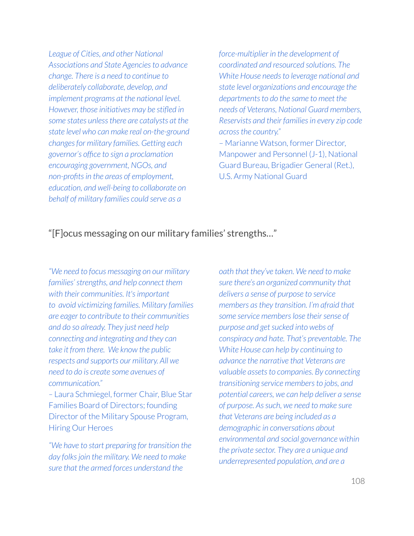*League of Cities, and other National Associations and State Agenciesto advance change. There is a need to continue to deliberately collaborate, develop, and implement programs at the national level. However, those initiatives may be stifled in some states unlessthere are catalysts at the state level who can make real on-the-ground changesfor military families. Getting each governor's office to sign a proclamation encouraging government, NGOs, and non-profitsin the areas of employment, education, and well-being to collaborate on behalf of military families could serve as a*

*force-multiplier in the development of coordinated and resourced solutions. The White House needsto leverage national and state level organizations and encourage the departmentsto do the same to meet the needs of Veterans, National Guard members, Reservists and their familiesin every zip code acrossthe country."* – Marianne Watson, former Director, Manpower and Personnel (J-1), National Guard Bureau, Brigadier General (Ret.), U.S. Army National Guard

## "[F]ocus messaging on our military families' strengths…"

*"We need to focus messaging on our military families'strengths, and help connect them with their communities. It'simportant to avoid victimizing families. Military families are eager to contribute to their communities and do so already. They just need help connecting and integrating and they can take it from there. We know the public respects and supports our military. All we need to do is create some avenues of communication."*

*–* Laura Schmiegel, former Chair, Blue Star Families Board of Directors; founding Director of the Military Spouse Program, Hiring Our Heroes

*"We have to start preparing for transition the day folksjoin the military. We need to make sure that the armed forces understand the*

*oath that they've taken. We need to make sure there's an organized community that delivers a sense of purpose to service members asthey transition. I'm afraid that some service memberslose theirsense of purpose and getsucked into webs of conspiracy and hate. That's preventable. The White House can help by continuing to advance the narrative that Veterans are valuable assets* to *companies*. By *connecting transitioning service membersto jobs, and potential careers, we can help deliver a sense of purpose. Assuch, we need to make sure that Veterans are being included as a demographic in conversations about environmental and social governance within the private sector. They are a unique and underrepresented population, and are a*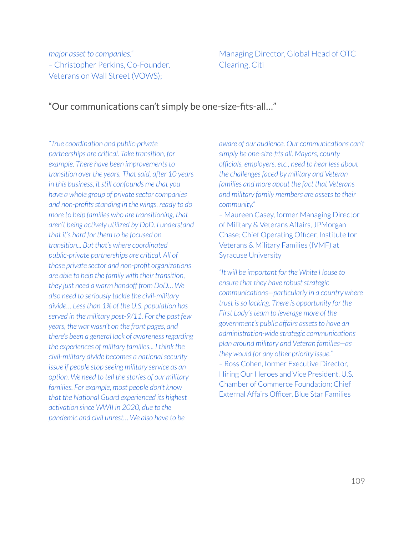*major asset to companies." –* Christopher Perkins, Co-Founder, Veterans on Wall Street (VOWS);

Managing Director, Global Head of OTC Clearing, Citi

## "Our communications can't simply be one-size-fits-all…"

*"True coordination and public-private partnerships are critical. Take transition, for example. There have been improvementsto transition over the years. Thatsaid, after 10 years in this business, itstill confounds me that you have a whole group of private sector companies and non-profitsstanding in the wings, ready to do more to help families who are transitioning, that aren't being actively utilized by DoD. I understand that it's hard for them to be focused on transition... But that's where coordinated public-private partnerships are critical. All of those private sector and non-profit organizations are able to help the family with their transition, they just need a warm handoff from DoD… We also need to seriously tackle the civil-military divide… Lessthan 1% of the U.S. population has served in the military post-9/11. For the past few years, the war wasn't on the front pages, and there's been a general lack of awarenessregarding the experiences of military families... I think the civil-military divide becomes a nationalsecurity issue if people stop seeing military service as an option. We need to tell the stories of our military families. For example, most people don't know that the National Guard experienced its highest activation since WWII in 2020, due to the pandemic and civil unrest… We also have to be*

*aware of our audience. Our communications can't simply be one-size-fits all. Mayors, county officials, employers, etc., need to hear less about the challengesfaced by military and Veteran families and more about the fact that Veterans and military family members are assets* to *their community."*

*–* Maureen Casey, former Managing Director of Military & Veterans Affairs, JPMorgan Chase; Chief Operating Officer, Institute for Veterans & Military Families (IVMF) at Syracuse University

*"It will be important for the White House to*  $ensure that they have robust strategic$ *communications—particularly in a country where trust isso lacking. There is opportunity for the First Lady'steam to leverage more of the government's public affairs assets to have an administration-wide strategic communications plan around military and Veteran families—as they would for any other priority issue." –* Ross Cohen, former Executive Director, Hiring Our Heroes and Vice President, U.S. Chamber of Commerce Foundation; Chief External Affairs Officer, Blue Star Families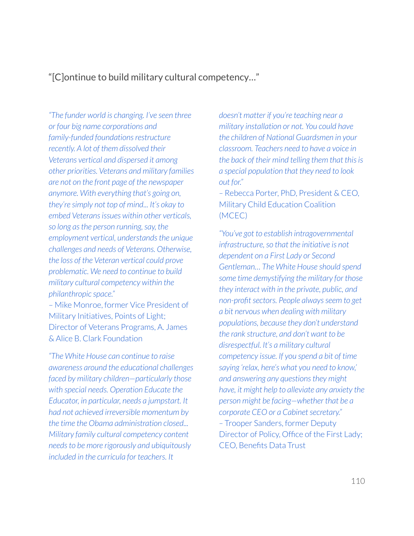"[C]ontinue to build military cultural competency…"

*"The funder world is changing. I've seen three or four big name corporations and family-funded foundations restructure recently. A lot of them dissolved their Veterans vertical and dispersed it among other priorities. Veterans and military families are not on the front page of the newspaper anymore. With everything that's going on, they're simply not top of mind... It's okay to embed Veteransissues within other verticals, so long asthe person running, say, the employment vertical, understands the unique challenges and needs of Veterans. Otherwise, the loss of the Veteran vertical could prove problematic. We need to continue to build military cultural competency within the philanthropic space."*

– Mike Monroe, former Vice President of Military Initiatives, Points of Light; Director of Veterans Programs, A. James & Alice B. Clark Foundation

*"The White House can continue to raise awareness around the educational challenges faced by military children—particularly those with special needs. Operation Educate the Educator, in particular, needs a jumpstart. It had not achieved irreversible momentum by the time the Obama administration closed... Military family cultural competency content needsto be more rigorously and ubiquitously included in the curricula for teachers. It*

*doesn't matter if you're teaching near a military installation or not. You could have the children of National Guardsmen in your classroom. Teachers need to have a voice in the back of their mind telling them that thisis a special population that they need to look out for."*

*–* Rebecca Porter, PhD, President & CEO, Military Child Education Coalition (MCEC)

*"You've got to establish intragovernmental infrastructure, so that the initiative is not dependent on a First Lady or Second Gentleman… The White House should spend some time demystifying the military for those they interact with in the private, public, and*  $non-profit sectors. People always seem to get$ *a bit nervous when dealing with military populations, because they don't understand the rank structure, and don't want to be disrespectful. It's a military cultural competency issue. If you spend a bit of time saying 'relax, here's what you need to know,' and answering any questionsthey might have, it might help to alleviate any anxiety the person might be facing—whether that be a corporate CEO or a Cabinet secretary.*" *–* Trooper Sanders, former Deputy Director of Policy, Office of the First Lady; CEO, Benefits Data Trust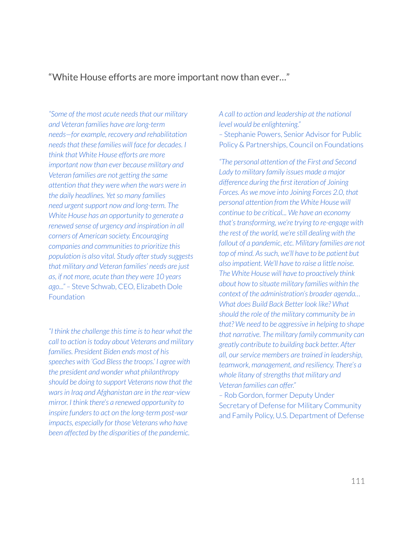## "White House efforts are more important now than ever…"

*"Some of the most acute needsthat our military and Veteran families have are long-term needs—for example, recovery and rehabilitation needsthat these families will face for decades. I think that White House efforts are more important now than ever because military and Veteran families are not getting the same attention that they were when the wars were in the daily headlines. Yetso many families need urgent support now and long-term. The White House has an opportunity to generate a renewed sense of urgency and inspiration in all corners of American society. Encouraging companies and communitiesto prioritize this population is also vital. Study afterstudy suggests that military and Veteran families' needs are just as, if not more, acute than they were 10 years ago..." –* Steve Schwab, CEO, Elizabeth Dole **Foundation** 

*"I think the challenge thistime isto hear what the call to action istoday about Veterans and military families. President Biden ends most of his speeches with 'God Blessthe troops.' I agree with the president and wonder what philanthropy should be doing to support Veterans now that the warsin Iraq and Afghanistan are in the rear-view mirror. I think there's a renewed opportunity to inspire fundersto act on the long-term post-war impacts, especially for those Veterans who have been affected by the disparities of the pandemic.*

*A call to action and leadership at the national level would be enlightening." –* Stephanie Powers, Senior Advisorfor Public Policy & Partnerships, Council on Foundations

*"The personal attention of the First and Second Lady to military family issues made a major difference during the first iteration of Joining Forces. As we move into Joining Forces 2.0, that personal attention from the White House will continue to be critical... We have an economy that'stransforming, we're trying to re-engage with the rest of the world, we're still dealing with the fallout of a pandemic, etc. Military families are not top of mind. Assuch, we'll have to be patient but also impatient. We'll have to raise a little noise. The White House will have to proactively think about how to situate military families within the context of the administration's broader agenda… What does Build Back Better look like? What should the role of the military community be in that? We need to be aggressive in helping to shape that narrative. The military family community can greatly contribute to building back better. After all, ourservice members are trained in leadership, teamwork, management, and resiliency. There's a whole litany* of *strengths that military and Veteran families can offer."*

*–* Rob Gordon, former Deputy Under Secretary of Defense for Military Community and Family Policy, U.S. Department of Defense